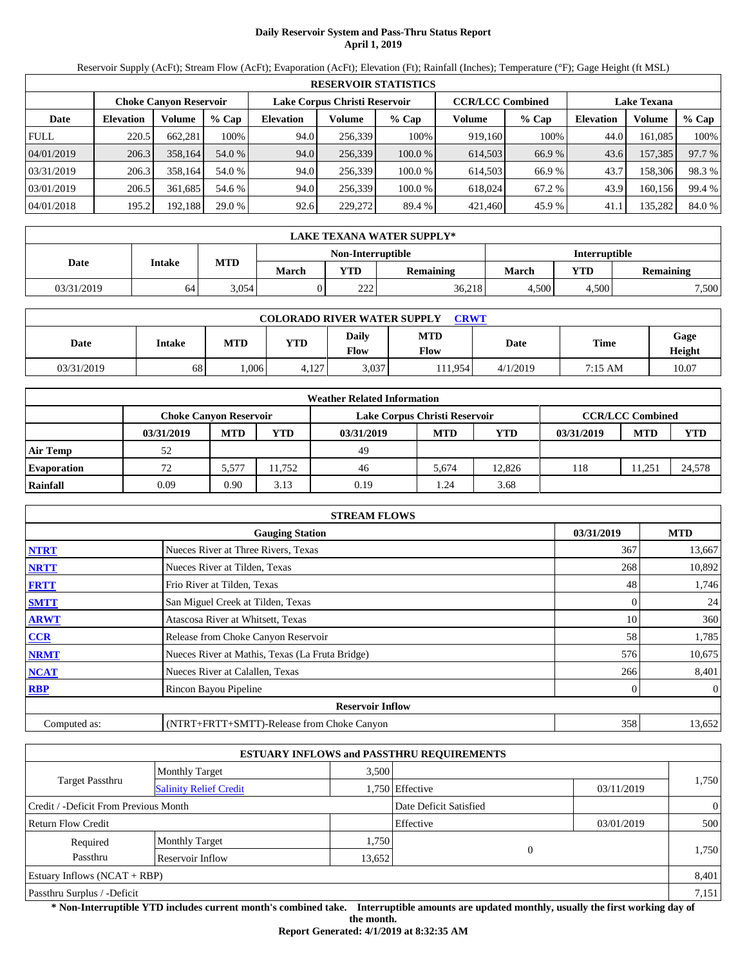# **Daily Reservoir System and Pass-Thru Status Report April 1, 2019**

Reservoir Supply (AcFt); Stream Flow (AcFt); Evaporation (AcFt); Elevation (Ft); Rainfall (Inches); Temperature (°F); Gage Height (ft MSL)

|             | <b>RESERVOIR STATISTICS</b> |                               |         |                               |         |         |                         |         |                    |         |        |  |
|-------------|-----------------------------|-------------------------------|---------|-------------------------------|---------|---------|-------------------------|---------|--------------------|---------|--------|--|
|             |                             | <b>Choke Canyon Reservoir</b> |         | Lake Corpus Christi Reservoir |         |         | <b>CCR/LCC Combined</b> |         | <b>Lake Texana</b> |         |        |  |
| Date        | <b>Elevation</b>            | Volume                        | $%$ Cap | <b>Elevation</b>              | Volume  | $%$ Cap | Volume                  | $%$ Cap | <b>Elevation</b>   | Volume  | % Cap  |  |
| <b>FULL</b> | 220.5                       | 662,281                       | 100%    | 94.0                          | 256,339 | 100%    | 919,160                 | 100%    | 44.0               | 161,085 | 100%   |  |
| 04/01/2019  | 206.3                       | 358,164                       | 54.0 %  | 94.0                          | 256,339 | 100.0%  | 614,503                 | 66.9 %  | 43.6               | 157,385 | 97.7 % |  |
| 03/31/2019  | 206.3                       | 358.164                       | 54.0 %  | 94.0                          | 256,339 | 100.0%  | 614,503                 | 66.9 %  | 43.7               | 158,306 | 98.3%  |  |
| 03/01/2019  | 206.5                       | 361.685                       | 54.6 %  | 94.0                          | 256.339 | 100.0 % | 618,024                 | 67.2 %  | 43.9               | 160,156 | 99.4 % |  |
| 04/01/2018  | 195.2                       | 192,188                       | 29.0 %  | 92.6                          | 229,272 | 89.4 %  | 421,460                 | 45.9 %  | 41.1               | 135,282 | 84.0 % |  |

|            | LAKE TEXANA WATER SUPPLY* |       |              |                                                  |                  |       |       |                  |  |  |
|------------|---------------------------|-------|--------------|--------------------------------------------------|------------------|-------|-------|------------------|--|--|
|            |                           |       |              | <b>Non-Interruptible</b><br><b>Interruptible</b> |                  |       |       |                  |  |  |
| Date       | Intake                    | MTD   | <b>March</b> | YTD                                              | <b>Remaining</b> | March | YTD   | <b>Remaining</b> |  |  |
| 03/31/2019 | 64                        | 3.054 |              | 222                                              | 36,218           | 4.500 | 4.500 | 7,500            |  |  |

| <b>COLORADO RIVER WATER SUPPLY</b><br><b>CRWT</b> |        |      |            |                      |             |          |         |                |  |  |  |
|---------------------------------------------------|--------|------|------------|----------------------|-------------|----------|---------|----------------|--|--|--|
| Date                                              | Intake | MTD  | <b>YTD</b> | <b>Daily</b><br>Flow | MTD<br>Flow | Date     | Time    | Gage<br>Height |  |  |  |
| 03/31/2019                                        | 68     | .006 | 4,127      | 3.037                | 11.9541     | 4/1/2019 | 7:15 AM | 10.07          |  |  |  |

|                    |            |                        |       | <b>Weather Related Information</b> |            |            |            |                         |            |
|--------------------|------------|------------------------|-------|------------------------------------|------------|------------|------------|-------------------------|------------|
|                    |            | Choke Canvon Reservoir |       | Lake Corpus Christi Reservoir      |            |            |            | <b>CCR/LCC Combined</b> |            |
|                    | 03/31/2019 | <b>MTD</b>             | YTD   | 03/31/2019                         | <b>MTD</b> | <b>YTD</b> | 03/31/2019 | <b>MTD</b>              | <b>YTD</b> |
| <b>Air Temp</b>    | 52         |                        |       | 49                                 |            |            |            |                         |            |
| <b>Evaporation</b> | 72         | 5.577                  | 1.752 | 46                                 | 5.674      | 12.826     | 118        | 11.251                  | 24,578     |
| Rainfall           | 0.09       | 0.90                   | 3.13  | 0.19                               | .24        | 3.68       |            |                         |            |

|              | <b>STREAM FLOWS</b>                             |            |                |
|--------------|-------------------------------------------------|------------|----------------|
|              | <b>Gauging Station</b>                          | 03/31/2019 | <b>MTD</b>     |
| <b>NTRT</b>  | Nueces River at Three Rivers, Texas             | 367        | 13,667         |
| <b>NRTT</b>  | Nueces River at Tilden, Texas                   | 268        | 10,892         |
| <b>FRTT</b>  | Frio River at Tilden, Texas                     | 48         | 1,746          |
| <b>SMTT</b>  | San Miguel Creek at Tilden, Texas               |            | 24             |
| <b>ARWT</b>  | Atascosa River at Whitsett, Texas               | 10         | 360            |
| <b>CCR</b>   | Release from Choke Canyon Reservoir             | 58         | 1,785          |
| <b>NRMT</b>  | Nueces River at Mathis, Texas (La Fruta Bridge) | 576        | 10,675         |
| <b>NCAT</b>  | Nueces River at Calallen, Texas                 | 266        | 8,401          |
| <b>RBP</b>   | Rincon Bayou Pipeline                           |            | $\overline{0}$ |
|              | <b>Reservoir Inflow</b>                         |            |                |
| Computed as: | (NTRT+FRTT+SMTT)-Release from Choke Canyon      | 358        | 13,652         |

|                                       |                               |        | <b>ESTUARY INFLOWS and PASSTHRU REQUIREMENTS</b> |            |                |
|---------------------------------------|-------------------------------|--------|--------------------------------------------------|------------|----------------|
|                                       | <b>Monthly Target</b>         | 3.500  |                                                  |            |                |
| Target Passthru                       | <b>Salinity Relief Credit</b> |        | 1,750 Effective                                  | 03/11/2019 | 1,750          |
| Credit / -Deficit From Previous Month |                               |        | Date Deficit Satisfied                           |            | $\overline{0}$ |
| <b>Return Flow Credit</b>             |                               |        | Effective                                        | 03/01/2019 | 500            |
| Required                              | <b>Monthly Target</b>         | 1,750  |                                                  |            |                |
| Passthru                              | Reservoir Inflow              | 13,652 | 0                                                |            | 1,750          |
| Estuary Inflows $(NCAT + RBP)$        |                               |        |                                                  |            | 8,401          |
| Passthru Surplus / -Deficit           |                               |        |                                                  |            | 7,151          |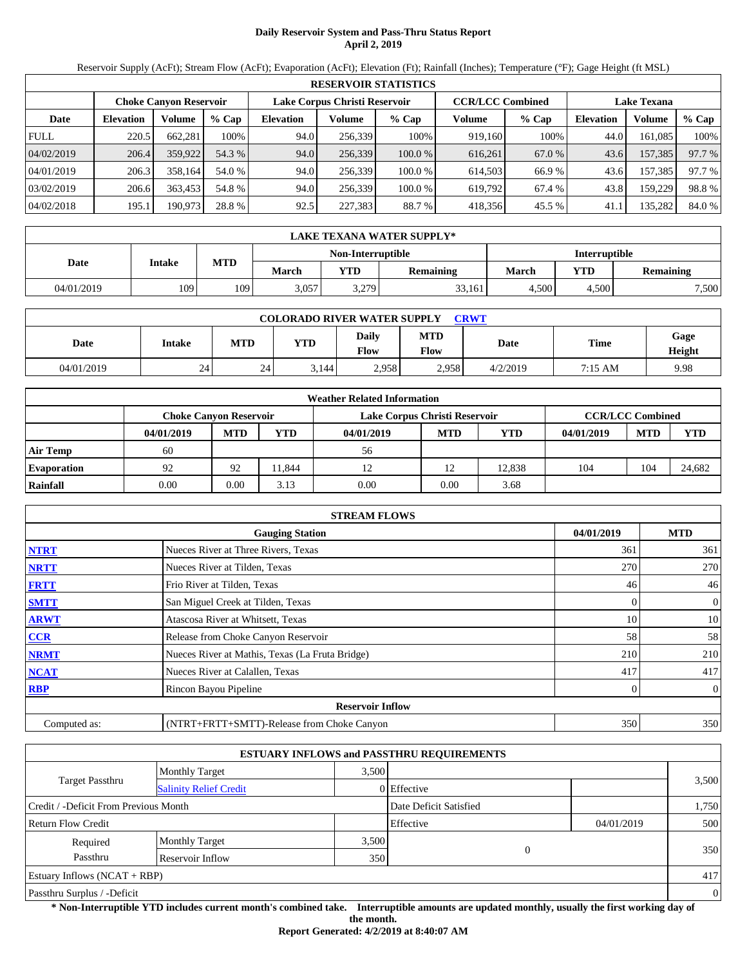# **Daily Reservoir System and Pass-Thru Status Report April 2, 2019**

Reservoir Supply (AcFt); Stream Flow (AcFt); Evaporation (AcFt); Elevation (Ft); Rainfall (Inches); Temperature (°F); Gage Height (ft MSL)

|             | <b>RESERVOIR STATISTICS</b> |                               |         |                  |                               |         |                         |        |                    |         |        |  |
|-------------|-----------------------------|-------------------------------|---------|------------------|-------------------------------|---------|-------------------------|--------|--------------------|---------|--------|--|
|             |                             | <b>Choke Canvon Reservoir</b> |         |                  | Lake Corpus Christi Reservoir |         | <b>CCR/LCC Combined</b> |        | <b>Lake Texana</b> |         |        |  |
| Date        | <b>Elevation</b>            | Volume                        | $%$ Cap | <b>Elevation</b> | Volume                        | $%$ Cap | Volume                  | % Cap  | <b>Elevation</b>   | Volume  | % Cap  |  |
| <b>FULL</b> | 220.5                       | 662,281                       | 100%    | 94.0             | 256.339                       | 100%    | 919,160                 | 100%   | 44.0               | 161,085 | 100%   |  |
| 04/02/2019  | 206.4                       | 359,922                       | 54.3 %  | 94.0             | 256,339                       | 100.0%  | 616,261                 | 67.0 % | 43.6               | 157,385 | 97.7 % |  |
| 04/01/2019  | 206.3                       | 358.164                       | 54.0 %  | 94.0             | 256.339                       | 100.0%  | 614.503                 | 66.9 % | 43.6               | 157,385 | 97.7 % |  |
| 03/02/2019  | 206.6                       | 363.453                       | 54.8 %  | 94.0             | 256.339                       | 100.0 % | 619.792                 | 67.4 % | 43.8               | 159,229 | 98.8%  |  |
| 04/02/2018  | 195.1                       | 190,973                       | 28.8 %  | 92.5             | 227,383                       | 88.7 %  | 418,356                 | 45.5 % | 41.1               | 135,282 | 84.0 % |  |

|            | LAKE TEXANA WATER SUPPLY* |                                           |              |            |                  |       |       |           |  |  |
|------------|---------------------------|-------------------------------------------|--------------|------------|------------------|-------|-------|-----------|--|--|
|            |                           | Non-Interruptible<br><b>Interruptible</b> |              |            |                  |       |       |           |  |  |
| Date       | Intake                    | <b>MTD</b>                                | <b>March</b> | <b>VTD</b> | <b>Remaining</b> | March | YTD   | Remaining |  |  |
| 04/01/2019 | 109                       | 109                                       | 3,057        | 3.279      | 33,161           | 4,500 | 4.500 | 7,500     |  |  |

| <b>COLORADO RIVER WATER SUPPLY</b><br><b>CRWT</b> |        |     |            |                      |                    |          |         |                |  |  |
|---------------------------------------------------|--------|-----|------------|----------------------|--------------------|----------|---------|----------------|--|--|
| Date                                              | Intake | MTD | <b>YTD</b> | <b>Daily</b><br>Flow | MTD<br><b>Flow</b> | Date     | Time    | Gage<br>Height |  |  |
| 04/01/2019                                        | 24     | 24  | 3.144      | 2,958                | 2,958              | 4/2/2019 | 7:15 AM | 9.98           |  |  |

|                    |                               |            |            | <b>Weather Related Information</b> |            |        |            |                         |            |
|--------------------|-------------------------------|------------|------------|------------------------------------|------------|--------|------------|-------------------------|------------|
|                    | <b>Choke Canvon Reservoir</b> |            |            | Lake Corpus Christi Reservoir      |            |        |            | <b>CCR/LCC Combined</b> |            |
|                    | 04/01/2019                    | <b>MTD</b> | <b>YTD</b> | 04/01/2019                         | <b>MTD</b> | YTD    | 04/01/2019 | <b>MTD</b>              | <b>YTD</b> |
| <b>Air Temp</b>    | 60                            |            |            | 56                                 |            |        |            |                         |            |
| <b>Evaporation</b> | 92                            | 92         | 1.844      |                                    | 12         | 12.838 | 104        | 104                     | 24.682     |
| Rainfall           | 0.00                          | 0.00       | 3.13       | 0.00                               | 0.00       | 3.68   |            |                         |            |

|              | <b>STREAM FLOWS</b>                             |            |                |
|--------------|-------------------------------------------------|------------|----------------|
|              | <b>Gauging Station</b>                          | 04/01/2019 | <b>MTD</b>     |
| <b>NTRT</b>  | Nueces River at Three Rivers, Texas             | 361        | 361            |
| <b>NRTT</b>  | Nueces River at Tilden, Texas                   | 270        | 270            |
| <b>FRTT</b>  | Frio River at Tilden, Texas                     | 46         | 46             |
| <b>SMTT</b>  | San Miguel Creek at Tilden, Texas               | 0          | $\overline{0}$ |
| <b>ARWT</b>  | Atascosa River at Whitsett, Texas               | 10         | 10             |
| <b>CCR</b>   | Release from Choke Canyon Reservoir             | 58         | 58             |
| <b>NRMT</b>  | Nueces River at Mathis, Texas (La Fruta Bridge) | 210        | 210            |
| <b>NCAT</b>  | Nueces River at Calallen, Texas                 | 417        | 417            |
| <b>RBP</b>   | Rincon Bayou Pipeline                           | 0          | $\overline{0}$ |
|              | <b>Reservoir Inflow</b>                         |            |                |
| Computed as: | (NTRT+FRTT+SMTT)-Release from Choke Canyon      | 350        | 350            |

|                                       |                               |       | <b>ESTUARY INFLOWS and PASSTHRU REQUIREMENTS</b> |            |                |
|---------------------------------------|-------------------------------|-------|--------------------------------------------------|------------|----------------|
|                                       | <b>Monthly Target</b>         | 3.500 |                                                  |            |                |
| <b>Target Passthru</b>                | <b>Salinity Relief Credit</b> |       | 0 Effective                                      |            | 3,500          |
| Credit / -Deficit From Previous Month |                               |       | Date Deficit Satisfied                           |            | 1,750          |
| <b>Return Flow Credit</b>             |                               |       | Effective                                        | 04/01/2019 | 500            |
| Required                              | <b>Monthly Target</b>         | 3,500 |                                                  |            |                |
| Passthru                              | Reservoir Inflow              | 350   | 0                                                |            | 350            |
| Estuary Inflows $(NCAT + RBP)$        |                               |       |                                                  |            | 417            |
| Passthru Surplus / -Deficit           |                               |       |                                                  |            | $\overline{0}$ |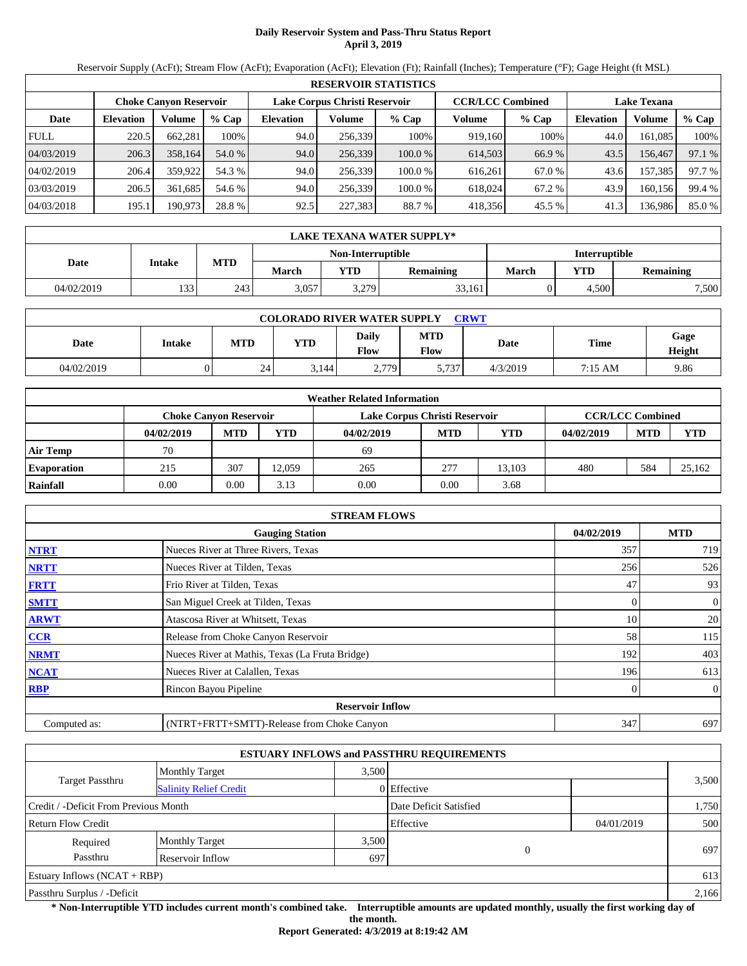# **Daily Reservoir System and Pass-Thru Status Report April 3, 2019**

Reservoir Supply (AcFt); Stream Flow (AcFt); Evaporation (AcFt); Elevation (Ft); Rainfall (Inches); Temperature (°F); Gage Height (ft MSL)

|             |                  |                               |         |                               |         | <b>RESERVOIR STATISTICS</b> |                         |        |                    |         |        |
|-------------|------------------|-------------------------------|---------|-------------------------------|---------|-----------------------------|-------------------------|--------|--------------------|---------|--------|
|             |                  | <b>Choke Canvon Reservoir</b> |         | Lake Corpus Christi Reservoir |         |                             | <b>CCR/LCC Combined</b> |        | <b>Lake Texana</b> |         |        |
| Date        | <b>Elevation</b> | Volume                        | $%$ Cap | <b>Elevation</b>              | Volume  | $%$ Cap                     | Volume                  | % Cap  | <b>Elevation</b>   | Volume  | % Cap  |
| <b>FULL</b> | 220.5            | 662,281                       | 100%    | 94.0                          | 256.339 | 100%                        | 919,160                 | 100%   | 44.0               | 161,085 | 100%   |
| 04/03/2019  | 206.3            | 358,164                       | 54.0 %  | 94.0                          | 256,339 | 100.0%                      | 614,503                 | 66.9 % | 43.5               | 156,467 | 97.1 % |
| 04/02/2019  | 206.4            | 359,922                       | 54.3 %  | 94.0                          | 256.339 | 100.0%                      | 616.261                 | 67.0 % | 43.6               | 157,385 | 97.7 % |
| 03/03/2019  | 206.5            | 361.685                       | 54.6 %  | 94.0                          | 256.339 | 100.0 %                     | 618,024                 | 67.2 % | 43.9               | 160.156 | 99.4 % |
| 04/03/2018  | 195.1            | 190,973                       | 28.8 %  | 92.5                          | 227,383 | 88.7 %                      | 418,356                 | 45.5 % | 41.3               | 136,986 | 85.0%  |

|            | LAKE TEXANA WATER SUPPLY* |            |              |                   |                  |                      |       |           |  |  |
|------------|---------------------------|------------|--------------|-------------------|------------------|----------------------|-------|-----------|--|--|
|            |                           |            |              | Non-Interruptible |                  | <b>Interruptible</b> |       |           |  |  |
| Date       | Intake                    | <b>MTD</b> | <b>March</b> | <b>VTD</b>        | <b>Remaining</b> | <b>March</b>         | YTD   | Remaining |  |  |
| 04/02/2019 | 133                       | 243        | 3,057        | 3.279             | 33,161           |                      | 4.500 | 7,500     |  |  |

| <b>COLORADO RIVER WATER SUPPLY</b><br><b>CRWT</b> |        |     |            |                      |             |          |         |                |  |
|---------------------------------------------------|--------|-----|------------|----------------------|-------------|----------|---------|----------------|--|
| Date                                              | Intake | MTD | <b>YTD</b> | <b>Daily</b><br>Flow | MTD<br>Flow | Date     | Time    | Gage<br>Height |  |
| 04/02/2019                                        |        | 24  | 3.144      | 2,779                | 5,737       | 4/3/2019 | 7:15 AM | 9.86           |  |

|                    |                               |            |            | <b>Weather Related Information</b> |            |        |            |                         |            |
|--------------------|-------------------------------|------------|------------|------------------------------------|------------|--------|------------|-------------------------|------------|
|                    | <b>Choke Canvon Reservoir</b> |            |            | Lake Corpus Christi Reservoir      |            |        |            | <b>CCR/LCC Combined</b> |            |
|                    | 04/02/2019                    | <b>MTD</b> | <b>YTD</b> | 04/02/2019                         | <b>MTD</b> | YTD    | 04/02/2019 | <b>MTD</b>              | <b>YTD</b> |
| <b>Air Temp</b>    | 70                            |            |            | 69                                 |            |        |            |                         |            |
| <b>Evaporation</b> | 215                           | 307        | 12.059     | 265                                | 277        | 13.103 | 480        | 584                     | 25.162     |
| Rainfall           | 0.00                          | 0.00       | 3.13       | 0.00                               | 0.00       | 3.68   |            |                         |            |

|              | <b>STREAM FLOWS</b>                             |            |                |
|--------------|-------------------------------------------------|------------|----------------|
|              | <b>Gauging Station</b>                          | 04/02/2019 | <b>MTD</b>     |
| <b>NTRT</b>  | Nueces River at Three Rivers, Texas             | 357        | 719            |
| <b>NRTT</b>  | Nueces River at Tilden, Texas                   | 256        | 526            |
| <b>FRTT</b>  | Frio River at Tilden, Texas                     | 47         | 93             |
| <b>SMTT</b>  | San Miguel Creek at Tilden, Texas               | $\Omega$   | $\overline{0}$ |
| <b>ARWT</b>  | Atascosa River at Whitsett, Texas               | 10         | 20             |
| <b>CCR</b>   | Release from Choke Canyon Reservoir             | 58         | 115            |
| <b>NRMT</b>  | Nueces River at Mathis, Texas (La Fruta Bridge) | 192        | 403            |
| <b>NCAT</b>  | Nueces River at Calallen, Texas                 | 196        | 613            |
| <b>RBP</b>   | Rincon Bayou Pipeline                           | 0          | $\overline{0}$ |
|              | <b>Reservoir Inflow</b>                         |            |                |
| Computed as: | (NTRT+FRTT+SMTT)-Release from Choke Canyon      | 347        | 697            |

|                                                         |                       |       | <b>ESTUARY INFLOWS and PASSTHRU REQUIREMENTS</b> |            |       |
|---------------------------------------------------------|-----------------------|-------|--------------------------------------------------|------------|-------|
|                                                         | <b>Monthly Target</b> | 3.500 |                                                  |            |       |
| <b>Target Passthru</b><br><b>Salinity Relief Credit</b> |                       |       | 0 Effective                                      |            | 3,500 |
| Credit / -Deficit From Previous Month                   |                       |       | Date Deficit Satisfied                           |            | 1,750 |
| <b>Return Flow Credit</b>                               |                       |       | Effective                                        | 04/01/2019 | 500   |
| Required                                                | <b>Monthly Target</b> | 3,500 |                                                  |            |       |
| Passthru                                                | Reservoir Inflow      | 697   | $\theta$                                         |            | 697   |
| Estuary Inflows $(NCAT + RBP)$                          |                       |       |                                                  |            | 613   |
| Passthru Surplus / -Deficit                             |                       |       |                                                  |            | 2,166 |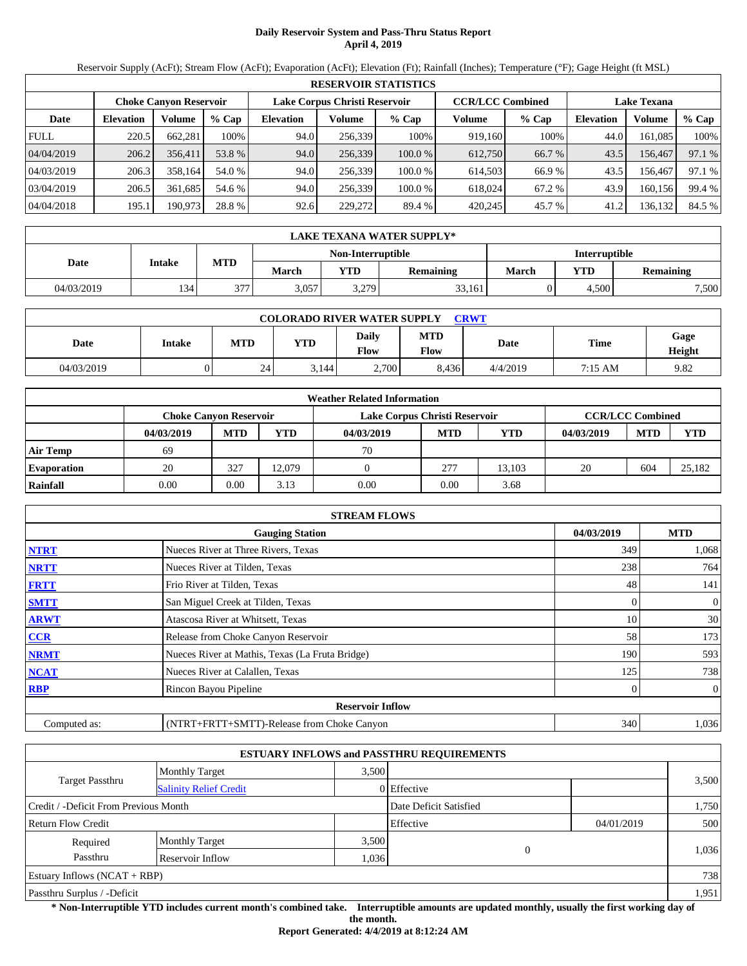# **Daily Reservoir System and Pass-Thru Status Report April 4, 2019**

Reservoir Supply (AcFt); Stream Flow (AcFt); Evaporation (AcFt); Elevation (Ft); Rainfall (Inches); Temperature (°F); Gage Height (ft MSL)

|             |                  |                               |         |                               |         | <b>RESERVOIR STATISTICS</b> |                         |         |                    |         |        |
|-------------|------------------|-------------------------------|---------|-------------------------------|---------|-----------------------------|-------------------------|---------|--------------------|---------|--------|
|             |                  | <b>Choke Canyon Reservoir</b> |         | Lake Corpus Christi Reservoir |         |                             | <b>CCR/LCC Combined</b> |         | <b>Lake Texana</b> |         |        |
| Date        | <b>Elevation</b> | Volume                        | $%$ Cap | <b>Elevation</b>              | Volume  | $%$ Cap                     | Volume                  | $%$ Cap | <b>Elevation</b>   | Volume  | % Cap  |
| <b>FULL</b> | 220.5            | 662.281                       | 100%    | 94.0                          | 256.339 | 100%                        | 919.160                 | 100%    | 44.0               | 161.085 | 100%   |
| 04/04/2019  | 206.2            | 356.411                       | 53.8 %  | 94.0                          | 256,339 | 100.0%                      | 612.750                 | 66.7 %  | 43.5               | 156.467 | 97.1 % |
| 04/03/2019  | 206.3            | 358.164                       | 54.0 %  | 94.0                          | 256.339 | 100.0 %                     | 614.503                 | 66.9%   | 43.5               | 156.467 | 97.1 % |
| 03/04/2019  | 206.5            | 361.685                       | 54.6 %  | 94.0                          | 256.339 | 100.0 %                     | 618,024                 | 67.2 %  | 43.9               | 160.156 | 99.4 % |
| 04/04/2018  | 195.1            | 190,973                       | 28.8 %  | 92.6                          | 229,272 | 89.4 %                      | 420.245                 | 45.7 %  | 41.2               | 136,132 | 84.5 % |

|            | LAKE TEXANA WATER SUPPLY* |            |              |                   |                  |                      |       |           |  |  |
|------------|---------------------------|------------|--------------|-------------------|------------------|----------------------|-------|-----------|--|--|
|            |                           |            |              | Non-Interruptible |                  | <b>Interruptible</b> |       |           |  |  |
| Date       | Intake                    | <b>MTD</b> | <b>March</b> | $\mathbf{v}$ TD   | <b>Remaining</b> | <b>March</b>         | YTD   | Remaining |  |  |
| 04/03/2019 | 134                       | 377        | 3,057        | 3.279             | 33,161           |                      | 4,500 | 7,500     |  |  |

| <b>COLORADO RIVER WATER SUPPLY</b><br><b>CRWT</b> |        |     |            |                      |             |          |             |                |  |
|---------------------------------------------------|--------|-----|------------|----------------------|-------------|----------|-------------|----------------|--|
| Date                                              | Intake | MTD | <b>YTD</b> | <b>Daily</b><br>Flow | MTD<br>Flow | Date     | <b>Time</b> | Gage<br>Height |  |
| 04/03/2019                                        |        | 24  | 3.144      | 2,700                | 8,436       | 4/4/2019 | 7:15 AM     | 9.82           |  |

|                    |                               |            |            | <b>Weather Related Information</b> |            |            |            |                         |            |
|--------------------|-------------------------------|------------|------------|------------------------------------|------------|------------|------------|-------------------------|------------|
|                    | <b>Choke Canvon Reservoir</b> |            |            | Lake Corpus Christi Reservoir      |            |            |            | <b>CCR/LCC Combined</b> |            |
|                    | 04/03/2019                    | <b>MTD</b> | <b>YTD</b> | 04/03/2019                         | <b>MTD</b> | <b>YTD</b> | 04/03/2019 | <b>MTD</b>              | <b>YTD</b> |
| Air Temp           | 69                            |            |            | 70                                 |            |            |            |                         |            |
| <b>Evaporation</b> | 20                            | 327        | 12.079     |                                    | 277        | 13.103     | 20         | 604                     | 25.182     |
| Rainfall           | 0.00                          | 0.00       | 3.13       | 0.00                               | 0.00       | 3.68       |            |                         |            |

|              | <b>STREAM FLOWS</b>                             |            |              |
|--------------|-------------------------------------------------|------------|--------------|
|              | <b>Gauging Station</b>                          | 04/03/2019 | <b>MTD</b>   |
| <b>NTRT</b>  | Nueces River at Three Rivers, Texas             | 349        | 1,068        |
| <b>NRTT</b>  | Nueces River at Tilden, Texas                   | 238        | 764          |
| <b>FRTT</b>  | Frio River at Tilden, Texas                     | 48         | 141          |
| <b>SMTT</b>  | San Miguel Creek at Tilden, Texas               | 0          | $\mathbf{0}$ |
| <b>ARWT</b>  | Atascosa River at Whitsett, Texas               | 10         | 30           |
| CCR          | Release from Choke Canyon Reservoir             | 58         | 173          |
| <b>NRMT</b>  | Nueces River at Mathis, Texas (La Fruta Bridge) | 190        | 593          |
| <b>NCAT</b>  | Nueces River at Calallen, Texas                 | 125        | 738          |
| <b>RBP</b>   | Rincon Bayou Pipeline                           |            | $\mathbf{0}$ |
|              | <b>Reservoir Inflow</b>                         |            |              |
| Computed as: | (NTRT+FRTT+SMTT)-Release from Choke Canyon      | 340        | 1,036        |

|                                       |                               |       | <b>ESTUARY INFLOWS and PASSTHRU REQUIREMENTS</b> |            |       |
|---------------------------------------|-------------------------------|-------|--------------------------------------------------|------------|-------|
|                                       | <b>Monthly Target</b>         | 3.500 |                                                  |            |       |
| Target Passthru                       | <b>Salinity Relief Credit</b> |       | 0 Effective                                      |            | 3,500 |
| Credit / -Deficit From Previous Month |                               |       | Date Deficit Satisfied                           |            | 1,750 |
| <b>Return Flow Credit</b>             |                               |       | Effective                                        | 04/01/2019 | 500   |
| Required                              | <b>Monthly Target</b>         | 3,500 |                                                  |            |       |
| Passthru                              | Reservoir Inflow              | 0.036 | $\Omega$                                         |            | 1,036 |
| Estuary Inflows $(NCAT + RBP)$        |                               |       |                                                  |            | 738   |
| Passthru Surplus / -Deficit           |                               |       |                                                  |            | 1,951 |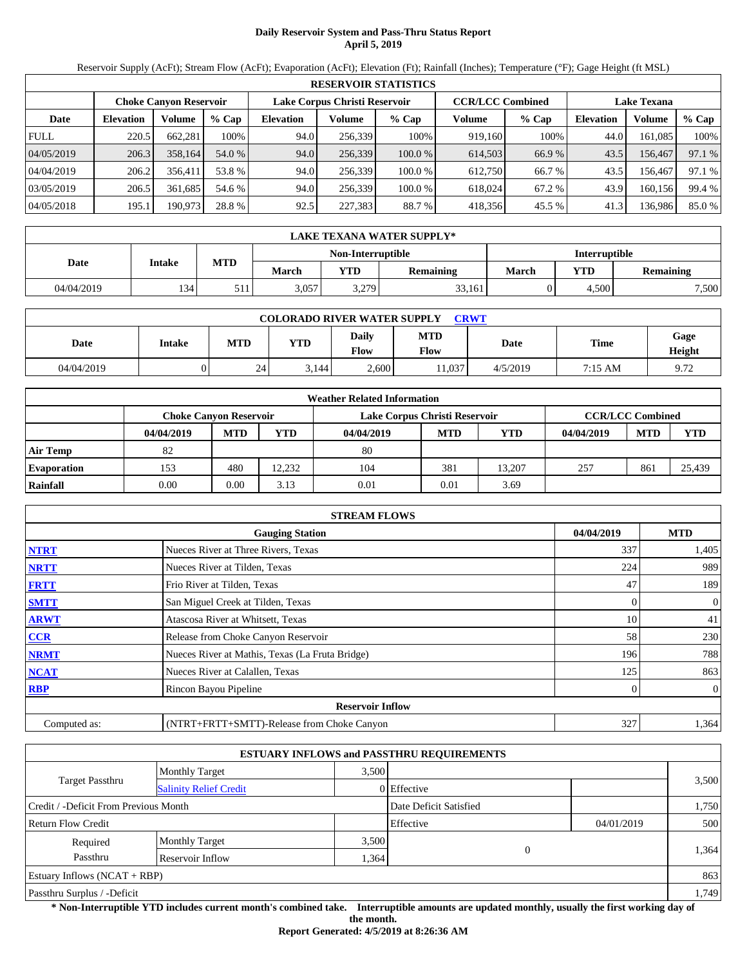# **Daily Reservoir System and Pass-Thru Status Report April 5, 2019**

Reservoir Supply (AcFt); Stream Flow (AcFt); Evaporation (AcFt); Elevation (Ft); Rainfall (Inches); Temperature (°F); Gage Height (ft MSL)

|             | <b>RESERVOIR STATISTICS</b> |                               |         |                               |         |         |                         |         |                    |         |        |  |
|-------------|-----------------------------|-------------------------------|---------|-------------------------------|---------|---------|-------------------------|---------|--------------------|---------|--------|--|
|             |                             | <b>Choke Canyon Reservoir</b> |         | Lake Corpus Christi Reservoir |         |         | <b>CCR/LCC Combined</b> |         | <b>Lake Texana</b> |         |        |  |
| Date        | <b>Elevation</b>            | Volume                        | $%$ Cap | <b>Elevation</b>              | Volume  | $%$ Cap | Volume                  | $%$ Cap | <b>Elevation</b>   | Volume  | % Cap  |  |
| <b>FULL</b> | 220.5                       | 662,281                       | 100%    | 94.0                          | 256,339 | 100%    | 919.160                 | 100%    | 44.0               | 161.085 | 100%   |  |
| 04/05/2019  | 206.3                       | 358,164                       | 54.0 %  | 94.0                          | 256,339 | 100.0%  | 614,503                 | 66.9%   | 43.5               | 156,467 | 97.1 % |  |
| 04/04/2019  | 206.2                       | 356.411                       | 53.8 %  | 94.0                          | 256.339 | 100.0 % | 612.750                 | 66.7 %  | 43.5               | 156.467 | 97.1 % |  |
| 03/05/2019  | 206.5                       | 361.685                       | 54.6 %  | 94.0                          | 256,339 | 100.0 % | 618,024                 | 67.2 %  | 43.9               | 160.156 | 99.4 % |  |
| 04/05/2018  | 195.1                       | 190,973                       | 28.8 %  | 92.5                          | 227,383 | 88.7 %  | 418,356                 | 45.5 %  | 41.3               | 136,986 | 85.0%  |  |

|            | LAKE TEXANA WATER SUPPLY* |            |              |                   |                  |                      |       |           |  |  |
|------------|---------------------------|------------|--------------|-------------------|------------------|----------------------|-------|-----------|--|--|
|            |                           |            |              | Non-Interruptible |                  | <b>Interruptible</b> |       |           |  |  |
| Date       | Intake                    | <b>MTD</b> | <b>March</b> | $\mathbf{v}$ TD   | <b>Remaining</b> | <b>March</b>         | YTD   | Remaining |  |  |
| 04/04/2019 | 134                       | J 11       | 3,057        | 3.279             | 33,161           |                      | 4,500 | 7,500     |  |  |

| <b>COLORADO RIVER WATER SUPPLY</b><br><b>CRWT</b> |        |            |            |               |             |          |             |                |  |  |
|---------------------------------------------------|--------|------------|------------|---------------|-------------|----------|-------------|----------------|--|--|
| Date                                              | Intake | <b>MTD</b> | <b>YTD</b> | Daily<br>Flow | MTD<br>Flow | Date     | <b>Time</b> | Gage<br>Height |  |  |
| 04/04/2019                                        |        | 24         | 3,144      | 2.600         | 1.037       | 4/5/2019 | 7:15 AM     | 9.72           |  |  |

|                    |                               |            |            | <b>Weather Related Information</b> |            |        |            |                         |            |
|--------------------|-------------------------------|------------|------------|------------------------------------|------------|--------|------------|-------------------------|------------|
|                    | <b>Choke Canvon Reservoir</b> |            |            | Lake Corpus Christi Reservoir      |            |        |            | <b>CCR/LCC Combined</b> |            |
|                    | 04/04/2019                    | <b>MTD</b> | <b>YTD</b> | 04/04/2019                         | <b>MTD</b> | YTD    | 04/04/2019 | <b>MTD</b>              | <b>YTD</b> |
| <b>Air Temp</b>    | 82                            |            |            | 80                                 |            |        |            |                         |            |
| <b>Evaporation</b> | 153                           | 480        | 12.232     | 104                                | 381        | 13.207 | 257        | 861                     | 25,439     |
| Rainfall           | 0.00                          | 0.00       | 3.13       | 0.01                               | 0.01       | 3.69   |            |                         |            |

|              | <b>STREAM FLOWS</b>                             |            |                  |
|--------------|-------------------------------------------------|------------|------------------|
|              | <b>Gauging Station</b>                          | 04/04/2019 | <b>MTD</b>       |
| <b>NTRT</b>  | Nueces River at Three Rivers, Texas             | 337        | 1,405            |
| <b>NRTT</b>  | Nueces River at Tilden, Texas                   | 224        | 989              |
| <b>FRTT</b>  | Frio River at Tilden, Texas                     | 47         | 189              |
| <b>SMTT</b>  | San Miguel Creek at Tilden, Texas               | 0          | $\mathbf{0}$     |
| <b>ARWT</b>  | Atascosa River at Whitsett, Texas               | 10         | 41               |
| CCR          | Release from Choke Canyon Reservoir             | 58         | 230              |
| <b>NRMT</b>  | Nueces River at Mathis, Texas (La Fruta Bridge) | 196        | 788              |
| <b>NCAT</b>  | Nueces River at Calallen, Texas                 | 125        | 863              |
| <b>RBP</b>   | Rincon Bayou Pipeline                           |            | $\boldsymbol{0}$ |
|              | <b>Reservoir Inflow</b>                         |            |                  |
| Computed as: | (NTRT+FRTT+SMTT)-Release from Choke Canyon      | 327        | 1,364            |

|                                                         |                       |       | <b>ESTUARY INFLOWS and PASSTHRU REQUIREMENTS</b> |            |       |
|---------------------------------------------------------|-----------------------|-------|--------------------------------------------------|------------|-------|
|                                                         | <b>Monthly Target</b> | 3,500 |                                                  |            |       |
| <b>Target Passthru</b><br><b>Salinity Relief Credit</b> |                       |       | 0 Effective                                      |            | 3,500 |
| Credit / -Deficit From Previous Month                   |                       |       | Date Deficit Satisfied                           |            | 1,750 |
| <b>Return Flow Credit</b>                               |                       |       | Effective                                        | 04/01/2019 | 500   |
| Required                                                | <b>Monthly Target</b> | 3,500 |                                                  |            |       |
| Passthru                                                | Reservoir Inflow      | .364  | $\Omega$                                         |            | 1,364 |
| Estuary Inflows $(NCAT + RBP)$                          |                       |       |                                                  |            | 863   |
| Passthru Surplus / -Deficit                             |                       |       |                                                  |            | 1,749 |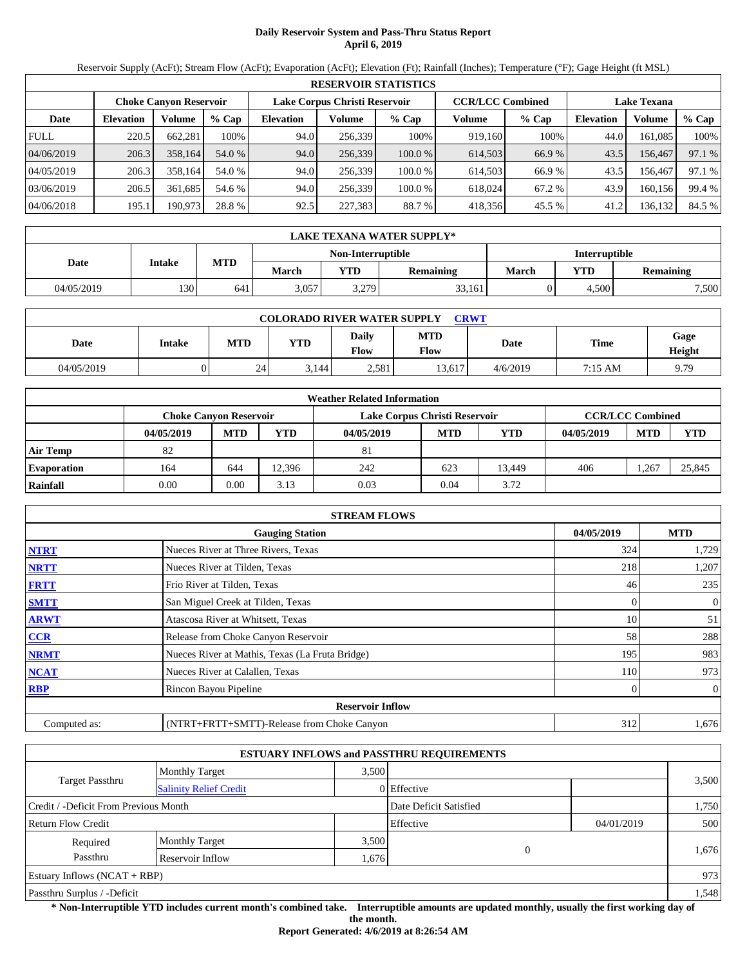# **Daily Reservoir System and Pass-Thru Status Report April 6, 2019**

Reservoir Supply (AcFt); Stream Flow (AcFt); Evaporation (AcFt); Elevation (Ft); Rainfall (Inches); Temperature (°F); Gage Height (ft MSL)

|             | <b>RESERVOIR STATISTICS</b> |                               |         |                  |                               |         |                         |         |                    |         |        |  |
|-------------|-----------------------------|-------------------------------|---------|------------------|-------------------------------|---------|-------------------------|---------|--------------------|---------|--------|--|
|             |                             | <b>Choke Canyon Reservoir</b> |         |                  | Lake Corpus Christi Reservoir |         | <b>CCR/LCC Combined</b> |         | <b>Lake Texana</b> |         |        |  |
| Date        | <b>Elevation</b>            | Volume                        | $%$ Cap | <b>Elevation</b> | Volume                        | $%$ Cap | Volume                  | $%$ Cap | <b>Elevation</b>   | Volume  | % Cap  |  |
| <b>FULL</b> | 220.5                       | 662.281                       | 100%    | 94.0             | 256.339                       | 100%    | 919.160                 | 100%    | 44.0               | 161.085 | 100%   |  |
| 04/06/2019  | 206.3                       | 358,164                       | 54.0 %  | 94.0             | 256,339                       | 100.0%  | 614,503                 | 66.9%   | 43.5               | 156.467 | 97.1 % |  |
| 04/05/2019  | 206.3                       | 358.164                       | 54.0 %  | 94.0             | 256.339                       | 100.0 % | 614.503                 | 66.9%   | 43.5               | 156.467 | 97.1 % |  |
| 03/06/2019  | 206.5                       | 361.685                       | 54.6 %  | 94.0             | 256.339                       | 100.0 % | 618,024                 | 67.2 %  | 43.9               | 160.156 | 99.4 % |  |
| 04/06/2018  | 195.1                       | 190,973                       | 28.8 %  | 92.5             | 227,383                       | 88.7 %  | 418,356                 | 45.5 %  | 41.2               | 136,132 | 84.5 % |  |

|            | LAKE TEXANA WATER SUPPLY* |            |              |                   |                  |                      |       |           |  |  |
|------------|---------------------------|------------|--------------|-------------------|------------------|----------------------|-------|-----------|--|--|
|            |                           |            |              | Non-Interruptible |                  | <b>Interruptible</b> |       |           |  |  |
| Date       | Intake                    | <b>MTD</b> | <b>March</b> | $\mathbf{v}$ TD   | <b>Remaining</b> | <b>March</b>         | YTD   | Remaining |  |  |
| 04/05/2019 | 130                       | 641        | 3,057        | 3.279             | 33,161           |                      | 4,500 | 7,500     |  |  |

| <b>COLORADO RIVER WATER SUPPLY</b><br><b>CRWT</b> |        |            |            |               |             |          |             |                |  |  |
|---------------------------------------------------|--------|------------|------------|---------------|-------------|----------|-------------|----------------|--|--|
| Date                                              | Intake | <b>MTD</b> | <b>YTD</b> | Daily<br>Flow | MTD<br>Flow | Date     | <b>Time</b> | Gage<br>Height |  |  |
| 04/05/2019                                        |        | 24         | 3,144      | 2.581         | 13.617      | 4/6/2019 | 7:15 AM     | 9.79           |  |  |

|                    |                               |            |            | <b>Weather Related Information</b> |            |        |            |                         |            |
|--------------------|-------------------------------|------------|------------|------------------------------------|------------|--------|------------|-------------------------|------------|
|                    | <b>Choke Canvon Reservoir</b> |            |            | Lake Corpus Christi Reservoir      |            |        |            | <b>CCR/LCC Combined</b> |            |
|                    | 04/05/2019                    | <b>MTD</b> | <b>YTD</b> | 04/05/2019                         | <b>MTD</b> | YTD    | 04/05/2019 | <b>MTD</b>              | <b>YTD</b> |
| <b>Air Temp</b>    | 82                            |            |            | 81                                 |            |        |            |                         |            |
| <b>Evaporation</b> | 164                           | 644        | 12.396     | 242                                | 623        | 13.449 | 406        | .267                    | 25.845     |
| Rainfall           | 0.00                          | 0.00       | 3.13       | 0.03                               | 0.04       | 3.72   |            |                         |            |

|              | <b>STREAM FLOWS</b>                             |            |              |
|--------------|-------------------------------------------------|------------|--------------|
|              | <b>Gauging Station</b>                          | 04/05/2019 | <b>MTD</b>   |
| <b>NTRT</b>  | Nueces River at Three Rivers, Texas             | 324        | 1,729        |
| <b>NRTT</b>  | Nueces River at Tilden, Texas                   | 218        | 1,207        |
| <b>FRTT</b>  | Frio River at Tilden, Texas                     | 46         | 235          |
| <b>SMTT</b>  | San Miguel Creek at Tilden, Texas               | 0          | $\mathbf{0}$ |
| <b>ARWT</b>  | Atascosa River at Whitsett, Texas               | 10         | 51           |
| CCR          | Release from Choke Canyon Reservoir             | 58         | 288          |
| <b>NRMT</b>  | Nueces River at Mathis, Texas (La Fruta Bridge) | 195        | 983          |
| <b>NCAT</b>  | Nueces River at Calallen, Texas                 | 110        | 973          |
| <b>RBP</b>   | Rincon Bayou Pipeline                           |            | $\mathbf{0}$ |
|              | <b>Reservoir Inflow</b>                         |            |              |
| Computed as: | (NTRT+FRTT+SMTT)-Release from Choke Canyon      | 312        | 1,676        |

|                                                         |                       |       | <b>ESTUARY INFLOWS and PASSTHRU REQUIREMENTS</b> |            |       |
|---------------------------------------------------------|-----------------------|-------|--------------------------------------------------|------------|-------|
|                                                         | <b>Monthly Target</b> | 3,500 |                                                  |            |       |
| <b>Target Passthru</b><br><b>Salinity Relief Credit</b> |                       |       | 0 Effective                                      |            | 3,500 |
| Credit / -Deficit From Previous Month                   |                       |       | Date Deficit Satisfied                           |            | 1,750 |
| <b>Return Flow Credit</b>                               |                       |       | Effective                                        | 04/01/2019 | 500   |
| Required                                                | <b>Monthly Target</b> | 3,500 |                                                  |            |       |
| Passthru                                                | Reservoir Inflow      | 1,676 | $\mathbf{0}$                                     |            | 1,676 |
| Estuary Inflows $(NCAT + RBP)$                          |                       |       |                                                  |            | 973   |
| Passthru Surplus / -Deficit                             |                       |       |                                                  |            | 1,548 |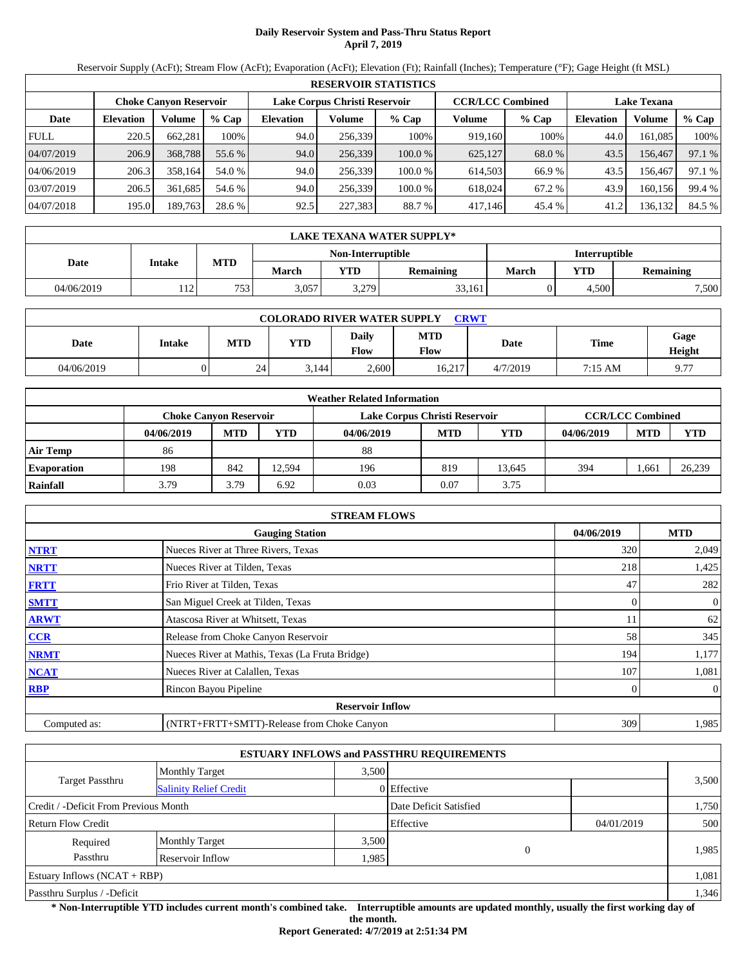# **Daily Reservoir System and Pass-Thru Status Report April 7, 2019**

Reservoir Supply (AcFt); Stream Flow (AcFt); Evaporation (AcFt); Elevation (Ft); Rainfall (Inches); Temperature (°F); Gage Height (ft MSL)

|             | <b>RESERVOIR STATISTICS</b>   |         |         |                  |                               |         |         |                         |                    |         |        |
|-------------|-------------------------------|---------|---------|------------------|-------------------------------|---------|---------|-------------------------|--------------------|---------|--------|
|             | <b>Choke Canyon Reservoir</b> |         |         |                  | Lake Corpus Christi Reservoir |         |         | <b>CCR/LCC Combined</b> | <b>Lake Texana</b> |         |        |
| Date        | <b>Elevation</b>              | Volume  | $%$ Cap | <b>Elevation</b> | Volume                        | $%$ Cap | Volume  | $%$ Cap                 | <b>Elevation</b>   | Volume  | % Cap  |
| <b>FULL</b> | 220.5                         | 662.281 | 100%    | 94.0             | 256.339                       | 100%    | 919.160 | 100%                    | 44.0               | 161.085 | 100%   |
| 04/07/2019  | 206.9                         | 368,788 | 55.6 %  | 94.0             | 256,339                       | 100.0%  | 625,127 | 68.0 %                  | 43.5               | 156.467 | 97.1 % |
| 04/06/2019  | 206.3                         | 358.164 | 54.0 %  | 94.0             | 256.339                       | 100.0 % | 614.503 | 66.9%                   | 43.5               | 156.467 | 97.1 % |
| 03/07/2019  | 206.5                         | 361.685 | 54.6 %  | 94.0             | 256.339                       | 100.0 % | 618,024 | 67.2 %                  | 43.9               | 160.156 | 99.4 % |
| 04/07/2018  | 195.0                         | 189,763 | 28.6 %  | 92.5             | 227,383                       | 88.7 %  | 417,146 | 45.4 %                  | 41.2               | 136,132 | 84.5 % |

|            | LAKE TEXANA WATER SUPPLY* |            |              |                   |                  |                      |       |           |  |  |
|------------|---------------------------|------------|--------------|-------------------|------------------|----------------------|-------|-----------|--|--|
|            |                           |            |              | Non-Interruptible |                  | <b>Interruptible</b> |       |           |  |  |
| Date       | Intake                    | <b>MTD</b> | <b>March</b> | $\mathbf{v}$ TD   | <b>Remaining</b> | <b>March</b>         | YTD   | Remaining |  |  |
| 04/06/2019 | 12<br>11 L                | 753        | 3,057        | 3.279             | 33,161           |                      | 4,500 | 7,500     |  |  |

| <b>COLORADO RIVER WATER SUPPLY</b><br><b>CRWT</b> |        |            |            |               |             |          |             |                |  |  |
|---------------------------------------------------|--------|------------|------------|---------------|-------------|----------|-------------|----------------|--|--|
| Date                                              | Intake | <b>MTD</b> | <b>YTD</b> | Daily<br>Flow | MTD<br>Flow | Date     | <b>Time</b> | Gage<br>Height |  |  |
| 04/06/2019                                        |        | 24         | 3,144      | 2.600         | 16.217      | 4/7/2019 | 7:15 AM     | Q77            |  |  |

|                    |                               |            |            | <b>Weather Related Information</b> |            |        |            |                         |            |
|--------------------|-------------------------------|------------|------------|------------------------------------|------------|--------|------------|-------------------------|------------|
|                    | <b>Choke Canvon Reservoir</b> |            |            | Lake Corpus Christi Reservoir      |            |        |            | <b>CCR/LCC Combined</b> |            |
|                    | 04/06/2019                    | <b>MTD</b> | <b>YTD</b> | 04/06/2019                         | <b>MTD</b> | YTD    | 04/06/2019 | <b>MTD</b>              | <b>YTD</b> |
| <b>Air Temp</b>    | 86                            |            |            | 88                                 |            |        |            |                         |            |
| <b>Evaporation</b> | 198                           | 842        | 12.594     | 196                                | 819        | 13.645 | 394        | .661                    | 26,239     |
| Rainfall           | 3.79                          | 3.79       | 6.92       | 0.03                               | 0.07       | 3.75   |            |                         |            |

|              | <b>STREAM FLOWS</b>                             |            |                |
|--------------|-------------------------------------------------|------------|----------------|
|              | <b>Gauging Station</b>                          | 04/06/2019 | <b>MTD</b>     |
| <b>NTRT</b>  | Nueces River at Three Rivers, Texas             | 320        | 2,049          |
| <b>NRTT</b>  | Nueces River at Tilden, Texas                   | 218        | 1,425          |
| <b>FRTT</b>  | Frio River at Tilden, Texas                     | 47         | 282            |
| <b>SMTT</b>  | San Miguel Creek at Tilden, Texas               | 0          | $\overline{0}$ |
| <b>ARWT</b>  | Atascosa River at Whitsett, Texas               | 11         | 62             |
| CCR          | Release from Choke Canyon Reservoir             | 58         | 345            |
| <b>NRMT</b>  | Nueces River at Mathis, Texas (La Fruta Bridge) | 194        | 1,177          |
| <b>NCAT</b>  | Nueces River at Calallen, Texas                 | 107        | 1,081          |
| <b>RBP</b>   | Rincon Bayou Pipeline                           | 0          | $\overline{0}$ |
|              | <b>Reservoir Inflow</b>                         |            |                |
| Computed as: | (NTRT+FRTT+SMTT)-Release from Choke Canyon      | 309        | 1,985          |

|                                       |                               |             | <b>ESTUARY INFLOWS and PASSTHRU REQUIREMENTS</b> |            |       |  |
|---------------------------------------|-------------------------------|-------------|--------------------------------------------------|------------|-------|--|
|                                       | <b>Monthly Target</b>         | 3.500       |                                                  |            |       |  |
| Target Passthru                       | <b>Salinity Relief Credit</b> | 0 Effective |                                                  |            | 3,500 |  |
| Credit / -Deficit From Previous Month |                               |             | Date Deficit Satisfied                           |            | 1,750 |  |
| <b>Return Flow Credit</b>             |                               |             | Effective                                        | 04/01/2019 | 500   |  |
| Required                              | <b>Monthly Target</b>         | 3,500       |                                                  |            |       |  |
| Passthru<br>Reservoir Inflow          |                               |             | 0<br>.985                                        |            | 1,985 |  |
| Estuary Inflows $(NCAT + RBP)$        |                               |             |                                                  |            | 1,081 |  |
| Passthru Surplus / -Deficit           |                               |             |                                                  |            | 1,346 |  |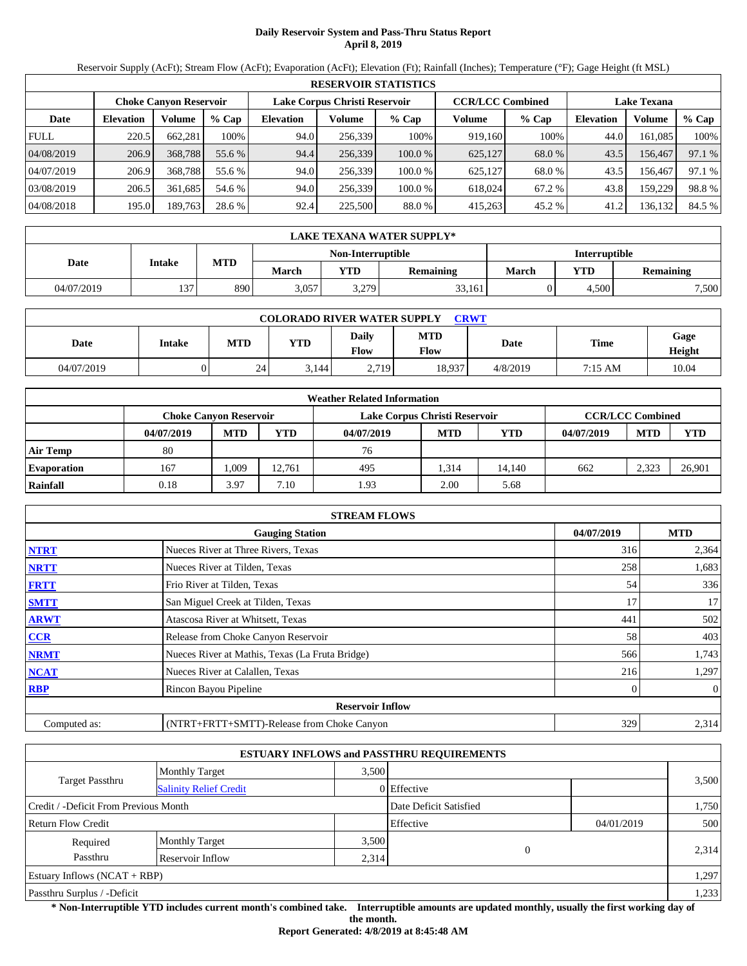# **Daily Reservoir System and Pass-Thru Status Report April 8, 2019**

Reservoir Supply (AcFt); Stream Flow (AcFt); Evaporation (AcFt); Elevation (Ft); Rainfall (Inches); Temperature (°F); Gage Height (ft MSL)

|             | <b>RESERVOIR STATISTICS</b> |                               |         |                               |         |         |                         |         |                    |         |        |
|-------------|-----------------------------|-------------------------------|---------|-------------------------------|---------|---------|-------------------------|---------|--------------------|---------|--------|
|             |                             | <b>Choke Canyon Reservoir</b> |         | Lake Corpus Christi Reservoir |         |         | <b>CCR/LCC Combined</b> |         | <b>Lake Texana</b> |         |        |
| Date        | <b>Elevation</b>            | Volume                        | $%$ Cap | <b>Elevation</b>              | Volume  | $%$ Cap | Volume                  | $%$ Cap | <b>Elevation</b>   | Volume  | % Cap  |
| <b>FULL</b> | 220.5                       | 662,281                       | 100%    | 94.0                          | 256,339 | 100%    | 919.160                 | 100%    | 44.0               | 161.085 | 100%   |
| 04/08/2019  | 206.9                       | 368,788                       | 55.6 %  | 94.4                          | 256,339 | 100.0%  | 625,127                 | 68.0 %  | 43.5               | 156,467 | 97.1 % |
| 04/07/2019  | 206.9                       | 368,788                       | 55.6 %  | 94.0                          | 256.339 | 100.0 % | 625.127                 | 68.0 %  | 43.5               | 156.467 | 97.1 % |
| 03/08/2019  | 206.5                       | 361.685                       | 54.6 %  | 94.0                          | 256,339 | 100.0 % | 618,024                 | 67.2 %  | 43.8               | 159.229 | 98.8%  |
| 04/08/2018  | 195.0                       | 189,763                       | 28.6 %  | 92.4                          | 225,500 | 88.0 %  | 415,263                 | 45.2 %  | 41.2               | 136,132 | 84.5 % |

|            | LAKE TEXANA WATER SUPPLY* |            |              |                   |                  |                      |       |                  |  |  |
|------------|---------------------------|------------|--------------|-------------------|------------------|----------------------|-------|------------------|--|--|
|            |                           |            |              | Non-Interruptible |                  | <b>Interruptible</b> |       |                  |  |  |
| Date       | Intake                    | <b>MTD</b> | <b>March</b> | <b>YTD</b>        | <b>Remaining</b> | March                | YTD   | <b>Remaining</b> |  |  |
| 04/07/2019 | 137                       | 890        | 3.057        | 3.279             | 33,161           |                      | 4.500 | 7,500            |  |  |

| <b>COLORADO RIVER WATER SUPPLY</b><br><b>CRWT</b> |        |            |       |               |             |             |             |                |  |  |
|---------------------------------------------------|--------|------------|-------|---------------|-------------|-------------|-------------|----------------|--|--|
| Date                                              | Intake | <b>MTD</b> | YTD   | Daily<br>Flow | MTD<br>Flow | <b>Date</b> | <b>Time</b> | Gage<br>Height |  |  |
| 04/07/2019                                        |        | 24         | 3,144 | 2.719         | 18.937      | 4/8/2019    | 7:15 AM     | 10.04          |  |  |

|                    |                               |            |            | <b>Weather Related Information</b> |            |        |            |                         |            |
|--------------------|-------------------------------|------------|------------|------------------------------------|------------|--------|------------|-------------------------|------------|
|                    | <b>Choke Canvon Reservoir</b> |            |            | Lake Corpus Christi Reservoir      |            |        |            | <b>CCR/LCC Combined</b> |            |
|                    | 04/07/2019                    | <b>MTD</b> | <b>YTD</b> | 04/07/2019                         | <b>MTD</b> | YTD    | 04/07/2019 | <b>MTD</b>              | <b>YTD</b> |
| <b>Air Temp</b>    | 80                            |            |            | 76                                 |            |        |            |                         |            |
| <b>Evaporation</b> | 167                           | .009       | 12.761     | 495                                | 1.314      | 14.140 | 662        | 2,323                   | 26,901     |
| Rainfall           | 0.18                          | 3.97       | 7.10       | 1.93                               | 2.00       | 5.68   |            |                         |            |

|              | <b>STREAM FLOWS</b>                             |            |              |
|--------------|-------------------------------------------------|------------|--------------|
|              | <b>Gauging Station</b>                          | 04/07/2019 | <b>MTD</b>   |
| <b>NTRT</b>  | Nueces River at Three Rivers, Texas             | 316        | 2,364        |
| <b>NRTT</b>  | Nueces River at Tilden, Texas                   | 258        | 1,683        |
| <b>FRTT</b>  | Frio River at Tilden, Texas                     | 54         | 336          |
| <b>SMTT</b>  | San Miguel Creek at Tilden, Texas               | 17         | 17           |
| <b>ARWT</b>  | Atascosa River at Whitsett, Texas               | 441        | 502          |
| CCR          | Release from Choke Canyon Reservoir             | 58         | 403          |
| <b>NRMT</b>  | Nueces River at Mathis, Texas (La Fruta Bridge) | 566        | 1,743        |
| <b>NCAT</b>  | Nueces River at Calallen, Texas                 | 216        | 1,297        |
| <b>RBP</b>   | Rincon Bayou Pipeline                           |            | $\mathbf{0}$ |
|              | <b>Reservoir Inflow</b>                         |            |              |
| Computed as: | (NTRT+FRTT+SMTT)-Release from Choke Canyon      | 329        | 2,314        |

|                                       |                               |       | <b>ESTUARY INFLOWS and PASSTHRU REQUIREMENTS</b> |            |       |
|---------------------------------------|-------------------------------|-------|--------------------------------------------------|------------|-------|
|                                       | <b>Monthly Target</b>         | 3.500 |                                                  |            |       |
| <b>Target Passthru</b>                | <b>Salinity Relief Credit</b> |       | 0 Effective                                      |            | 3,500 |
| Credit / -Deficit From Previous Month |                               |       | Date Deficit Satisfied                           |            | 1,750 |
| <b>Return Flow Credit</b>             |                               |       | Effective                                        | 04/01/2019 | 500   |
| Required                              | <b>Monthly Target</b>         | 3,500 |                                                  |            |       |
| Passthru                              | Reservoir Inflow              | 2,314 | 0                                                |            | 2,314 |
| Estuary Inflows $(NCAT + RBP)$        |                               |       |                                                  |            | 1,297 |
| Passthru Surplus / -Deficit           |                               |       |                                                  |            | 1,233 |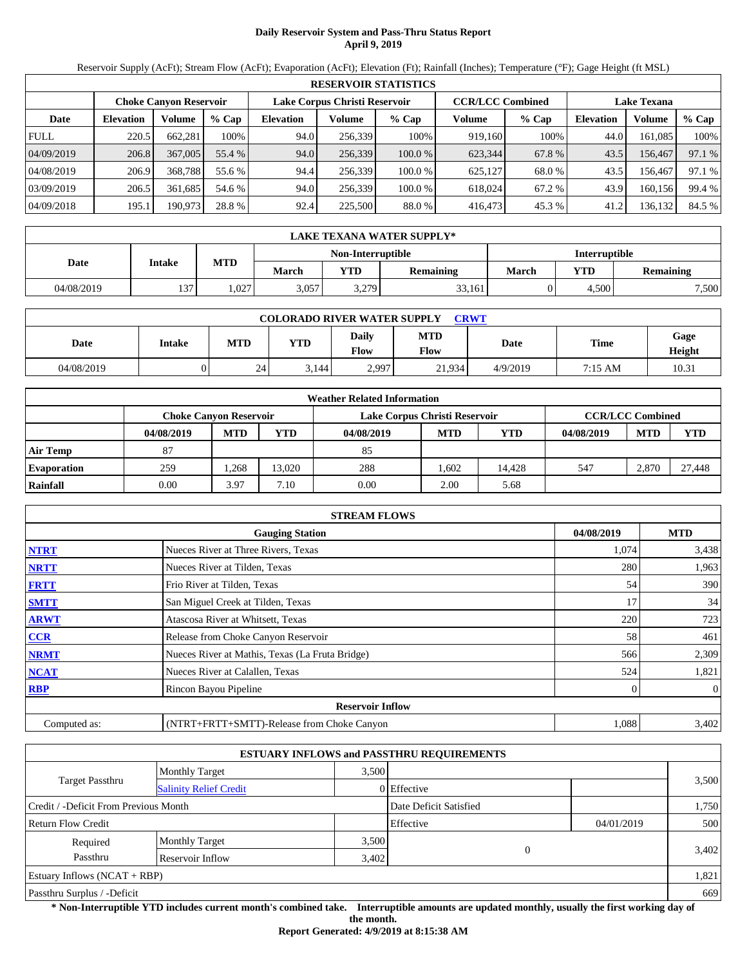# **Daily Reservoir System and Pass-Thru Status Report April 9, 2019**

Reservoir Supply (AcFt); Stream Flow (AcFt); Evaporation (AcFt); Elevation (Ft); Rainfall (Inches); Temperature (°F); Gage Height (ft MSL)

|             | <b>RESERVOIR STATISTICS</b> |                               |         |                               |         |        |                         |         |                    |         |        |  |
|-------------|-----------------------------|-------------------------------|---------|-------------------------------|---------|--------|-------------------------|---------|--------------------|---------|--------|--|
|             |                             | <b>Choke Canvon Reservoir</b> |         | Lake Corpus Christi Reservoir |         |        | <b>CCR/LCC Combined</b> |         | <b>Lake Texana</b> |         |        |  |
| Date        | <b>Elevation</b>            | Volume                        | $%$ Cap | <b>Elevation</b>              | Volume  | % Cap  | Volume                  | $%$ Cap | <b>Elevation</b>   | Volume  | % Cap  |  |
| <b>FULL</b> | 220.5                       | 662.281                       | 100%    | 94.0                          | 256.339 | 100%   | 919.160                 | 100%    | 44.0               | 161.085 | 100%   |  |
| 04/09/2019  | 206.8                       | 367,005                       | 55.4 %  | 94.0                          | 256,339 | 100.0% | 623,344                 | 67.8 %  | 43.5               | 156.467 | 97.1 % |  |
| 04/08/2019  | 206.9                       | 368,788                       | 55.6 %  | 94.4                          | 256.339 | 100.0% | 625,127                 | 68.0 %  | 43.5               | 156.467 | 97.1 % |  |
| 03/09/2019  | 206.5                       | 361.685                       | 54.6 %  | 94.0                          | 256.339 | 100.0% | 618,024                 | 67.2 %  | 43.9               | 160.156 | 99.4 % |  |
| 04/09/2018  | 195.1                       | 190,973                       | 28.8 %  | 92.4                          | 225,500 | 88.0%  | 416,473                 | 45.3 %  | 41.2               | 136,132 | 84.5 % |  |

|            | LAKE TEXANA WATER SUPPLY* |            |       |                   |                  |                      |       |           |  |  |  |
|------------|---------------------------|------------|-------|-------------------|------------------|----------------------|-------|-----------|--|--|--|
|            | Intake                    |            |       | Non-Interruptible |                  | <b>Interruptible</b> |       |           |  |  |  |
| Date       |                           | <b>MTD</b> | March | <b>YTD</b>        | <b>Remaining</b> | March                | YTD   | Remaining |  |  |  |
| 04/08/2019 | 137                       | ,027       | 3,057 | 3,279             | 33,161           |                      | 4.500 | 7,500     |  |  |  |

| <b>COLORADO RIVER WATER SUPPLY</b><br><b>CRWT</b> |        |            |       |               |             |          |             |                |  |  |
|---------------------------------------------------|--------|------------|-------|---------------|-------------|----------|-------------|----------------|--|--|
| Date                                              | Intake | <b>MTD</b> | YTD   | Daily<br>Flow | MTD<br>Flow | Date     | <b>Time</b> | Gage<br>Height |  |  |
| 04/08/2019                                        |        | 24         | 3,144 | 2.997         | 21.934      | 4/9/2019 | 7:15 AM     | 10.31          |  |  |

|                    |                               |                         |            | <b>Weather Related Information</b> |            |        |            |            |            |
|--------------------|-------------------------------|-------------------------|------------|------------------------------------|------------|--------|------------|------------|------------|
|                    | <b>Choke Canvon Reservoir</b> | <b>CCR/LCC Combined</b> |            |                                    |            |        |            |            |            |
|                    | 04/08/2019                    | <b>MTD</b>              | <b>YTD</b> | 04/08/2019                         | <b>MTD</b> | YTD    | 04/08/2019 | <b>MTD</b> | <b>YTD</b> |
| <b>Air Temp</b>    | 87                            |                         |            | 85                                 |            |        |            |            |            |
| <b>Evaporation</b> | 259                           | .268                    | 13.020     | 288                                | .602       | 14.428 | 547        | 2,870      | 27.448     |
| Rainfall           | 0.00                          | 3.97                    | 7.10       | 0.00                               | 2.00       | 5.68   |            |            |            |

|              | <b>STREAM FLOWS</b>                             |            |            |
|--------------|-------------------------------------------------|------------|------------|
|              | <b>Gauging Station</b>                          | 04/08/2019 | <b>MTD</b> |
| <b>NTRT</b>  | Nueces River at Three Rivers, Texas             | 1,074      | 3,438      |
| <b>NRTT</b>  | Nueces River at Tilden, Texas                   | 280        | 1,963      |
| <b>FRTT</b>  | Frio River at Tilden, Texas                     | 54         | 390        |
| <b>SMTT</b>  | San Miguel Creek at Tilden, Texas               | 17         | 34         |
| <b>ARWT</b>  | Atascosa River at Whitsett, Texas               | 220        | 723        |
| <b>CCR</b>   | Release from Choke Canyon Reservoir             | 58         | 461        |
| <b>NRMT</b>  | Nueces River at Mathis, Texas (La Fruta Bridge) | 566        | 2,309      |
| <b>NCAT</b>  | Nueces River at Calallen, Texas                 | 524        | 1,821      |
| <b>RBP</b>   | Rincon Bayou Pipeline                           | 0          | $\theta$   |
|              | <b>Reservoir Inflow</b>                         |            |            |
| Computed as: | (NTRT+FRTT+SMTT)-Release from Choke Canyon      | 1,088      | 3,402      |

|                                                  |                       |       | <b>ESTUARY INFLOWS and PASSTHRU REQUIREMENTS</b> |            |       |
|--------------------------------------------------|-----------------------|-------|--------------------------------------------------|------------|-------|
|                                                  | <b>Monthly Target</b> | 3.500 |                                                  |            |       |
| Target Passthru<br><b>Salinity Relief Credit</b> |                       |       | 0 Effective                                      |            | 3,500 |
| Credit / -Deficit From Previous Month            |                       |       | Date Deficit Satisfied                           |            | 1,750 |
| <b>Return Flow Credit</b>                        |                       |       | Effective                                        | 04/01/2019 | 500   |
| Required                                         | <b>Monthly Target</b> | 3,500 |                                                  |            |       |
| Passthru                                         | Reservoir Inflow      | 3,402 | $\Omega$                                         |            | 3,402 |
| Estuary Inflows $(NCAT + RBP)$                   |                       |       |                                                  |            | 1,821 |
| Passthru Surplus / -Deficit                      |                       |       |                                                  |            | 669   |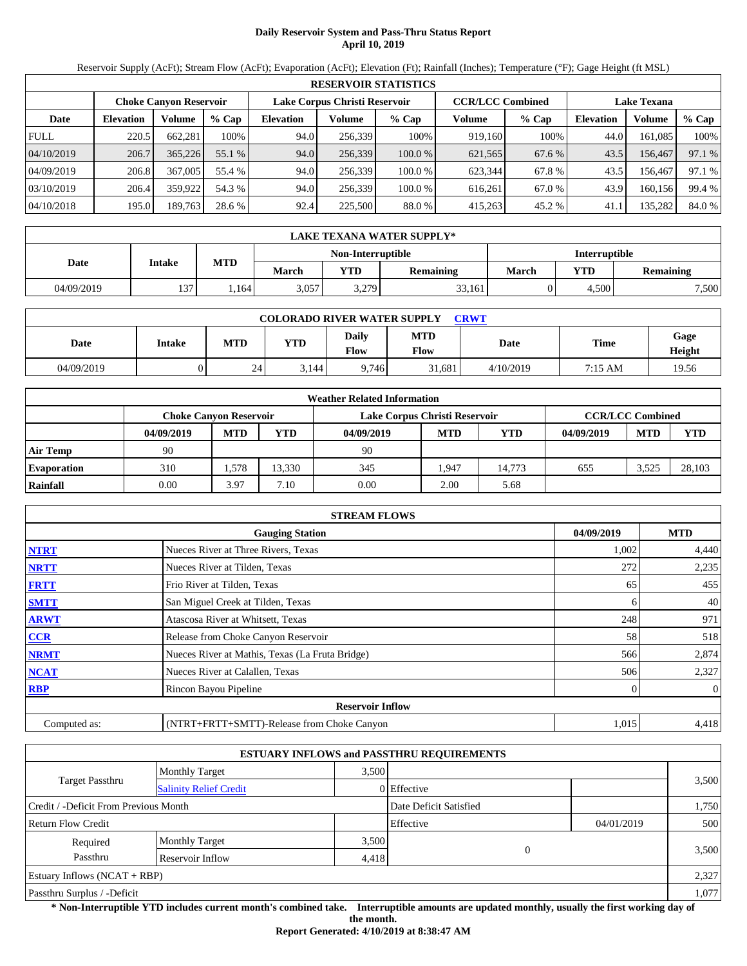# **Daily Reservoir System and Pass-Thru Status Report April 10, 2019**

Reservoir Supply (AcFt); Stream Flow (AcFt); Evaporation (AcFt); Elevation (Ft); Rainfall (Inches); Temperature (°F); Gage Height (ft MSL)

|             | <b>RESERVOIR STATISTICS</b> |                               |         |                               |         |        |                         |         |                    |         |        |  |
|-------------|-----------------------------|-------------------------------|---------|-------------------------------|---------|--------|-------------------------|---------|--------------------|---------|--------|--|
|             |                             | <b>Choke Canvon Reservoir</b> |         | Lake Corpus Christi Reservoir |         |        | <b>CCR/LCC Combined</b> |         | <b>Lake Texana</b> |         |        |  |
| Date        | <b>Elevation</b>            | Volume                        | $%$ Cap | <b>Elevation</b>              | Volume  | % Cap  | Volume                  | $%$ Cap | <b>Elevation</b>   | Volume  | % Cap  |  |
| <b>FULL</b> | 220.5                       | 662.281                       | 100%    | 94.0                          | 256.339 | 100%   | 919.160                 | 100%    | 44.0               | 161.085 | 100%   |  |
| 04/10/2019  | 206.7                       | 365,226                       | 55.1 %  | 94.0                          | 256,339 | 100.0% | 621,565                 | 67.6 %  | 43.5               | 156.467 | 97.1 % |  |
| 04/09/2019  | 206.8                       | 367,005                       | 55.4 %  | 94.0                          | 256.339 | 100.0% | 623.344                 | 67.8%   | 43.5               | 156.467 | 97.1 % |  |
| 03/10/2019  | 206.4                       | 359.922                       | 54.3 %  | 94.0                          | 256.339 | 100.0% | 616.261                 | 67.0 %  | 43.9               | 160.156 | 99.4 % |  |
| 04/10/2018  | 195.0                       | 189,763                       | 28.6 %  | 92.4                          | 225,500 | 88.0%  | 415,263                 | 45.2 %  | 41.1               | 135,282 | 84.0 % |  |

|            | LAKE TEXANA WATER SUPPLY* |            |       |                   |                  |                      |            |           |  |  |  |
|------------|---------------------------|------------|-------|-------------------|------------------|----------------------|------------|-----------|--|--|--|
|            | Intake                    |            |       | Non-Interruptible |                  | <b>Interruptible</b> |            |           |  |  |  |
| Date       |                           | <b>MTD</b> | March | <b>YTD</b>        | <b>Remaining</b> | March                | <b>YTD</b> | Remaining |  |  |  |
| 04/09/2019 | 137                       | .164       | 3,057 | 3,279             | 33,161           |                      | 4.500      | 7,500     |  |  |  |

| <b>COLORADO RIVER WATER SUPPLY</b><br><b>CRWT</b> |        |            |            |                             |                    |           |             |                |  |  |
|---------------------------------------------------|--------|------------|------------|-----------------------------|--------------------|-----------|-------------|----------------|--|--|
| Date                                              | Intake | <b>MTD</b> | <b>YTD</b> | <b>Daily</b><br><b>Flow</b> | <b>MTD</b><br>Flow | Date      | <b>Time</b> | Gage<br>Height |  |  |
| 04/09/2019                                        |        | 24         | 3.144      | 9.746                       | 31.681             | 4/10/2019 | 7:15 AM     | 19.56          |  |  |

|                    |                               |            |            | <b>Weather Related Information</b> |                         |        |            |            |            |
|--------------------|-------------------------------|------------|------------|------------------------------------|-------------------------|--------|------------|------------|------------|
|                    | <b>Choke Canyon Reservoir</b> |            |            | Lake Corpus Christi Reservoir      | <b>CCR/LCC Combined</b> |        |            |            |            |
|                    | 04/09/2019                    | <b>MTD</b> | <b>YTD</b> | 04/09/2019                         | <b>MTD</b>              | YTD    | 04/09/2019 | <b>MTD</b> | <b>YTD</b> |
| <b>Air Temp</b>    | 90                            |            |            | 90                                 |                         |        |            |            |            |
| <b>Evaporation</b> | 310                           | .578       | 13.330     | 345                                | .,947                   | 14.773 | 655        | 3.525      | 28.103     |
| Rainfall           | 0.00                          | 3.97       | 7.10       | 0.00                               | 2.00                    | 5.68   |            |            |            |

|              | <b>STREAM FLOWS</b>                             |            |              |
|--------------|-------------------------------------------------|------------|--------------|
|              | <b>Gauging Station</b>                          | 04/09/2019 | <b>MTD</b>   |
| <b>NTRT</b>  | Nueces River at Three Rivers, Texas             | 1,002      | 4,440        |
| <b>NRTT</b>  | Nueces River at Tilden, Texas                   | 272        | 2,235        |
| <b>FRTT</b>  | Frio River at Tilden, Texas                     | 65         | 455          |
| <b>SMTT</b>  | San Miguel Creek at Tilden, Texas               | 6          | 40           |
| <b>ARWT</b>  | Atascosa River at Whitsett, Texas               | 248        | 971          |
| <b>CCR</b>   | Release from Choke Canyon Reservoir             | 58         | 518          |
| <b>NRMT</b>  | Nueces River at Mathis, Texas (La Fruta Bridge) | 566        | 2,874        |
| <b>NCAT</b>  | Nueces River at Calallen, Texas                 | 506        | 2,327        |
| <b>RBP</b>   | Rincon Bayou Pipeline                           | $\Omega$   | $\mathbf{0}$ |
|              | <b>Reservoir Inflow</b>                         |            |              |
| Computed as: | (NTRT+FRTT+SMTT)-Release from Choke Canyon      | 1,015      | 4,418        |

|                                                         |                       |       | <b>ESTUARY INFLOWS and PASSTHRU REQUIREMENTS</b> |            |       |
|---------------------------------------------------------|-----------------------|-------|--------------------------------------------------|------------|-------|
|                                                         | <b>Monthly Target</b> | 3.500 |                                                  |            |       |
| <b>Target Passthru</b><br><b>Salinity Relief Credit</b> |                       |       | 0 Effective                                      |            | 3,500 |
| Credit / -Deficit From Previous Month                   |                       |       | Date Deficit Satisfied                           |            | 1,750 |
| <b>Return Flow Credit</b>                               |                       |       | Effective                                        | 04/01/2019 | 500   |
| Required                                                | <b>Monthly Target</b> | 3,500 |                                                  |            |       |
| Passthru                                                | Reservoir Inflow      | 4,418 | 0                                                |            | 3,500 |
| Estuary Inflows $(NCAT + RBP)$                          |                       |       |                                                  |            | 2,327 |
| Passthru Surplus / -Deficit                             |                       |       |                                                  |            | 1,077 |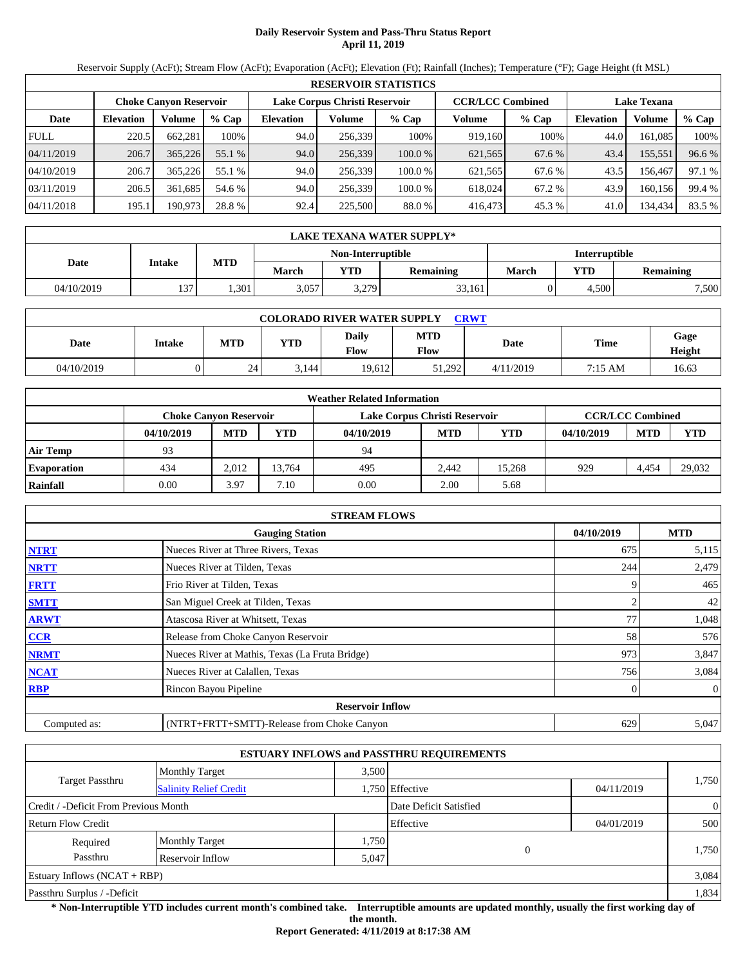# **Daily Reservoir System and Pass-Thru Status Report April 11, 2019**

Reservoir Supply (AcFt); Stream Flow (AcFt); Evaporation (AcFt); Elevation (Ft); Rainfall (Inches); Temperature (°F); Gage Height (ft MSL)

|             | <b>RESERVOIR STATISTICS</b>   |         |         |                               |         |         |                         |         |                    |         |        |  |
|-------------|-------------------------------|---------|---------|-------------------------------|---------|---------|-------------------------|---------|--------------------|---------|--------|--|
|             | <b>Choke Canyon Reservoir</b> |         |         | Lake Corpus Christi Reservoir |         |         | <b>CCR/LCC Combined</b> |         | <b>Lake Texana</b> |         |        |  |
| Date        | <b>Elevation</b>              | Volume  | $%$ Cap | <b>Elevation</b>              | Volume  | $%$ Cap | Volume                  | $%$ Cap | <b>Elevation</b>   | Volume  | % Cap  |  |
| <b>FULL</b> | 220.5                         | 662.281 | 100%    | 94.0                          | 256.339 | 100%    | 919,160                 | 100%    | 44.0               | 161.085 | 100%   |  |
| 04/11/2019  | 206.7                         | 365,226 | 55.1 %  | 94.0                          | 256,339 | 100.0%  | 621,565                 | 67.6 %  | 43.4               | 155,551 | 96.6 % |  |
| 04/10/2019  | 206.7                         | 365,226 | 55.1 %  | 94.0                          | 256.339 | 100.0 % | 621.565                 | 67.6 %  | 43.5               | 156.467 | 97.1 % |  |
| 03/11/2019  | 206.5                         | 361.685 | 54.6 %  | 94.0                          | 256.339 | 100.0 % | 618.024                 | 67.2 %  | 43.9               | 160.156 | 99.4 % |  |
| 04/11/2018  | 195.1                         | 190,973 | 28.8 %  | 92.4                          | 225,500 | 88.0 %  | 416,473                 | 45.3 %  | 41.0               | 134,434 | 83.5 % |  |

|            | LAKE TEXANA WATER SUPPLY* |            |       |                   |                  |                      |       |                  |  |  |  |
|------------|---------------------------|------------|-------|-------------------|------------------|----------------------|-------|------------------|--|--|--|
|            |                           |            |       | Non-Interruptible |                  | <b>Interruptible</b> |       |                  |  |  |  |
| Date       | Intake                    | <b>MTD</b> | March | <b>YTD</b>        | <b>Remaining</b> | <b>March</b>         | YTD   | <b>Remaining</b> |  |  |  |
| 04/10/2019 | 127.                      | .301       | 3,057 | 3,279             | 33,161           |                      | 4,500 | 7,500            |  |  |  |

| <b>COLORADO RIVER WATER SUPPLY</b><br><b>CRWT</b> |        |            |            |                             |                    |           |         |                |  |  |  |
|---------------------------------------------------|--------|------------|------------|-----------------------------|--------------------|-----------|---------|----------------|--|--|--|
| Date                                              | Intake | <b>MTD</b> | <b>YTD</b> | <b>Daily</b><br><b>Flow</b> | <b>MTD</b><br>Flow | Date      | Time    | Gage<br>Height |  |  |  |
| 04/10/2019                                        |        | 24         | 3.144      | 19.612                      | 51.292             | 4/11/2019 | 7:15 AM | 16.63          |  |  |  |

|                    |                               |            |            | <b>Weather Related Information</b> |            |        |            |                         |            |
|--------------------|-------------------------------|------------|------------|------------------------------------|------------|--------|------------|-------------------------|------------|
|                    | <b>Choke Canvon Reservoir</b> |            |            | Lake Corpus Christi Reservoir      |            |        |            | <b>CCR/LCC Combined</b> |            |
|                    | 04/10/2019                    | <b>MTD</b> | <b>YTD</b> | 04/10/2019                         | <b>MTD</b> | YTD    | 04/10/2019 | <b>MTD</b>              | <b>YTD</b> |
| <b>Air Temp</b>    | 93                            |            |            | 94                                 |            |        |            |                         |            |
| <b>Evaporation</b> | 434                           | 2.012      | 13.764     | 495                                | 2.442      | 15.268 | 929        | 4.454                   | 29,032     |
| Rainfall           | 0.00                          | 3.97       | 7.10       | 0.00                               | 2.00       | 5.68   |            |                         |            |

|              | <b>STREAM FLOWS</b>                             |            |                |
|--------------|-------------------------------------------------|------------|----------------|
|              | <b>Gauging Station</b>                          | 04/10/2019 | <b>MTD</b>     |
| <b>NTRT</b>  | Nueces River at Three Rivers, Texas             | 675        | 5,115          |
| <b>NRTT</b>  | Nueces River at Tilden, Texas                   | 244        | 2,479          |
| <b>FRTT</b>  | Frio River at Tilden, Texas                     |            | 465            |
| <b>SMTT</b>  | San Miguel Creek at Tilden, Texas               |            | 42             |
| <b>ARWT</b>  | Atascosa River at Whitsett, Texas               | 77         | 1,048          |
| <b>CCR</b>   | Release from Choke Canyon Reservoir             | 58         | 576            |
| <b>NRMT</b>  | Nueces River at Mathis, Texas (La Fruta Bridge) | 973        | 3,847          |
| <b>NCAT</b>  | Nueces River at Calallen, Texas                 | 756        | 3,084          |
| <b>RBP</b>   | Rincon Bayou Pipeline                           |            | $\overline{0}$ |
|              | <b>Reservoir Inflow</b>                         |            |                |
| Computed as: | (NTRT+FRTT+SMTT)-Release from Choke Canyon      | 629        | 5,047          |

|                                       |                               |       | <b>ESTUARY INFLOWS and PASSTHRU REQUIREMENTS</b> |            |                |
|---------------------------------------|-------------------------------|-------|--------------------------------------------------|------------|----------------|
|                                       | <b>Monthly Target</b>         | 3.500 |                                                  |            |                |
| <b>Target Passthru</b>                | <b>Salinity Relief Credit</b> |       | 1,750 Effective                                  | 04/11/2019 | 1,750          |
| Credit / -Deficit From Previous Month |                               |       | Date Deficit Satisfied                           |            | $\overline{0}$ |
| <b>Return Flow Credit</b>             |                               |       | Effective                                        | 04/01/2019 | 500            |
| Required                              | <b>Monthly Target</b>         | 1,750 |                                                  |            |                |
| Passthru                              | Reservoir Inflow              | 5,047 | $\overline{0}$                                   |            | 1,750          |
| Estuary Inflows $(NCAT + RBP)$        |                               |       |                                                  |            | 3,084          |
| Passthru Surplus / -Deficit           |                               |       |                                                  |            | 1,834          |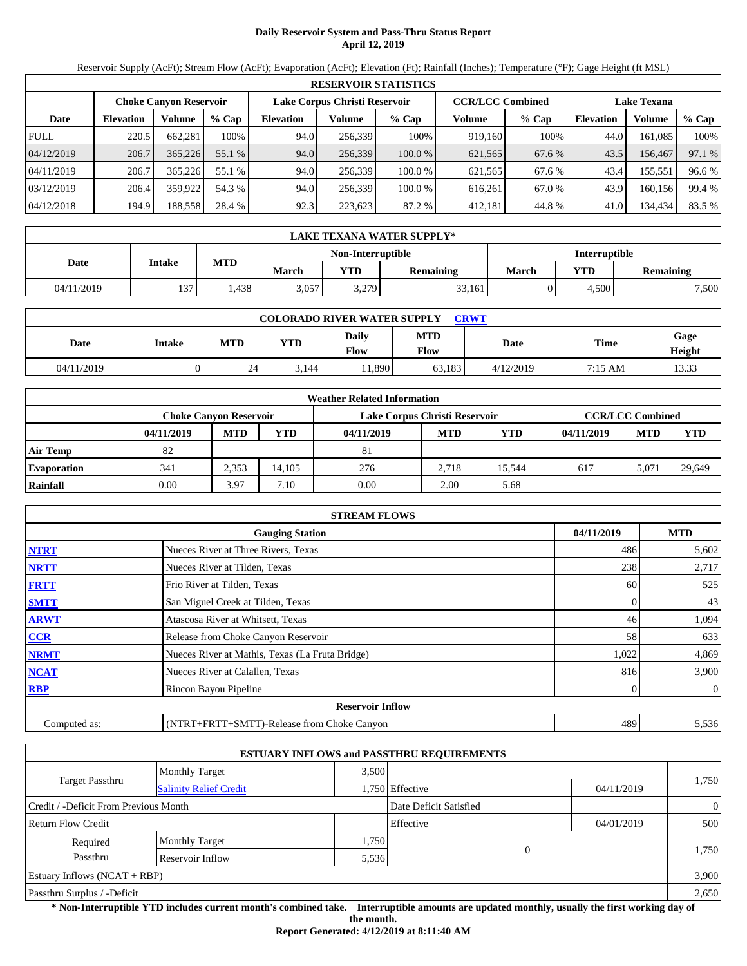# **Daily Reservoir System and Pass-Thru Status Report April 12, 2019**

Reservoir Supply (AcFt); Stream Flow (AcFt); Evaporation (AcFt); Elevation (Ft); Rainfall (Inches); Temperature (°F); Gage Height (ft MSL)

|             | <b>RESERVOIR STATISTICS</b>   |         |         |                               |         |         |                         |         |                    |         |        |  |
|-------------|-------------------------------|---------|---------|-------------------------------|---------|---------|-------------------------|---------|--------------------|---------|--------|--|
|             | <b>Choke Canyon Reservoir</b> |         |         | Lake Corpus Christi Reservoir |         |         | <b>CCR/LCC Combined</b> |         | <b>Lake Texana</b> |         |        |  |
| Date        | <b>Elevation</b>              | Volume  | $%$ Cap | <b>Elevation</b>              | Volume  | $%$ Cap | Volume                  | $%$ Cap | <b>Elevation</b>   | Volume  | % Cap  |  |
| <b>FULL</b> | 220.5                         | 662.281 | 100%    | 94.0                          | 256.339 | 100%    | 919.160                 | 100%    | 44.0               | 161.085 | 100%   |  |
| 04/12/2019  | 206.7                         | 365,226 | 55.1 %  | 94.0                          | 256,339 | 100.0%  | 621,565                 | 67.6 %  | 43.5               | 156.467 | 97.1 % |  |
| 04/11/2019  | 206.7                         | 365,226 | 55.1 %  | 94.0                          | 256.339 | 100.0 % | 621,565                 | 67.6 %  | 43.4               | 155,551 | 96.6 % |  |
| 03/12/2019  | 206.4                         | 359,922 | 54.3 %  | 94.0                          | 256.339 | 100.0 % | 616.261                 | 67.0 %  | 43.9               | 160.156 | 99.4 % |  |
| 04/12/2018  | 194.9                         | 188,558 | 28.4 %  | 92.3                          | 223,623 | 87.2 %  | 412,181                 | 44.8%   | 41.0               | 134,434 | 83.5 % |  |

|            | LAKE TEXANA WATER SUPPLY* |            |       |                   |                  |                      |            |           |  |  |  |
|------------|---------------------------|------------|-------|-------------------|------------------|----------------------|------------|-----------|--|--|--|
|            | Intake                    |            |       | Non-Interruptible |                  | <b>Interruptible</b> |            |           |  |  |  |
| Date       |                           | <b>MTD</b> | March | <b>YTD</b>        | <b>Remaining</b> | March                | <b>YTD</b> | Remaining |  |  |  |
| 04/11/2019 | 137                       | .438       | 3,057 | 3,279             | 33,161           |                      | 4.500      | 7,500     |  |  |  |

| <b>COLORADO RIVER WATER SUPPLY</b><br><b>CRWT</b> |        |            |            |               |                    |           |         |                |  |  |  |
|---------------------------------------------------|--------|------------|------------|---------------|--------------------|-----------|---------|----------------|--|--|--|
| Date                                              | Intake | <b>MTD</b> | <b>YTD</b> | Daily<br>Flow | <b>MTD</b><br>Flow | Date      | Time    | Gage<br>Height |  |  |  |
| 04/11/2019                                        |        | 24         | 3.144      | 1,890         | 63,183             | 4/12/2019 | 7:15 AM | 13.33          |  |  |  |

|                    |                               |            |            | <b>Weather Related Information</b> |            |        |            |                         |            |
|--------------------|-------------------------------|------------|------------|------------------------------------|------------|--------|------------|-------------------------|------------|
|                    | <b>Choke Canvon Reservoir</b> |            |            | Lake Corpus Christi Reservoir      |            |        |            | <b>CCR/LCC Combined</b> |            |
|                    | 04/11/2019                    | <b>MTD</b> | <b>YTD</b> | 04/11/2019                         | <b>MTD</b> | YTD    | 04/11/2019 | <b>MTD</b>              | <b>YTD</b> |
| <b>Air Temp</b>    | 82                            |            |            | 81                                 |            |        |            |                         |            |
| <b>Evaporation</b> | 341                           | 2.353      | 14.105     | 276                                | 2.718      | 15.544 | 617        | 5.071                   | 29,649     |
| Rainfall           | 0.00                          | 3.97       | 7.10       | 0.00                               | 2.00       | 5.68   |            |                         |            |

|              | <b>STREAM FLOWS</b>                             |            |                |
|--------------|-------------------------------------------------|------------|----------------|
|              | <b>Gauging Station</b>                          | 04/11/2019 | <b>MTD</b>     |
| <b>NTRT</b>  | Nueces River at Three Rivers, Texas             | 486        | 5,602          |
| <b>NRTT</b>  | Nueces River at Tilden, Texas                   | 238        | 2,717          |
| <b>FRTT</b>  | Frio River at Tilden, Texas                     | 60         | 525            |
| <b>SMTT</b>  | San Miguel Creek at Tilden, Texas               | $\Omega$   | 43             |
| <b>ARWT</b>  | Atascosa River at Whitsett, Texas               | 46         | 1,094          |
| <b>CCR</b>   | Release from Choke Canyon Reservoir             | 58         | 633            |
| <b>NRMT</b>  | Nueces River at Mathis, Texas (La Fruta Bridge) | 1,022      | 4,869          |
| <b>NCAT</b>  | Nueces River at Calallen, Texas                 | 816        | 3,900          |
| <b>RBP</b>   | Rincon Bayou Pipeline                           | 0          | $\overline{0}$ |
|              | <b>Reservoir Inflow</b>                         |            |                |
| Computed as: | (NTRT+FRTT+SMTT)-Release from Choke Canyon      | 489        | 5,536          |

|                                       |                               |       | <b>ESTUARY INFLOWS and PASSTHRU REQUIREMENTS</b> |            |                |
|---------------------------------------|-------------------------------|-------|--------------------------------------------------|------------|----------------|
|                                       | <b>Monthly Target</b>         | 3.500 |                                                  |            |                |
| <b>Target Passthru</b>                | <b>Salinity Relief Credit</b> |       | 1,750 Effective                                  | 04/11/2019 | 1,750          |
| Credit / -Deficit From Previous Month |                               |       | Date Deficit Satisfied                           |            | $\overline{0}$ |
| <b>Return Flow Credit</b>             |                               |       | Effective                                        | 04/01/2019 | 500            |
| Required                              | <b>Monthly Target</b>         | 1,750 |                                                  |            |                |
| Passthru                              | Reservoir Inflow              | 5,536 | $\overline{0}$                                   |            | 1,750          |
| Estuary Inflows $(NCAT + RBP)$        |                               |       |                                                  |            | 3,900          |
| Passthru Surplus / -Deficit           |                               |       |                                                  |            | 2,650          |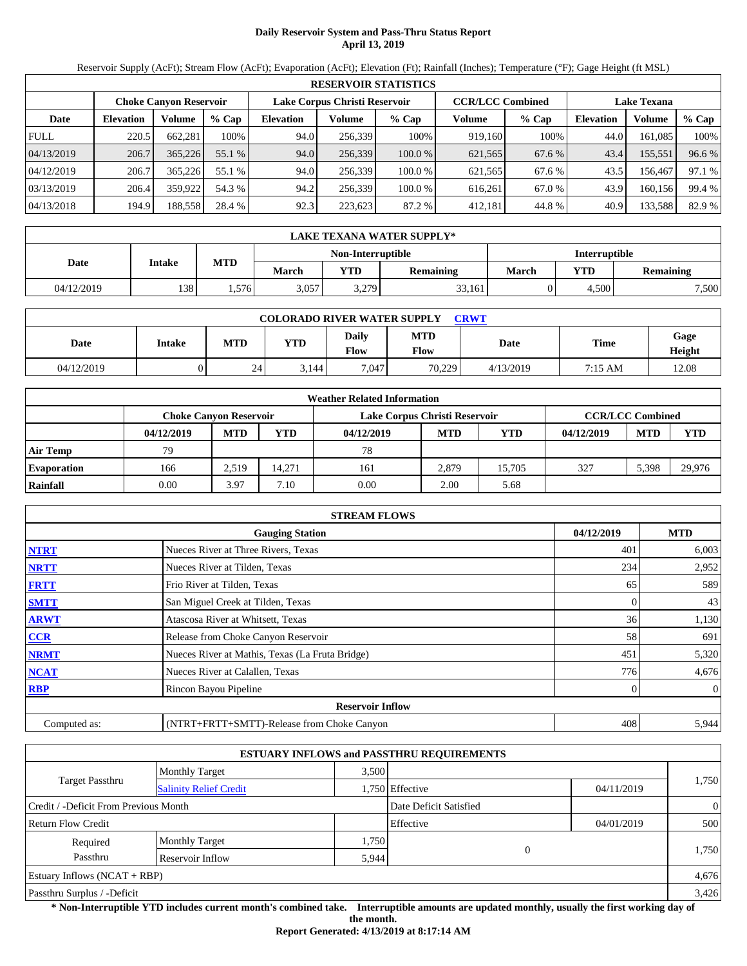# **Daily Reservoir System and Pass-Thru Status Report April 13, 2019**

Reservoir Supply (AcFt); Stream Flow (AcFt); Evaporation (AcFt); Elevation (Ft); Rainfall (Inches); Temperature (°F); Gage Height (ft MSL)

|             | <b>RESERVOIR STATISTICS</b> |                               |         |                  |                               |        |                         |         |                    |         |        |  |  |
|-------------|-----------------------------|-------------------------------|---------|------------------|-------------------------------|--------|-------------------------|---------|--------------------|---------|--------|--|--|
|             |                             | <b>Choke Canvon Reservoir</b> |         |                  | Lake Corpus Christi Reservoir |        | <b>CCR/LCC Combined</b> |         | <b>Lake Texana</b> |         |        |  |  |
| Date        | <b>Elevation</b>            | Volume                        | $%$ Cap | <b>Elevation</b> | Volume                        | % Cap  | Volume                  | $%$ Cap | Elevation          | Volume  | % Cap  |  |  |
| <b>FULL</b> | 220.5                       | 662.281                       | 100%    | 94.0             | 256.339                       | 100%   | 919.160                 | 100%    | 44.0               | 161.085 | 100%   |  |  |
| 04/13/2019  | 206.7                       | 365,226                       | 55.1 %  | 94.0             | 256,339                       | 100.0% | 621,565                 | 67.6 %  | 43.4               | 155,551 | 96.6 % |  |  |
| 04/12/2019  | 206.7                       | 365,226                       | 55.1 %  | 94.0             | 256.339                       | 100.0% | 621,565                 | 67.6 %  | 43.5               | 156.467 | 97.1 % |  |  |
| 03/13/2019  | 206.4                       | 359.922                       | 54.3 %  | 94.2             | 256.339                       | 100.0% | 616.261                 | 67.0 %  | 43.9               | 160.156 | 99.4 % |  |  |
| 04/13/2018  | 194.9                       | 188,558                       | 28.4 %  | 92.3             | 223,623                       | 87.2 % | 412,181                 | 44.8%   | 40.9               | 133,588 | 82.9 % |  |  |

|            | LAKE TEXANA WATER SUPPLY* |            |       |                          |                  |                      |            |           |  |  |  |
|------------|---------------------------|------------|-------|--------------------------|------------------|----------------------|------------|-----------|--|--|--|
|            | Intake                    |            |       | <b>Non-Interruptible</b> |                  | <b>Interruptible</b> |            |           |  |  |  |
| Date       |                           | <b>MTD</b> | March | <b>YTD</b>               | <b>Remaining</b> | March                | <b>YTD</b> | Remaining |  |  |  |
| 04/12/2019 | 138                       | .576       | 3,057 | 3,279                    | 33.161           |                      | 4.500      | 7,500     |  |  |  |

| <b>COLORADO RIVER WATER SUPPLY</b><br><b>CRWT</b> |        |            |            |                      |                    |           |             |                |  |  |  |
|---------------------------------------------------|--------|------------|------------|----------------------|--------------------|-----------|-------------|----------------|--|--|--|
| Date                                              | Intake | <b>MTD</b> | <b>YTD</b> | Daily<br><b>Flow</b> | <b>MTD</b><br>Flow | Date      | <b>Time</b> | Gage<br>Height |  |  |  |
| 04/12/2019                                        |        | 24         | 3.144      | 7.047                | 70.229             | 4/13/2019 | 7:15 AM     | 12.08          |  |  |  |

|                    |                               |            |            | <b>Weather Related Information</b> |                         |            |            |            |            |
|--------------------|-------------------------------|------------|------------|------------------------------------|-------------------------|------------|------------|------------|------------|
|                    | <b>Choke Canvon Reservoir</b> |            |            | Lake Corpus Christi Reservoir      | <b>CCR/LCC Combined</b> |            |            |            |            |
|                    | 04/12/2019                    | <b>MTD</b> | <b>YTD</b> | 04/12/2019                         | <b>MTD</b>              | <b>YTD</b> | 04/12/2019 | <b>MTD</b> | <b>YTD</b> |
| <b>Air Temp</b>    | 79                            |            |            | 78                                 |                         |            |            |            |            |
| <b>Evaporation</b> | 166                           | 2,519      | 14.271     | 161                                | 2.879                   | 15.705     | 327        | 5.398      | 29,976     |
| Rainfall           | 0.00                          | 3.97       | 7.10       | 0.00                               | 2.00                    | 5.68       |            |            |            |

|              | <b>STREAM FLOWS</b>                             |            |                |
|--------------|-------------------------------------------------|------------|----------------|
|              | <b>Gauging Station</b>                          | 04/12/2019 | <b>MTD</b>     |
| <b>NTRT</b>  | Nueces River at Three Rivers, Texas             | 401        | 6,003          |
| <b>NRTT</b>  | Nueces River at Tilden, Texas                   | 234        | 2,952          |
| <b>FRTT</b>  | Frio River at Tilden, Texas                     | 65         | 589            |
| <b>SMTT</b>  | San Miguel Creek at Tilden, Texas               | 0          | 43             |
| <b>ARWT</b>  | Atascosa River at Whitsett, Texas               | 36         | 1,130          |
| <b>CCR</b>   | Release from Choke Canyon Reservoir             | 58         | 691            |
| <b>NRMT</b>  | Nueces River at Mathis, Texas (La Fruta Bridge) | 451        | 5,320          |
| <b>NCAT</b>  | Nueces River at Calallen, Texas                 | 776        | 4,676          |
| <b>RBP</b>   | Rincon Bayou Pipeline                           | 0          | $\overline{0}$ |
|              | <b>Reservoir Inflow</b>                         |            |                |
| Computed as: | (NTRT+FRTT+SMTT)-Release from Choke Canyon      | 408        | 5,944          |

|                                       |                               |       | <b>ESTUARY INFLOWS and PASSTHRU REQUIREMENTS</b> |            |                |
|---------------------------------------|-------------------------------|-------|--------------------------------------------------|------------|----------------|
|                                       | Monthly Target                | 3.500 |                                                  |            |                |
| <b>Target Passthru</b>                | <b>Salinity Relief Credit</b> |       | 1,750 Effective                                  | 04/11/2019 | 1,750          |
| Credit / -Deficit From Previous Month |                               |       | Date Deficit Satisfied                           |            | $\overline{0}$ |
| <b>Return Flow Credit</b>             |                               |       | Effective                                        | 04/01/2019 | 500            |
| Required                              | <b>Monthly Target</b>         | 1,750 |                                                  |            |                |
| Passthru                              | Reservoir Inflow              | 5.944 | $\overline{0}$                                   |            | 1,750          |
| Estuary Inflows $(NCAT + RBP)$        |                               |       |                                                  |            | 4,676          |
| Passthru Surplus / -Deficit           |                               |       |                                                  |            | 3,426          |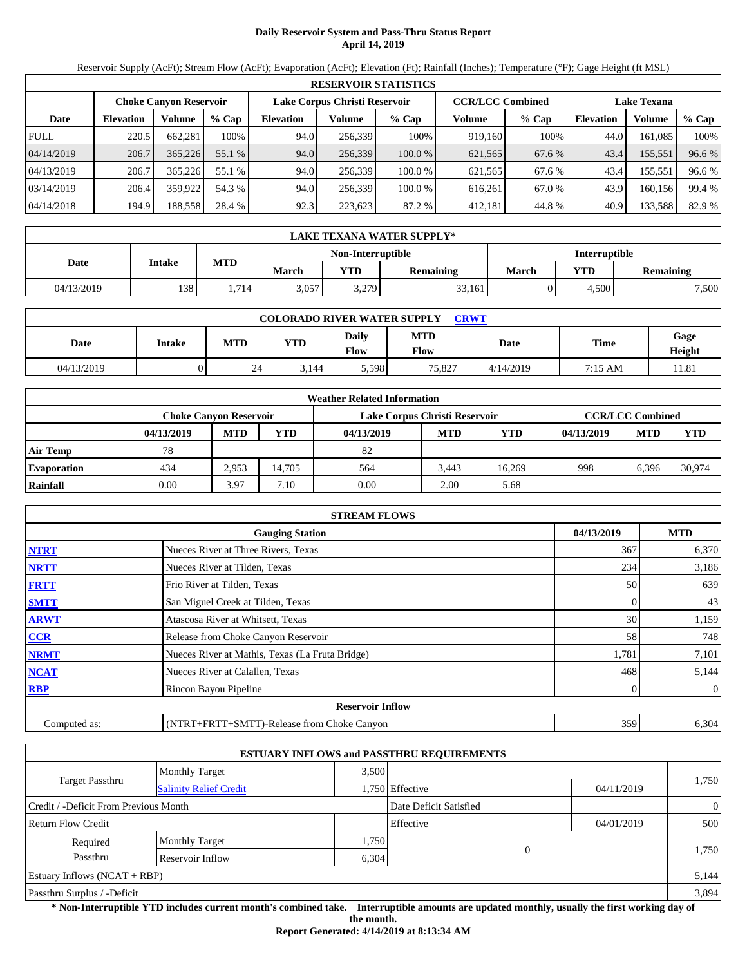# **Daily Reservoir System and Pass-Thru Status Report April 14, 2019**

Reservoir Supply (AcFt); Stream Flow (AcFt); Evaporation (AcFt); Elevation (Ft); Rainfall (Inches); Temperature (°F); Gage Height (ft MSL)

|             | <b>RESERVOIR STATISTICS</b> |                               |         |                               |         |         |                         |         |                    |         |        |  |  |
|-------------|-----------------------------|-------------------------------|---------|-------------------------------|---------|---------|-------------------------|---------|--------------------|---------|--------|--|--|
|             |                             | <b>Choke Canyon Reservoir</b> |         | Lake Corpus Christi Reservoir |         |         | <b>CCR/LCC Combined</b> |         | <b>Lake Texana</b> |         |        |  |  |
| Date        | <b>Elevation</b>            | Volume                        | $%$ Cap | <b>Elevation</b>              | Volume  | $%$ Cap | Volume                  | $%$ Cap | <b>Elevation</b>   | Volume  | % Cap  |  |  |
| <b>FULL</b> | 220.5                       | 662.281                       | 100%    | 94.0                          | 256.339 | 100%    | 919.160                 | 100%    | 44.0               | 161.085 | 100%   |  |  |
| 04/14/2019  | 206.7                       | 365,226                       | 55.1 %  | 94.0                          | 256,339 | 100.0%  | 621,565                 | 67.6 %  | 43.4               | 155,551 | 96.6 % |  |  |
| 04/13/2019  | 206.7                       | 365,226                       | 55.1 %  | 94.0                          | 256.339 | 100.0 % | 621.565                 | 67.6 %  | 43.4               | 155,551 | 96.6 % |  |  |
| 03/14/2019  | 206.4                       | 359.922                       | 54.3 %  | 94.0                          | 256.339 | 100.0 % | 616.261                 | 67.0 %  | 43.9               | 160.156 | 99.4 % |  |  |
| 04/14/2018  | 194.9                       | 188,558                       | 28.4 %  | 92.3                          | 223,623 | 87.2 %  | 412,181                 | 44.8%   | 40.9               | 133,588 | 82.9 % |  |  |

|            | LAKE TEXANA WATER SUPPLY* |            |       |                          |                  |                      |            |           |  |  |  |
|------------|---------------------------|------------|-------|--------------------------|------------------|----------------------|------------|-----------|--|--|--|
|            | Intake                    |            |       | <b>Non-Interruptible</b> |                  | <b>Interruptible</b> |            |           |  |  |  |
| Date       |                           | <b>MTD</b> | March | <b>YTD</b>               | <b>Remaining</b> | March                | <b>YTD</b> | Remaining |  |  |  |
| 04/13/2019 | 138                       | .714       | 3,057 | 3,279                    | 33,161           |                      | 4.500      | 7,500     |  |  |  |

| <b>COLORADO RIVER WATER SUPPLY</b><br><b>CRWT</b> |        |            |            |                      |                    |           |             |                |  |  |  |
|---------------------------------------------------|--------|------------|------------|----------------------|--------------------|-----------|-------------|----------------|--|--|--|
| Date                                              | Intake | <b>MTD</b> | <b>YTD</b> | Daily<br><b>Flow</b> | <b>MTD</b><br>Flow | Date      | <b>Time</b> | Gage<br>Height |  |  |  |
| 04/13/2019                                        |        | 24         | 3.144      | 5,598                | 75,827             | 4/14/2019 | 7:15 AM     | 11.81          |  |  |  |

|                    |            |                               |            | <b>Weather Related Information</b> |                         |            |            |            |        |
|--------------------|------------|-------------------------------|------------|------------------------------------|-------------------------|------------|------------|------------|--------|
|                    |            | <b>Choke Canvon Reservoir</b> |            | Lake Corpus Christi Reservoir      | <b>CCR/LCC Combined</b> |            |            |            |        |
|                    | 04/13/2019 | <b>MTD</b>                    | <b>YTD</b> | 04/13/2019                         | <b>MTD</b>              | <b>YTD</b> | 04/13/2019 | <b>MTD</b> | YTD    |
| <b>Air Temp</b>    | 78         |                               |            | 82                                 |                         |            |            |            |        |
| <b>Evaporation</b> | 434        | 2.953                         | 14.705     | 564                                | 3.443                   | 16.269     | 998        | 6.396      | 30,974 |
| Rainfall           | 0.00       | 3.97                          | 7.10       | 0.00                               | 2.00                    | 5.68       |            |            |        |

|              | <b>STREAM FLOWS</b>                             |            |                |
|--------------|-------------------------------------------------|------------|----------------|
|              | <b>Gauging Station</b>                          | 04/13/2019 | <b>MTD</b>     |
| <b>NTRT</b>  | Nueces River at Three Rivers, Texas             | 367        | 6,370          |
| <b>NRTT</b>  | Nueces River at Tilden, Texas                   | 234        | 3,186          |
| <b>FRTT</b>  | Frio River at Tilden, Texas                     | 50         | 639            |
| <b>SMTT</b>  | San Miguel Creek at Tilden, Texas               | $\Omega$   | 43             |
| <b>ARWT</b>  | Atascosa River at Whitsett, Texas               | 30         | 1,159          |
| <b>CCR</b>   | Release from Choke Canyon Reservoir             | 58         | 748            |
| <b>NRMT</b>  | Nueces River at Mathis, Texas (La Fruta Bridge) | 1,781      | 7,101          |
| <b>NCAT</b>  | Nueces River at Calallen, Texas                 | 468        | 5,144          |
| <b>RBP</b>   | Rincon Bayou Pipeline                           | 0          | $\overline{0}$ |
|              | <b>Reservoir Inflow</b>                         |            |                |
| Computed as: | (NTRT+FRTT+SMTT)-Release from Choke Canyon      | 359        | 6,304          |

|                                       |                               |       | <b>ESTUARY INFLOWS and PASSTHRU REQUIREMENTS</b> |            |                |
|---------------------------------------|-------------------------------|-------|--------------------------------------------------|------------|----------------|
|                                       | <b>Monthly Target</b>         | 3.500 |                                                  |            |                |
| <b>Target Passthru</b>                | <b>Salinity Relief Credit</b> |       | 1,750 Effective                                  | 04/11/2019 | 1,750          |
| Credit / -Deficit From Previous Month |                               |       | Date Deficit Satisfied                           |            | $\overline{0}$ |
| <b>Return Flow Credit</b>             |                               |       | Effective                                        | 04/01/2019 | 500            |
| Required                              | <b>Monthly Target</b>         | 1,750 |                                                  |            |                |
| Passthru                              | Reservoir Inflow              | 6,304 | $\overline{0}$                                   |            | 1,750          |
| Estuary Inflows $(NCAT + RBP)$        |                               |       |                                                  |            | 5,144          |
| Passthru Surplus / -Deficit           |                               |       |                                                  |            | 3,894          |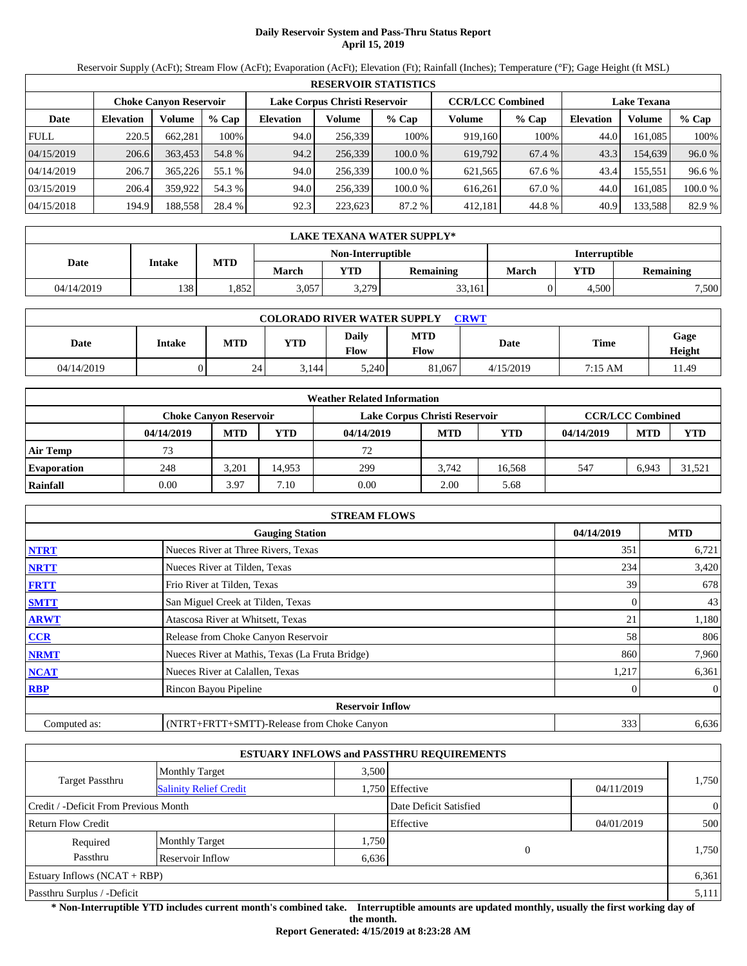# **Daily Reservoir System and Pass-Thru Status Report April 15, 2019**

Reservoir Supply (AcFt); Stream Flow (AcFt); Evaporation (AcFt); Elevation (Ft); Rainfall (Inches); Temperature (°F); Gage Height (ft MSL)

|             | <b>RESERVOIR STATISTICS</b> |                               |         |                  |                               |         |                         |         |                    |         |        |  |  |
|-------------|-----------------------------|-------------------------------|---------|------------------|-------------------------------|---------|-------------------------|---------|--------------------|---------|--------|--|--|
|             |                             | <b>Choke Canvon Reservoir</b> |         |                  | Lake Corpus Christi Reservoir |         | <b>CCR/LCC Combined</b> |         | <b>Lake Texana</b> |         |        |  |  |
| Date        | <b>Elevation</b>            | Volume                        | $%$ Cap | <b>Elevation</b> | Volume                        | $%$ Cap | Volume                  | $%$ Cap | <b>Elevation</b>   | Volume  | % Cap  |  |  |
| <b>FULL</b> | 220.5                       | 662.281                       | 100%    | 94.0             | 256.339                       | 100%    | 919.160                 | 100%    | 44.0               | 161.085 | 100%   |  |  |
| 04/15/2019  | 206.6                       | 363,453                       | 54.8 %  | 94.2             | 256,339                       | 100.0%  | 619,792                 | 67.4 %  | 43.3               | 154,639 | 96.0 % |  |  |
| 04/14/2019  | 206.7                       | 365,226                       | 55.1 %  | 94.0             | 256.339                       | 100.0%  | 621,565                 | 67.6 %  | 43.4               | 155,551 | 96.6 % |  |  |
| 03/15/2019  | 206.4                       | 359,922                       | 54.3 %  | 94.0             | 256,339                       | 100.0%  | 616.261                 | 67.0 %  | 44.0               | 161.085 | 100.0% |  |  |
| 04/15/2018  | 194.9                       | 188,558                       | 28.4 %  | 92.3             | 223.623                       | 87.2 %  | 412,181                 | 44.8%   | 40.9               | 133,588 | 82.9 % |  |  |

|                   | LAKE TEXANA WATER SUPPLY* |            |       |            |                  |       |                      |                  |  |  |  |
|-------------------|---------------------------|------------|-------|------------|------------------|-------|----------------------|------------------|--|--|--|
| Non-Interruptible |                           |            |       |            |                  |       | <b>Interruptible</b> |                  |  |  |  |
| Date              | Intake                    | <b>MTD</b> | March | <b>YTD</b> | <b>Remaining</b> | March | YTD.                 | <b>Remaining</b> |  |  |  |
| 04/14/2019        | 138                       | .852       | 3,057 | 3,279      | 33,161           |       | 4,500                | 7,500            |  |  |  |

| <b>COLORADO RIVER WATER SUPPLY</b><br><b>CRWT</b> |        |            |            |                             |                    |           |             |                |  |  |  |
|---------------------------------------------------|--------|------------|------------|-----------------------------|--------------------|-----------|-------------|----------------|--|--|--|
| Date                                              | Intake | <b>MTD</b> | <b>YTD</b> | <b>Daily</b><br><b>Flow</b> | <b>MTD</b><br>Flow | Date      | <b>Time</b> | Gage<br>Height |  |  |  |
| 04/14/2019                                        |        | 24         | 3.144      | 5.240                       | 81,067             | 4/15/2019 | 7:15 AM     | 11.49          |  |  |  |

|                    |            |                               |            | <b>Weather Related Information</b> |            |            |            |                         |            |
|--------------------|------------|-------------------------------|------------|------------------------------------|------------|------------|------------|-------------------------|------------|
|                    |            | <b>Choke Canvon Reservoir</b> |            | Lake Corpus Christi Reservoir      |            |            |            | <b>CCR/LCC Combined</b> |            |
|                    | 04/14/2019 | <b>MTD</b>                    | <b>YTD</b> | 04/14/2019                         | <b>MTD</b> | <b>YTD</b> | 04/14/2019 | <b>MTD</b>              | <b>YTD</b> |
| <b>Air Temp</b>    | 73         |                               |            | 72                                 |            |            |            |                         |            |
| <b>Evaporation</b> | 248        | 3.201                         | 14.953     | 299                                | 3.742      | 16.568     | 547        | 6.943                   | 31.521     |
| Rainfall           | 0.00       | 3.97                          | 7.10       | 0.00                               | 2.00       | 5.68       |            |                         |            |

|              | <b>STREAM FLOWS</b>                             |            |                |
|--------------|-------------------------------------------------|------------|----------------|
|              | <b>Gauging Station</b>                          | 04/14/2019 | <b>MTD</b>     |
| <b>NTRT</b>  | Nueces River at Three Rivers, Texas             | 351        | 6,721          |
| <b>NRTT</b>  | Nueces River at Tilden, Texas                   | 234        | 3,420          |
| <b>FRTT</b>  | Frio River at Tilden, Texas                     | 39         | 678            |
| <b>SMTT</b>  | San Miguel Creek at Tilden, Texas               | $\Omega$   | 43             |
| <b>ARWT</b>  | Atascosa River at Whitsett, Texas               | 21         | 1,180          |
| <b>CCR</b>   | Release from Choke Canyon Reservoir             | 58         | 806            |
| <b>NRMT</b>  | Nueces River at Mathis, Texas (La Fruta Bridge) | 860        | 7,960          |
| <b>NCAT</b>  | Nueces River at Calallen, Texas                 | 1,217      | 6,361          |
| <b>RBP</b>   | Rincon Bayou Pipeline                           | 0          | $\overline{0}$ |
|              | <b>Reservoir Inflow</b>                         |            |                |
| Computed as: | (NTRT+FRTT+SMTT)-Release from Choke Canyon      | 333        | 6,636          |

|                                       |                               |       | <b>ESTUARY INFLOWS and PASSTHRU REQUIREMENTS</b> |            |                |
|---------------------------------------|-------------------------------|-------|--------------------------------------------------|------------|----------------|
|                                       | <b>Monthly Target</b>         | 3.500 |                                                  |            |                |
| <b>Target Passthru</b>                | <b>Salinity Relief Credit</b> |       | 1,750 Effective                                  | 04/11/2019 | 1,750          |
| Credit / -Deficit From Previous Month |                               |       | Date Deficit Satisfied                           |            | $\overline{0}$ |
| <b>Return Flow Credit</b>             |                               |       | Effective                                        | 04/01/2019 | 500            |
| Required                              | <b>Monthly Target</b>         | 1,750 |                                                  |            |                |
| Passthru                              | Reservoir Inflow              | 6,636 | $\theta$                                         |            | 1,750          |
| Estuary Inflows $(NCAT + RBP)$        |                               |       |                                                  |            | 6,361          |
| Passthru Surplus / -Deficit           |                               |       |                                                  |            | 5,111          |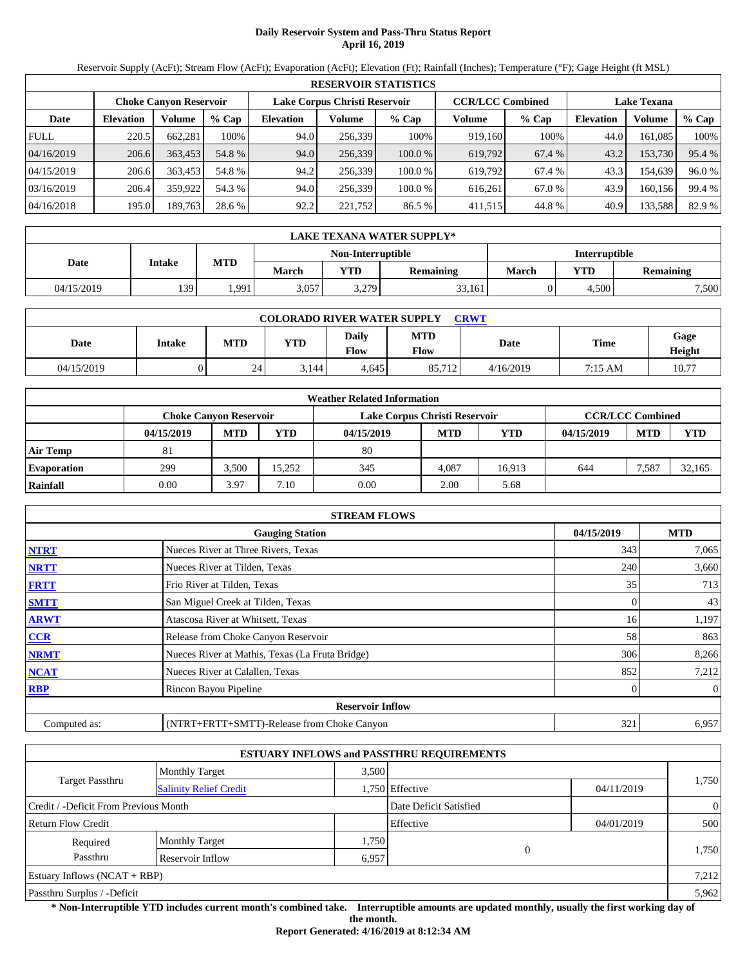# **Daily Reservoir System and Pass-Thru Status Report April 16, 2019**

Reservoir Supply (AcFt); Stream Flow (AcFt); Evaporation (AcFt); Elevation (Ft); Rainfall (Inches); Temperature (°F); Gage Height (ft MSL)

|             | <b>RESERVOIR STATISTICS</b> |                               |         |                               |         |         |                         |         |                    |         |        |  |  |
|-------------|-----------------------------|-------------------------------|---------|-------------------------------|---------|---------|-------------------------|---------|--------------------|---------|--------|--|--|
|             |                             | <b>Choke Canvon Reservoir</b> |         | Lake Corpus Christi Reservoir |         |         | <b>CCR/LCC Combined</b> |         | <b>Lake Texana</b> |         |        |  |  |
| Date        | <b>Elevation</b>            | Volume                        | $%$ Cap | <b>Elevation</b>              | Volume  | $%$ Cap | Volume                  | $%$ Cap | <b>Elevation</b>   | Volume  | % Cap  |  |  |
| <b>FULL</b> | 220.5                       | 662,281                       | 100%    | 94.0                          | 256,339 | 100%    | 919,160                 | 100%    | 44.0               | 161,085 | 100%   |  |  |
| 04/16/2019  | 206.6                       | 363,453                       | 54.8 %  | 94.0                          | 256,339 | 100.0%  | 619,792                 | 67.4 %  | 43.2               | 153,730 | 95.4 % |  |  |
| 04/15/2019  | 206.6                       | 363.453                       | 54.8 %  | 94.2                          | 256.339 | 100.0 % | 619,792                 | 67.4 %  | 43.3               | 154.639 | 96.0%  |  |  |
| 03/16/2019  | 206.4                       | 359,922                       | 54.3 %  | 94.0                          | 256,339 | 100.0 % | 616,261                 | 67.0 %  | 43.9               | 160,156 | 99.4 % |  |  |
| 04/16/2018  | 195.0                       | 189,763                       | 28.6 %  | 92.2                          | 221,752 | 86.5 %  | 411,515                 | 44.8%   | 40.9               | 133,588 | 82.9 % |  |  |

|            | LAKE TEXANA WATER SUPPLY* |            |       |                   |                  |                      |       |                  |  |  |  |
|------------|---------------------------|------------|-------|-------------------|------------------|----------------------|-------|------------------|--|--|--|
|            |                           |            |       | Non-Interruptible |                  | <b>Interruptible</b> |       |                  |  |  |  |
| Date       | Intake                    | <b>MTD</b> | March | <b>YTD</b>        | <b>Remaining</b> | <b>March</b>         | YTD   | <b>Remaining</b> |  |  |  |
| 04/15/2019 | 139                       | .991       | 3,057 | 3,279             | 33,161           |                      | 4,500 | 7,500            |  |  |  |

| <b>COLORADO RIVER WATER SUPPLY</b><br><b>CRWT</b> |        |            |            |                      |                    |           |             |                |  |  |  |
|---------------------------------------------------|--------|------------|------------|----------------------|--------------------|-----------|-------------|----------------|--|--|--|
| Date                                              | Intake | <b>MTD</b> | <b>YTD</b> | Daily<br><b>Flow</b> | <b>MTD</b><br>Flow | Date      | <b>Time</b> | Gage<br>Height |  |  |  |
| 04/15/2019                                        |        | 24         | 3.144      | 4.645                | 85.712             | 4/16/2019 | 7:15 AM     | 10.77          |  |  |  |

|                    |                               |            |            | <b>Weather Related Information</b> |            |            |            |                         |            |
|--------------------|-------------------------------|------------|------------|------------------------------------|------------|------------|------------|-------------------------|------------|
|                    | <b>Choke Canvon Reservoir</b> |            |            | Lake Corpus Christi Reservoir      |            |            |            | <b>CCR/LCC Combined</b> |            |
|                    | 04/15/2019                    | <b>MTD</b> | <b>YTD</b> | 04/15/2019                         | <b>MTD</b> | <b>YTD</b> | 04/15/2019 | <b>MTD</b>              | <b>YTD</b> |
| <b>Air Temp</b>    | 81                            |            |            | 80                                 |            |            |            |                         |            |
| <b>Evaporation</b> | 299                           | 3.500      | 15.252     | 345                                | 4.087      | 16.913     | 644        | 7.587                   | 32.165     |
| Rainfall           | 0.00                          | 3.97       | 7.10       | 0.00                               | 2.00       | 5.68       |            |                         |            |

|              | <b>STREAM FLOWS</b>                             |            |                |
|--------------|-------------------------------------------------|------------|----------------|
|              | <b>Gauging Station</b>                          | 04/15/2019 | <b>MTD</b>     |
| <b>NTRT</b>  | Nueces River at Three Rivers, Texas             | 343        | 7,065          |
| <b>NRTT</b>  | Nueces River at Tilden, Texas                   | 240        | 3,660          |
| <b>FRTT</b>  | Frio River at Tilden, Texas                     | 35         | 713            |
| <b>SMTT</b>  | San Miguel Creek at Tilden, Texas               | 0          | 43             |
| <b>ARWT</b>  | Atascosa River at Whitsett, Texas               | 16         | 1,197          |
| CCR          | Release from Choke Canyon Reservoir             | 58         | 863            |
| <b>NRMT</b>  | Nueces River at Mathis, Texas (La Fruta Bridge) | 306        | 8,266          |
| <b>NCAT</b>  | Nueces River at Calallen, Texas                 | 852        | 7,212          |
| <b>RBP</b>   | Rincon Bayou Pipeline                           | 0          | $\overline{0}$ |
|              | <b>Reservoir Inflow</b>                         |            |                |
| Computed as: | (NTRT+FRTT+SMTT)-Release from Choke Canyon      | 321        | 6,957          |

|                                                         |                       |       | <b>ESTUARY INFLOWS and PASSTHRU REQUIREMENTS</b> |            |                |  |
|---------------------------------------------------------|-----------------------|-------|--------------------------------------------------|------------|----------------|--|
|                                                         | <b>Monthly Target</b> | 3.500 |                                                  |            |                |  |
| <b>Target Passthru</b><br><b>Salinity Relief Credit</b> |                       |       | 1,750 Effective                                  | 04/11/2019 | 1,750          |  |
| Credit / -Deficit From Previous Month                   |                       |       | Date Deficit Satisfied                           |            | $\overline{0}$ |  |
| Return Flow Credit                                      |                       |       | Effective                                        | 04/01/2019 | 500            |  |
| Required                                                | <b>Monthly Target</b> | 1,750 |                                                  |            |                |  |
| Passthru                                                | Reservoir Inflow      | 6,957 | $\mathbf{0}$                                     |            | 1,750          |  |
| Estuary Inflows $(NCAT + RBP)$                          |                       |       |                                                  |            | 7,212          |  |
| Passthru Surplus / -Deficit                             |                       |       |                                                  |            | 5,962          |  |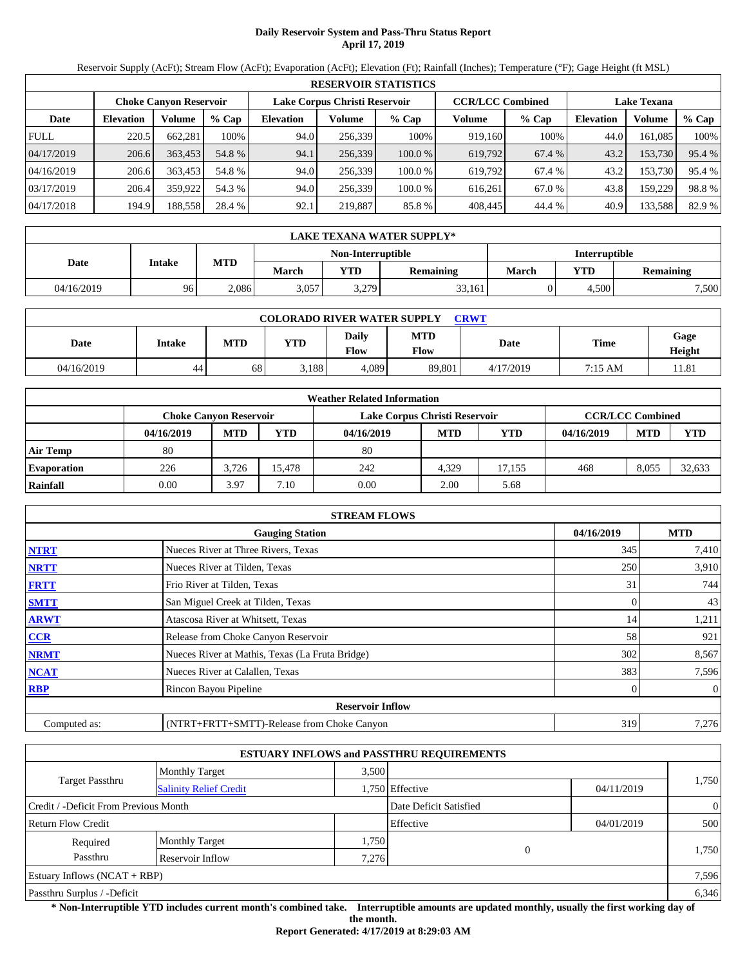# **Daily Reservoir System and Pass-Thru Status Report April 17, 2019**

Reservoir Supply (AcFt); Stream Flow (AcFt); Evaporation (AcFt); Elevation (Ft); Rainfall (Inches); Temperature (°F); Gage Height (ft MSL)

|             | <b>RESERVOIR STATISTICS</b> |                               |         |                               |         |         |                         |         |                    |         |        |  |  |
|-------------|-----------------------------|-------------------------------|---------|-------------------------------|---------|---------|-------------------------|---------|--------------------|---------|--------|--|--|
|             |                             | <b>Choke Canyon Reservoir</b> |         | Lake Corpus Christi Reservoir |         |         | <b>CCR/LCC Combined</b> |         | <b>Lake Texana</b> |         |        |  |  |
| Date        | <b>Elevation</b>            | Volume                        | $%$ Cap | <b>Elevation</b>              | Volume  | $%$ Cap | Volume                  | $%$ Cap | <b>Elevation</b>   | Volume  | % Cap  |  |  |
| <b>FULL</b> | 220.5                       | 662,281                       | 100%    | 94.0                          | 256.339 | 100%    | 919,160                 | 100%    | 44.0               | 161.085 | 100%   |  |  |
| 04/17/2019  | 206.6                       | 363.453                       | 54.8 %  | 94.1                          | 256,339 | 100.0%  | 619,792                 | 67.4 %  | 43.2               | 153,730 | 95.4 % |  |  |
| 04/16/2019  | 206.6                       | 363,453                       | 54.8 %  | 94.0                          | 256.339 | 100.0 % | 619.792                 | 67.4 %  | 43.2               | 153,730 | 95.4 % |  |  |
| 03/17/2019  | 206.4                       | 359.922                       | 54.3 %  | 94.0                          | 256.339 | 100.0 % | 616.261                 | 67.0 %  | 43.8               | 159,229 | 98.8%  |  |  |
| 04/17/2018  | 194.9                       | 188,558                       | 28.4 %  | 92.1                          | 219,887 | 85.8%   | 408,445                 | 44.4 %  | 40.9               | 133,588 | 82.9 % |  |  |

|            | <b>LAKE TEXANA WATER SUPPLY*</b> |            |       |                   |           |                      |       |           |  |  |  |
|------------|----------------------------------|------------|-------|-------------------|-----------|----------------------|-------|-----------|--|--|--|
|            |                                  |            |       | Non-Interruptible |           | <b>Interruptible</b> |       |           |  |  |  |
| Date       | Intake                           | <b>MTD</b> | March | <b>YTD</b>        | Remaining | March                | YTD.  | Remaining |  |  |  |
| 04/16/2019 | 96                               | 2.086      | 3,057 | 3,279             | 33,161    |                      | 4,500 | 7,500     |  |  |  |

| <b>COLORADO RIVER WATER SUPPLY</b><br><b>CRWT</b> |        |            |            |                      |                    |           |             |                |  |  |  |
|---------------------------------------------------|--------|------------|------------|----------------------|--------------------|-----------|-------------|----------------|--|--|--|
| Date                                              | Intake | <b>MTD</b> | <b>YTD</b> | Daily<br><b>Flow</b> | <b>MTD</b><br>Flow | Date      | <b>Time</b> | Gage<br>Height |  |  |  |
| 04/16/2019                                        | 44     | 68         | 3.188      | 4.089                | 89.801             | 4/17/2019 | 7:15 AM     | 11.81          |  |  |  |

|                    |            |                               |            | <b>Weather Related Information</b> |            |            |            |                         |            |
|--------------------|------------|-------------------------------|------------|------------------------------------|------------|------------|------------|-------------------------|------------|
|                    |            | <b>Choke Canvon Reservoir</b> |            | Lake Corpus Christi Reservoir      |            |            |            | <b>CCR/LCC Combined</b> |            |
|                    | 04/16/2019 | <b>MTD</b>                    | <b>YTD</b> | 04/16/2019                         | <b>MTD</b> | <b>YTD</b> | 04/16/2019 | <b>MTD</b>              | <b>YTD</b> |
| <b>Air Temp</b>    | 80         |                               |            | 80                                 |            |            |            |                         |            |
| <b>Evaporation</b> | 226        | 3.726                         | 15.478     | 242                                | 4.329      | 17.155     | 468        | 8.055                   | 32,633     |
| Rainfall           | 0.00       | 3.97                          | 7.10       | 0.00                               | 2.00       | 5.68       |            |                         |            |

|              | <b>STREAM FLOWS</b>                             |            |              |
|--------------|-------------------------------------------------|------------|--------------|
|              | <b>Gauging Station</b>                          | 04/16/2019 | <b>MTD</b>   |
| <b>NTRT</b>  | Nueces River at Three Rivers, Texas             | 345        | 7,410        |
| <b>NRTT</b>  | Nueces River at Tilden, Texas                   | 250        | 3,910        |
| <b>FRTT</b>  | Frio River at Tilden, Texas                     | 31         | 744          |
| <b>SMTT</b>  | San Miguel Creek at Tilden, Texas               | 0          | 43           |
| <b>ARWT</b>  | Atascosa River at Whitsett, Texas               | 14         | 1,211        |
| CCR          | Release from Choke Canyon Reservoir             | 58         | 921          |
| <b>NRMT</b>  | Nueces River at Mathis, Texas (La Fruta Bridge) | 302        | 8,567        |
| <b>NCAT</b>  | Nueces River at Calallen, Texas                 | 383        | 7,596        |
| <b>RBP</b>   | Rincon Bayou Pipeline                           |            | $\mathbf{0}$ |
|              | <b>Reservoir Inflow</b>                         |            |              |
| Computed as: | (NTRT+FRTT+SMTT)-Release from Choke Canyon      | 319        | 7,276        |

|                                       |                               |       | <b>ESTUARY INFLOWS and PASSTHRU REQUIREMENTS</b> |            |                |
|---------------------------------------|-------------------------------|-------|--------------------------------------------------|------------|----------------|
|                                       | <b>Monthly Target</b>         | 3.500 |                                                  |            |                |
| <b>Target Passthru</b>                | <b>Salinity Relief Credit</b> |       | 1,750 Effective                                  | 04/11/2019 | 1,750          |
| Credit / -Deficit From Previous Month |                               |       | Date Deficit Satisfied                           |            | $\overline{0}$ |
| <b>Return Flow Credit</b>             |                               |       | Effective                                        | 04/01/2019 | 500            |
| Required                              | <b>Monthly Target</b>         | 1,750 |                                                  |            |                |
| Passthru                              | Reservoir Inflow              | 7.276 | $\mathbf{0}$                                     |            | 1,750          |
| Estuary Inflows $(NCAT + RBP)$        |                               |       |                                                  |            | 7,596          |
| Passthru Surplus / -Deficit           |                               |       |                                                  |            | 6,346          |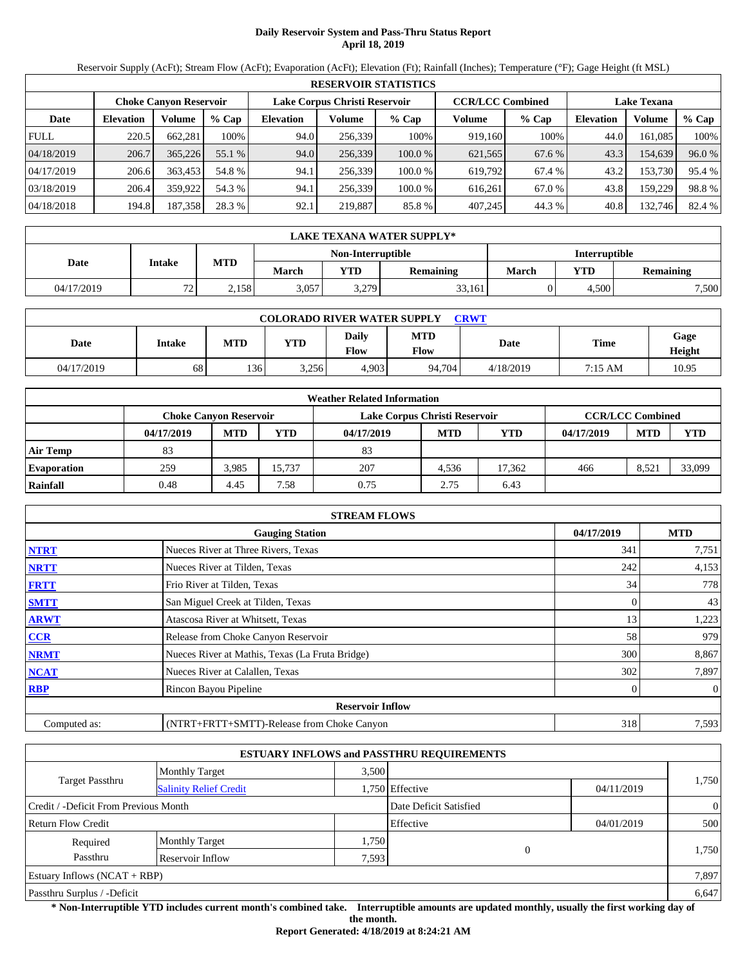# **Daily Reservoir System and Pass-Thru Status Report April 18, 2019**

Reservoir Supply (AcFt); Stream Flow (AcFt); Evaporation (AcFt); Elevation (Ft); Rainfall (Inches); Temperature (°F); Gage Height (ft MSL)

|             | <b>RESERVOIR STATISTICS</b> |                               |         |                               |         |         |                         |         |                    |         |        |  |
|-------------|-----------------------------|-------------------------------|---------|-------------------------------|---------|---------|-------------------------|---------|--------------------|---------|--------|--|
|             |                             | <b>Choke Canyon Reservoir</b> |         | Lake Corpus Christi Reservoir |         |         | <b>CCR/LCC Combined</b> |         | <b>Lake Texana</b> |         |        |  |
| Date        | <b>Elevation</b>            | Volume                        | $%$ Cap | <b>Elevation</b>              | Volume  | $%$ Cap | Volume                  | $%$ Cap | <b>Elevation</b>   | Volume  | % Cap  |  |
| <b>FULL</b> | 220.5                       | 662.281                       | 100%    | 94.0                          | 256.339 | 100%    | 919.160                 | 100%    | 44.0               | 161.085 | 100%   |  |
| 04/18/2019  | 206.7                       | 365,226                       | 55.1 %  | 94.0                          | 256,339 | 100.0%  | 621,565                 | 67.6 %  | 43.3               | 154,639 | 96.0%  |  |
| 04/17/2019  | 206.6                       | 363.453                       | 54.8 %  | 94.1                          | 256.339 | 100.0 % | 619.792                 | 67.4 %  | 43.2               | 153.730 | 95.4 % |  |
| 03/18/2019  | 206.4                       | 359.922                       | 54.3 %  | 94.1                          | 256.339 | 100.0 % | 616.261                 | 67.0 %  | 43.8               | 159,229 | 98.8%  |  |
| 04/18/2018  | 194.8                       | 187,358                       | 28.3 %  | 92.1                          | 219,887 | 85.8 %  | 407,245                 | 44.3 %  | 40.8               | 132,746 | 82.4 % |  |

|            | LAKE TEXANA WATER SUPPLY* |            |       |                          |                  |                      |            |           |  |  |  |
|------------|---------------------------|------------|-------|--------------------------|------------------|----------------------|------------|-----------|--|--|--|
|            | Intake                    |            |       | <b>Non-Interruptible</b> |                  | <b>Interruptible</b> |            |           |  |  |  |
| Date       |                           | <b>MTD</b> | March | <b>VTD</b>               | <b>Remaining</b> | <b>March</b>         | <b>YTD</b> | Remaining |  |  |  |
| 04/17/2019 | $\overline{a}$<br>. .     | 2,158      | 3,057 | 3,279                    | 33,161           |                      | 4.500      | 7,500     |  |  |  |

| <b>COLORADO RIVER WATER SUPPLY</b><br><b>CRWT</b> |        |            |            |                             |                    |           |             |                |  |  |  |
|---------------------------------------------------|--------|------------|------------|-----------------------------|--------------------|-----------|-------------|----------------|--|--|--|
| Date                                              | Intake | <b>MTD</b> | <b>YTD</b> | <b>Daily</b><br><b>Flow</b> | <b>MTD</b><br>Flow | Date      | <b>Time</b> | Gage<br>Height |  |  |  |
| 04/17/2019                                        | 68     | 136        | 3,256      | 4,903                       | 94.704             | 4/18/2019 | 7:15 AM     | 10.95          |  |  |  |

|                    |            |                               |            | <b>Weather Related Information</b> |            |            |            |                         |            |
|--------------------|------------|-------------------------------|------------|------------------------------------|------------|------------|------------|-------------------------|------------|
|                    |            | <b>Choke Canvon Reservoir</b> |            | Lake Corpus Christi Reservoir      |            |            |            | <b>CCR/LCC Combined</b> |            |
|                    | 04/17/2019 | <b>MTD</b>                    | <b>YTD</b> | 04/17/2019                         | <b>MTD</b> | <b>YTD</b> | 04/17/2019 | <b>MTD</b>              | <b>YTD</b> |
| <b>Air Temp</b>    | 83         |                               |            | 83                                 |            |            |            |                         |            |
| <b>Evaporation</b> | 259        | 3.985                         | 15.737     | 207                                | 4.536      | 17.362     | 466        | 8,521                   | 33,099     |
| Rainfall           | 0.48       | 4.45                          | 7.58       | 0.75                               | 2.75       | 6.43       |            |                         |            |

|              | <b>STREAM FLOWS</b>                             |            |                |
|--------------|-------------------------------------------------|------------|----------------|
|              | <b>Gauging Station</b>                          | 04/17/2019 | <b>MTD</b>     |
| <b>NTRT</b>  | Nueces River at Three Rivers, Texas             | 341        | 7,751          |
| <b>NRTT</b>  | Nueces River at Tilden, Texas                   | 242        | 4,153          |
| <b>FRTT</b>  | Frio River at Tilden, Texas                     | 34         | 778            |
| <b>SMTT</b>  | San Miguel Creek at Tilden, Texas               | 0          | 43             |
| <b>ARWT</b>  | Atascosa River at Whitsett, Texas               | 13         | 1,223          |
| CCR          | Release from Choke Canyon Reservoir             | 58         | 979            |
| <b>NRMT</b>  | Nueces River at Mathis, Texas (La Fruta Bridge) | 300        | 8,867          |
| <b>NCAT</b>  | Nueces River at Calallen, Texas                 | 302        | 7,897          |
| <b>RBP</b>   | Rincon Bayou Pipeline                           | 0          | $\overline{0}$ |
|              | <b>Reservoir Inflow</b>                         |            |                |
| Computed as: | (NTRT+FRTT+SMTT)-Release from Choke Canyon      | 318        | 7,593          |

|                                       |                                                         |       | <b>ESTUARY INFLOWS and PASSTHRU REQUIREMENTS</b> |            |                |
|---------------------------------------|---------------------------------------------------------|-------|--------------------------------------------------|------------|----------------|
|                                       | <b>Monthly Target</b>                                   | 3,500 |                                                  |            |                |
|                                       | <b>Target Passthru</b><br><b>Salinity Relief Credit</b> |       | 1,750 Effective                                  | 04/11/2019 | 1,750          |
| Credit / -Deficit From Previous Month |                                                         |       | Date Deficit Satisfied                           |            | $\overline{0}$ |
| Return Flow Credit                    |                                                         |       | Effective                                        | 04/01/2019 | 500            |
| Required                              | <b>Monthly Target</b>                                   | 1,750 |                                                  |            |                |
| Passthru                              | Reservoir Inflow                                        | 7,593 | $\mathbf{0}$                                     |            | 1,750          |
| Estuary Inflows $(NCAT + RBP)$        |                                                         |       |                                                  |            | 7,897          |
| Passthru Surplus / -Deficit           |                                                         |       |                                                  |            | 6,647          |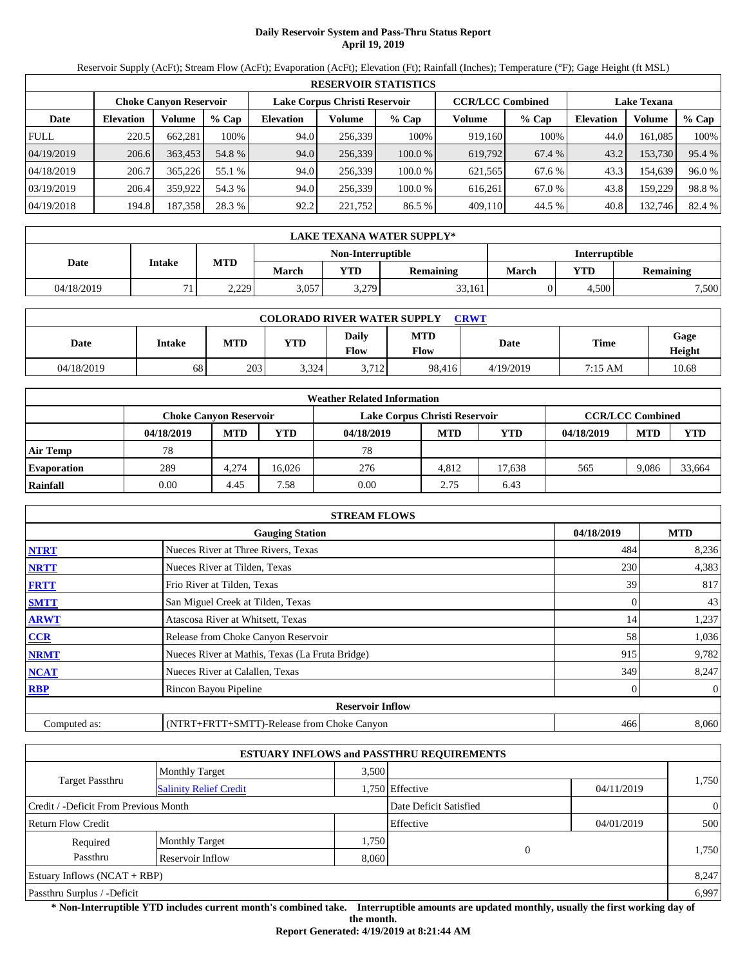# **Daily Reservoir System and Pass-Thru Status Report April 19, 2019**

Reservoir Supply (AcFt); Stream Flow (AcFt); Evaporation (AcFt); Elevation (Ft); Rainfall (Inches); Temperature (°F); Gage Height (ft MSL)

|             | <b>RESERVOIR STATISTICS</b> |                               |         |                  |                               |         |                         |         |                    |         |        |  |
|-------------|-----------------------------|-------------------------------|---------|------------------|-------------------------------|---------|-------------------------|---------|--------------------|---------|--------|--|
|             |                             | <b>Choke Canvon Reservoir</b> |         |                  | Lake Corpus Christi Reservoir |         | <b>CCR/LCC Combined</b> |         | <b>Lake Texana</b> |         |        |  |
| Date        | <b>Elevation</b>            | Volume                        | $%$ Cap | <b>Elevation</b> | Volume                        | $%$ Cap | Volume                  | $%$ Cap | <b>Elevation</b>   | Volume  | % Cap  |  |
| <b>FULL</b> | 220.5                       | 662,281                       | 100%    | 94.0             | 256,339                       | 100%    | 919,160                 | 100%    | 44.0               | 161,085 | 100%   |  |
| 04/19/2019  | 206.6                       | 363,453                       | 54.8 %  | 94.0             | 256,339                       | 100.0%  | 619,792                 | 67.4 %  | 43.2               | 153,730 | 95.4 % |  |
| 04/18/2019  | 206.7                       | 365,226                       | 55.1 %  | 94.0             | 256.339                       | 100.0 % | 621,565                 | 67.6 %  | 43.3               | 154.639 | 96.0%  |  |
| 03/19/2019  | 206.4                       | 359,922                       | 54.3 %  | 94.0             | 256,339                       | 100.0 % | 616,261                 | 67.0 %  | 43.8               | 159,229 | 98.8%  |  |
| 04/19/2018  | 194.8                       | 187,358                       | 28.3 %  | 92.2             | 221,752                       | 86.5 %  | 409,110                 | 44.5 %  | 40.8               | 132,746 | 82.4 % |  |

|            | LAKE TEXANA WATER SUPPLY* |            |       |                   |           |                      |       |           |  |  |  |
|------------|---------------------------|------------|-------|-------------------|-----------|----------------------|-------|-----------|--|--|--|
|            | Intake                    |            |       | Non-Interruptible |           | <b>Interruptible</b> |       |           |  |  |  |
| Date       |                           | <b>MTD</b> | March | <b>YTD</b>        | Remaining | <b>March</b>         | YTD.  | Remaining |  |  |  |
| 04/18/2019 | 71                        | 2.229      | 3,057 | 3,279             | 33,161    |                      | 4,500 | 7,500     |  |  |  |

| <b>COLORADO RIVER WATER SUPPLY</b><br><b>CRWT</b> |        |            |            |                             |                    |           |             |                |  |  |  |
|---------------------------------------------------|--------|------------|------------|-----------------------------|--------------------|-----------|-------------|----------------|--|--|--|
| Date                                              | Intake | <b>MTD</b> | <b>YTD</b> | <b>Daily</b><br><b>Flow</b> | <b>MTD</b><br>Flow | Date      | <b>Time</b> | Gage<br>Height |  |  |  |
| 04/18/2019                                        | 68     | 203        | 3,324      | 3.712                       | 98.416             | 4/19/2019 | 7:15 AM     | 10.68          |  |  |  |

|                    |            |                        |            | <b>Weather Related Information</b> |            |            |            |                         |            |
|--------------------|------------|------------------------|------------|------------------------------------|------------|------------|------------|-------------------------|------------|
|                    |            | Choke Canvon Reservoir |            | Lake Corpus Christi Reservoir      |            |            |            | <b>CCR/LCC Combined</b> |            |
|                    | 04/18/2019 | <b>MTD</b>             | <b>YTD</b> | 04/18/2019                         | <b>MTD</b> | <b>YTD</b> | 04/18/2019 | <b>MTD</b>              | <b>YTD</b> |
| <b>Air Temp</b>    | 78         |                        |            | 78                                 |            |            |            |                         |            |
| <b>Evaporation</b> | 289        | 4.274                  | 16.026     | 276                                | 4.812      | 17.638     | 565        | 9.086                   | 33.664     |
| Rainfall           | 0.00       | 4.45                   | 7.58       | 0.00                               | 2.75       | 6.43       |            |                         |            |

|              | <b>STREAM FLOWS</b>                             |            |                |
|--------------|-------------------------------------------------|------------|----------------|
|              | <b>Gauging Station</b>                          | 04/18/2019 | <b>MTD</b>     |
| <b>NTRT</b>  | Nueces River at Three Rivers, Texas             | 484        | 8,236          |
| <b>NRTT</b>  | Nueces River at Tilden, Texas                   | 230        | 4,383          |
| <b>FRTT</b>  | Frio River at Tilden, Texas                     | 39         | 817            |
| <b>SMTT</b>  | San Miguel Creek at Tilden, Texas               | 0          | 43             |
| <b>ARWT</b>  | Atascosa River at Whitsett, Texas               | 14         | 1,237          |
| <b>CCR</b>   | Release from Choke Canyon Reservoir             | 58         | 1,036          |
| <b>NRMT</b>  | Nueces River at Mathis, Texas (La Fruta Bridge) | 915        | 9,782          |
| <b>NCAT</b>  | Nueces River at Calallen, Texas                 | 349        | 8,247          |
| <b>RBP</b>   | Rincon Bayou Pipeline                           |            | $\overline{0}$ |
|              | <b>Reservoir Inflow</b>                         |            |                |
| Computed as: | (NTRT+FRTT+SMTT)-Release from Choke Canyon      | 466        | 8,060          |

|                                       |                               |       | <b>ESTUARY INFLOWS and PASSTHRU REQUIREMENTS</b> |            |                |
|---------------------------------------|-------------------------------|-------|--------------------------------------------------|------------|----------------|
|                                       | <b>Monthly Target</b>         | 3.500 |                                                  |            |                |
| <b>Target Passthru</b>                | <b>Salinity Relief Credit</b> |       | 1,750 Effective                                  | 04/11/2019 | 1,750          |
| Credit / -Deficit From Previous Month |                               |       | Date Deficit Satisfied                           |            | $\overline{0}$ |
| <b>Return Flow Credit</b>             |                               |       | Effective                                        | 04/01/2019 | 500            |
| Required                              | <b>Monthly Target</b>         | 1,750 |                                                  |            |                |
| Passthru<br>Reservoir Inflow          |                               |       | $\mathbf{0}$<br>8,060                            |            | 1,750          |
| Estuary Inflows $(NCAT + RBP)$        |                               |       |                                                  |            | 8,247          |
| Passthru Surplus / -Deficit           |                               |       |                                                  |            | 6,997          |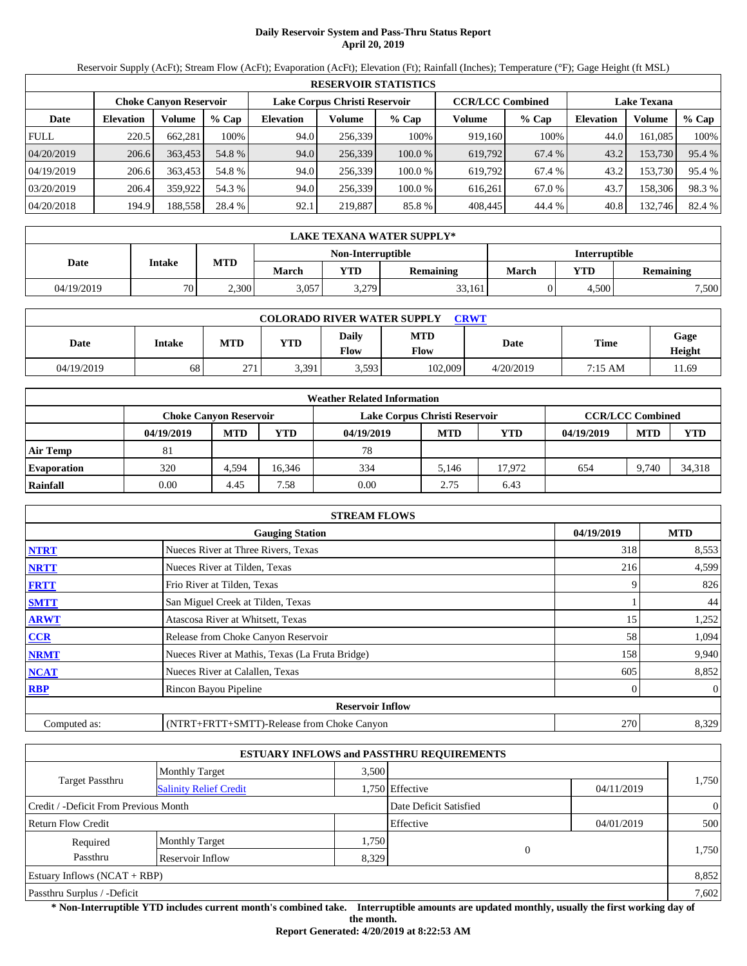# **Daily Reservoir System and Pass-Thru Status Report April 20, 2019**

Reservoir Supply (AcFt); Stream Flow (AcFt); Evaporation (AcFt); Elevation (Ft); Rainfall (Inches); Temperature (°F); Gage Height (ft MSL)

|             | <b>RESERVOIR STATISTICS</b> |                               |         |                               |         |         |                         |         |                    |         |        |  |
|-------------|-----------------------------|-------------------------------|---------|-------------------------------|---------|---------|-------------------------|---------|--------------------|---------|--------|--|
|             |                             | <b>Choke Canyon Reservoir</b> |         | Lake Corpus Christi Reservoir |         |         | <b>CCR/LCC Combined</b> |         | <b>Lake Texana</b> |         |        |  |
| Date        | <b>Elevation</b>            | Volume                        | $%$ Cap | <b>Elevation</b>              | Volume  | $%$ Cap | Volume                  | $%$ Cap | <b>Elevation</b>   | Volume  | % Cap  |  |
| <b>FULL</b> | 220.5                       | 662.281                       | 100%    | 94.0                          | 256,339 | 100%    | 919,160                 | 100%    | 44.0               | 161.085 | 100%   |  |
| 04/20/2019  | 206.6                       | 363,453                       | 54.8 %  | 94.0                          | 256,339 | 100.0%  | 619,792                 | 67.4 %  | 43.2               | 153,730 | 95.4 % |  |
| 04/19/2019  | 206.6                       | 363,453                       | 54.8 %  | 94.0                          | 256.339 | 100.0 % | 619.792                 | 67.4 %  | 43.2               | 153,730 | 95.4 % |  |
| 03/20/2019  | 206.4                       | 359,922                       | 54.3 %  | 94.0                          | 256.339 | 100.0 % | 616.261                 | 67.0 %  | 43.7               | 158,306 | 98.3%  |  |
| 04/20/2018  | 194.9                       | 188,558                       | 28.4 %  | 92.1                          | 219,887 | 85.8%   | 408,445                 | 44.4 %  | 40.8               | 132,746 | 82.4 % |  |

|            | LAKE TEXANA WATER SUPPLY* |            |       |                   |                  |                      |            |           |  |  |  |
|------------|---------------------------|------------|-------|-------------------|------------------|----------------------|------------|-----------|--|--|--|
|            | Intake                    |            |       | Non-Interruptible |                  | <b>Interruptible</b> |            |           |  |  |  |
| Date       |                           | <b>MTD</b> | March | <b>YTD</b>        | <b>Remaining</b> | March                | <b>YTD</b> | Remaining |  |  |  |
| 04/19/2019 | 70                        | 2,300      | 3,057 | 3,279             | 33,161           |                      | 4.500      | 7,500     |  |  |  |

| <b>COLORADO RIVER WATER SUPPLY</b><br><b>CRWT</b> |        |            |            |               |                    |           |         |                |  |  |  |
|---------------------------------------------------|--------|------------|------------|---------------|--------------------|-----------|---------|----------------|--|--|--|
| Date                                              | Intake | <b>MTD</b> | <b>YTD</b> | Daily<br>Flow | <b>MTD</b><br>Flow | Date      | Time    | Gage<br>Height |  |  |  |
| 04/19/2019                                        | 68     | 271        | 3.391      | 3,593         | 102,009            | 4/20/2019 | 7:15 AM | 11.69          |  |  |  |

|                    |                               |            |            | <b>Weather Related Information</b> |            |        |            |                         |            |
|--------------------|-------------------------------|------------|------------|------------------------------------|------------|--------|------------|-------------------------|------------|
|                    | <b>Choke Canvon Reservoir</b> |            |            | Lake Corpus Christi Reservoir      |            |        |            | <b>CCR/LCC Combined</b> |            |
|                    | 04/19/2019                    | <b>MTD</b> | <b>YTD</b> | 04/19/2019                         | <b>MTD</b> | YTD    | 04/19/2019 | <b>MTD</b>              | <b>YTD</b> |
| <b>Air Temp</b>    | 81                            |            |            | 78                                 |            |        |            |                         |            |
| <b>Evaporation</b> | 320                           | 4.594      | 16.346     | 334                                | 5.146      | 17.972 | 654        | 9.740                   | 34,318     |
| Rainfall           | 0.00                          | 4.45       | 7.58       | 0.00                               | 2.75       | 6.43   |            |                         |            |

|              | <b>STREAM FLOWS</b>                             |            |              |
|--------------|-------------------------------------------------|------------|--------------|
|              | <b>Gauging Station</b>                          | 04/19/2019 | <b>MTD</b>   |
| <b>NTRT</b>  | Nueces River at Three Rivers, Texas             | 318        | 8,553        |
| <b>NRTT</b>  | Nueces River at Tilden, Texas                   | 216        | 4,599        |
| <b>FRTT</b>  | Frio River at Tilden, Texas                     |            | 826          |
| <b>SMTT</b>  | San Miguel Creek at Tilden, Texas               |            | 44           |
| <b>ARWT</b>  | Atascosa River at Whitsett, Texas               | 15         | 1,252        |
| CCR          | Release from Choke Canyon Reservoir             | 58         | 1,094        |
| <b>NRMT</b>  | Nueces River at Mathis, Texas (La Fruta Bridge) | 158        | 9,940        |
| <b>NCAT</b>  | Nueces River at Calallen, Texas                 | 605        | 8,852        |
| <b>RBP</b>   | Rincon Bayou Pipeline                           |            | $\mathbf{0}$ |
|              | <b>Reservoir Inflow</b>                         |            |              |
| Computed as: | (NTRT+FRTT+SMTT)-Release from Choke Canyon      | 270        | 8,329        |

|                                       |                               |       | <b>ESTUARY INFLOWS and PASSTHRU REQUIREMENTS</b> |            |                |
|---------------------------------------|-------------------------------|-------|--------------------------------------------------|------------|----------------|
|                                       | <b>Monthly Target</b>         | 3.500 |                                                  |            |                |
| <b>Target Passthru</b>                | <b>Salinity Relief Credit</b> |       | 1,750 Effective                                  | 04/11/2019 | 1,750          |
| Credit / -Deficit From Previous Month |                               |       | Date Deficit Satisfied                           |            | $\overline{0}$ |
| <b>Return Flow Credit</b>             |                               |       | Effective                                        | 04/01/2019 | 500            |
| Required                              | <b>Monthly Target</b>         | 1,750 |                                                  |            |                |
| Passthru                              | Reservoir Inflow              | 8,329 | $\Omega$                                         |            | 1,750          |
| Estuary Inflows $(NCAT + RBP)$        |                               |       |                                                  |            | 8,852          |
| Passthru Surplus / -Deficit           |                               |       |                                                  |            | 7,602          |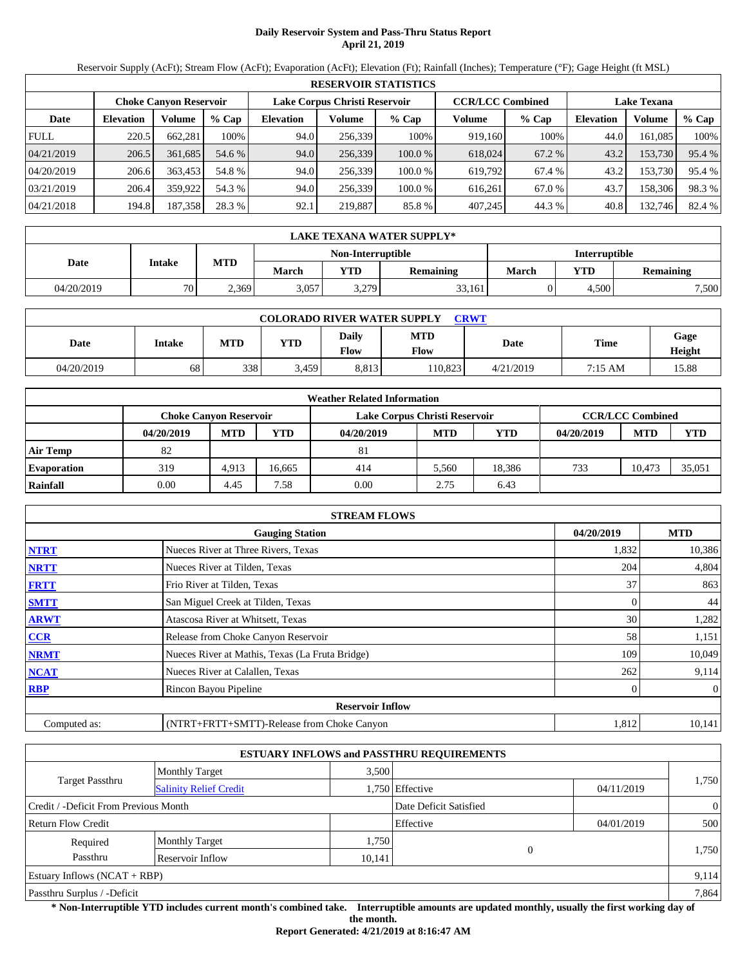# **Daily Reservoir System and Pass-Thru Status Report April 21, 2019**

Reservoir Supply (AcFt); Stream Flow (AcFt); Evaporation (AcFt); Elevation (Ft); Rainfall (Inches); Temperature (°F); Gage Height (ft MSL)

|             | <b>RESERVOIR STATISTICS</b>   |         |         |                  |                               |         |         |                         |                    |         |        |  |
|-------------|-------------------------------|---------|---------|------------------|-------------------------------|---------|---------|-------------------------|--------------------|---------|--------|--|
|             | <b>Choke Canyon Reservoir</b> |         |         |                  | Lake Corpus Christi Reservoir |         |         | <b>CCR/LCC Combined</b> | <b>Lake Texana</b> |         |        |  |
| Date        | <b>Elevation</b>              | Volume  | $%$ Cap | <b>Elevation</b> | Volume                        | % Cap   | Volume  | $%$ Cap                 | <b>Elevation</b>   | Volume  | % Cap  |  |
| <b>FULL</b> | 220.5                         | 662.281 | 100%    | 94.0             | 256.339                       | 100%    | 919.160 | 100%                    | 44.0               | 161.085 | 100%   |  |
| 04/21/2019  | 206.5                         | 361.685 | 54.6 %  | 94.0             | 256,339                       | 100.0%  | 618,024 | 67.2 %                  | 43.2               | 153,730 | 95.4 % |  |
| 04/20/2019  | 206.6                         | 363,453 | 54.8 %  | 94.0             | 256.339                       | 100.0 % | 619.792 | 67.4 %                  | 43.2               | 153,730 | 95.4 % |  |
| 03/21/2019  | 206.4                         | 359,922 | 54.3 %  | 94.0             | 256.339                       | 100.0 % | 616.261 | 67.0 %                  | 43.7               | 158.306 | 98.3%  |  |
| 04/21/2018  | 194.8                         | 187,358 | 28.3 %  | 92.1             | 219,887                       | 85.8%   | 407,245 | 44.3 %                  | 40.8               | 132,746 | 82.4 % |  |

|            | LAKE TEXANA WATER SUPPLY* |            |       |                   |                  |                      |            |           |  |  |  |
|------------|---------------------------|------------|-------|-------------------|------------------|----------------------|------------|-----------|--|--|--|
|            |                           |            |       | Non-Interruptible |                  | <b>Interruptible</b> |            |           |  |  |  |
| Date       | Intake                    | <b>MTD</b> | March | <b>YTD</b>        | <b>Remaining</b> | March                | <b>YTD</b> | Remaining |  |  |  |
| 04/20/2019 | 70                        | 2,369      | 3,057 | 3,279             | 33,161           |                      | 4.500      | 7,500     |  |  |  |

| <b>COLORADO RIVER WATER SUPPLY</b><br><b>CRWT</b> |        |            |            |               |                    |           |         |                |  |  |  |
|---------------------------------------------------|--------|------------|------------|---------------|--------------------|-----------|---------|----------------|--|--|--|
| Date                                              | Intake | <b>MTD</b> | <b>YTD</b> | Daily<br>Flow | <b>MTD</b><br>Flow | Date      | Time    | Gage<br>Height |  |  |  |
| 04/20/2019                                        | 68     | 338        | 3.459      | 8,813         | 10.823             | 4/21/2019 | 7:15 AM | 15.88          |  |  |  |

|                    |                               |            |        | <b>Weather Related Information</b> |            |            |            |                         |            |
|--------------------|-------------------------------|------------|--------|------------------------------------|------------|------------|------------|-------------------------|------------|
|                    | <b>Choke Canvon Reservoir</b> |            |        | Lake Corpus Christi Reservoir      |            |            |            | <b>CCR/LCC Combined</b> |            |
|                    | 04/20/2019                    | <b>MTD</b> | YTD    | 04/20/2019                         | <b>MTD</b> | <b>YTD</b> | 04/20/2019 | <b>MTD</b>              | <b>YTD</b> |
| <b>Air Temp</b>    | 82                            |            |        | 81                                 |            |            |            |                         |            |
| <b>Evaporation</b> | 319                           | 4.913      | 16.665 | 414                                | 5.560      | 18.386     | 733        | 10.473                  | 35,051     |
| Rainfall           | 0.00                          | 4.45       | 7.58   | 0.00                               | 2.75       | 6.43       |            |                         |            |

|              | <b>STREAM FLOWS</b>                             |            |              |
|--------------|-------------------------------------------------|------------|--------------|
|              | <b>Gauging Station</b>                          | 04/20/2019 | <b>MTD</b>   |
| <b>NTRT</b>  | Nueces River at Three Rivers, Texas             | 1,832      | 10,386       |
| <b>NRTT</b>  | Nueces River at Tilden, Texas                   | 204        | 4,804        |
| <b>FRTT</b>  | Frio River at Tilden, Texas                     | 37         | 863          |
| <b>SMTT</b>  | San Miguel Creek at Tilden, Texas               | 0          | 44           |
| <b>ARWT</b>  | Atascosa River at Whitsett, Texas               | 30         | 1,282        |
| <b>CCR</b>   | Release from Choke Canyon Reservoir             | 58         | 1,151        |
| <b>NRMT</b>  | Nueces River at Mathis, Texas (La Fruta Bridge) | 109        | 10,049       |
| <b>NCAT</b>  | Nueces River at Calallen, Texas                 | 262        | 9,114        |
| <b>RBP</b>   | Rincon Bayou Pipeline                           |            | $\mathbf{0}$ |
|              | <b>Reservoir Inflow</b>                         |            |              |
| Computed as: | (NTRT+FRTT+SMTT)-Release from Choke Canyon      | 1,812      | 10,141       |

|                                       |                               |        | <b>ESTUARY INFLOWS and PASSTHRU REQUIREMENTS</b> |            |                |
|---------------------------------------|-------------------------------|--------|--------------------------------------------------|------------|----------------|
|                                       | <b>Monthly Target</b>         | 3.500  |                                                  |            |                |
| Target Passthru                       | <b>Salinity Relief Credit</b> |        | 1,750 Effective                                  | 04/11/2019 | 1,750          |
| Credit / -Deficit From Previous Month |                               |        | Date Deficit Satisfied                           |            | $\overline{0}$ |
| <b>Return Flow Credit</b>             |                               |        | Effective                                        | 04/01/2019 | 500            |
| Required                              | <b>Monthly Target</b>         | 1,750  |                                                  |            |                |
| Passthru                              | Reservoir Inflow              | 10,141 | 0                                                |            | 1,750          |
| Estuary Inflows $(NCAT + RBP)$        |                               |        |                                                  |            | 9,114          |
| Passthru Surplus / -Deficit           |                               |        |                                                  |            | 7,864          |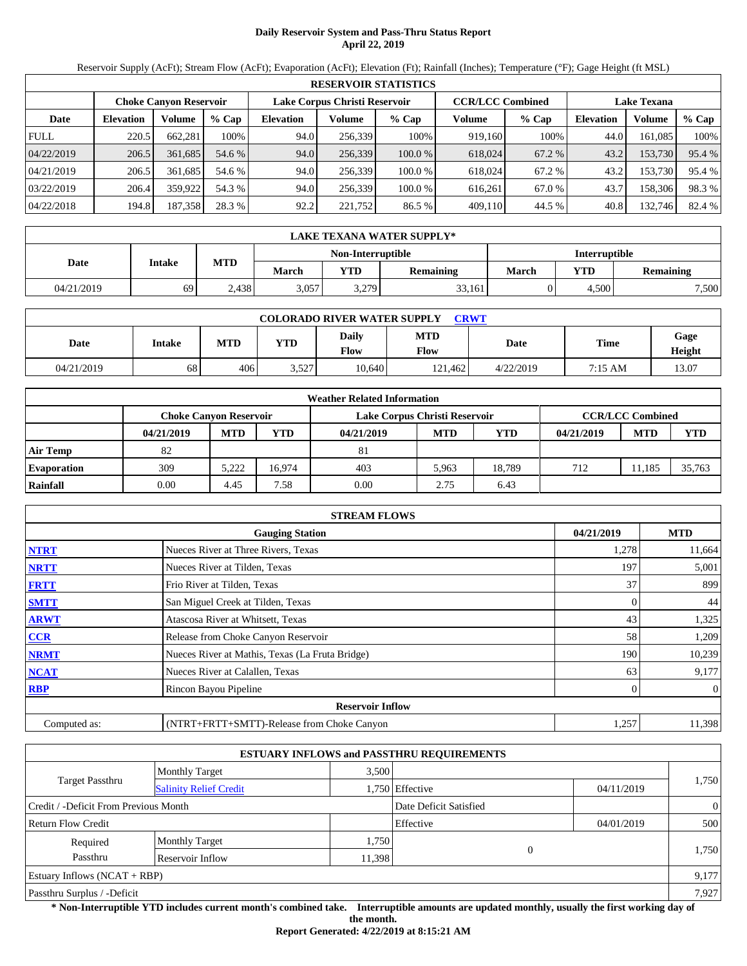## **Daily Reservoir System and Pass-Thru Status Report April 22, 2019**

Reservoir Supply (AcFt); Stream Flow (AcFt); Evaporation (AcFt); Elevation (Ft); Rainfall (Inches); Temperature (°F); Gage Height (ft MSL)

|             | <b>RESERVOIR STATISTICS</b>   |         |         |                  |                               |         |         |                         |                    |         |        |  |
|-------------|-------------------------------|---------|---------|------------------|-------------------------------|---------|---------|-------------------------|--------------------|---------|--------|--|
|             | <b>Choke Canyon Reservoir</b> |         |         |                  | Lake Corpus Christi Reservoir |         |         | <b>CCR/LCC Combined</b> | <b>Lake Texana</b> |         |        |  |
| Date        | <b>Elevation</b>              | Volume  | $%$ Cap | <b>Elevation</b> | Volume                        | $%$ Cap | Volume  | $%$ Cap                 | <b>Elevation</b>   | Volume  | % Cap  |  |
| <b>FULL</b> | 220.5                         | 662.281 | 100%    | 94.0             | 256.339                       | 100%    | 919.160 | 100%                    | 44.0               | 161.085 | 100%   |  |
| 04/22/2019  | 206.5                         | 361.685 | 54.6 %  | 94.0             | 256,339                       | 100.0%  | 618,024 | 67.2 %                  | 43.2               | 153,730 | 95.4 % |  |
| 04/21/2019  | 206.5                         | 361.685 | 54.6 %  | 94.0             | 256.339                       | 100.0 % | 618.024 | 67.2 %                  | 43.2               | 153,730 | 95.4 % |  |
| 03/22/2019  | 206.4                         | 359,922 | 54.3 %  | 94.0             | 256.339                       | 100.0 % | 616.261 | 67.0 %                  | 43.7               | 158.306 | 98.3%  |  |
| 04/22/2018  | 194.8                         | 187,358 | 28.3 %  | 92.2             | 221,752                       | 86.5 %  | 409,110 | 44.5 %                  | 40.8               | 132,746 | 82.4 % |  |

|            | LAKE TEXANA WATER SUPPLY* |              |       |                   |                  |                      |            |           |  |  |  |
|------------|---------------------------|--------------|-------|-------------------|------------------|----------------------|------------|-----------|--|--|--|
|            |                           |              |       | Non-Interruptible |                  | <b>Interruptible</b> |            |           |  |  |  |
| Date       | Intake                    | <b>MTD</b>   | March | <b>YTD</b>        | <b>Remaining</b> | March                | <b>YTD</b> | Remaining |  |  |  |
| 04/21/2019 | 69                        | $\angle 438$ | 3,057 | 3,279             | 33,161           |                      | 4.500      | 7,500     |  |  |  |

| <b>COLORADO RIVER WATER SUPPLY</b><br><b>CRWT</b> |        |            |            |               |                    |           |         |                |  |  |  |
|---------------------------------------------------|--------|------------|------------|---------------|--------------------|-----------|---------|----------------|--|--|--|
| Date                                              | Intake | <b>MTD</b> | <b>YTD</b> | Daily<br>Flow | <b>MTD</b><br>Flow | Date      | Time    | Gage<br>Height |  |  |  |
| 04/21/2019                                        | 68     | 406        | 3,527      | 10.640        | 121.462            | 4/22/2019 | 7:15 AM | 13.07          |  |  |  |

|                    | <b>Weather Related Information</b> |            |        |                               |            |            |            |                         |            |  |  |
|--------------------|------------------------------------|------------|--------|-------------------------------|------------|------------|------------|-------------------------|------------|--|--|
|                    | <b>Choke Canyon Reservoir</b>      |            |        | Lake Corpus Christi Reservoir |            |            |            | <b>CCR/LCC Combined</b> |            |  |  |
|                    | 04/21/2019                         | <b>MTD</b> | YTD    | 04/21/2019                    | <b>MTD</b> | <b>YTD</b> | 04/21/2019 | <b>MTD</b>              | <b>YTD</b> |  |  |
| <b>Air Temp</b>    | 82                                 |            |        | 81                            |            |            |            |                         |            |  |  |
| <b>Evaporation</b> | 309                                | 5.222      | 16.974 | 403                           | 5.963      | 18.789     | 712        | 11.185                  | 35,763     |  |  |
| Rainfall           | 0.00                               | 4.45       | 7.58   | 0.00                          | 2.75       | 6.43       |            |                         |            |  |  |

|              | <b>STREAM FLOWS</b>                             |            |                |
|--------------|-------------------------------------------------|------------|----------------|
|              | <b>Gauging Station</b>                          | 04/21/2019 | <b>MTD</b>     |
| <b>NTRT</b>  | Nueces River at Three Rivers, Texas             | 1,278      | 11,664         |
| <b>NRTT</b>  | Nueces River at Tilden, Texas                   | 197        | 5,001          |
| <b>FRTT</b>  | Frio River at Tilden, Texas                     | 37         | 899            |
| <b>SMTT</b>  | San Miguel Creek at Tilden, Texas               | 0          | 44             |
| <b>ARWT</b>  | Atascosa River at Whitsett, Texas               | 43         | 1,325          |
| <b>CCR</b>   | Release from Choke Canyon Reservoir             | 58         | 1,209          |
| <b>NRMT</b>  | Nueces River at Mathis, Texas (La Fruta Bridge) | 190        | 10,239         |
| <b>NCAT</b>  | Nueces River at Calallen, Texas                 | 63         | 9,177          |
| <b>RBP</b>   | Rincon Bayou Pipeline                           | 0          | $\overline{0}$ |
|              | <b>Reservoir Inflow</b>                         |            |                |
| Computed as: | (NTRT+FRTT+SMTT)-Release from Choke Canyon      | 1,257      | 11,398         |

|                                       |                               |        | <b>ESTUARY INFLOWS and PASSTHRU REQUIREMENTS</b> |            |                |
|---------------------------------------|-------------------------------|--------|--------------------------------------------------|------------|----------------|
|                                       | <b>Monthly Target</b>         | 3.500  |                                                  |            |                |
| Target Passthru                       | <b>Salinity Relief Credit</b> |        | 1,750 Effective                                  | 04/11/2019 | 1,750          |
| Credit / -Deficit From Previous Month |                               |        | Date Deficit Satisfied                           |            | $\overline{0}$ |
| <b>Return Flow Credit</b>             |                               |        | Effective                                        | 04/01/2019 | 500            |
| Required                              | <b>Monthly Target</b>         | 1,750  |                                                  |            |                |
| Passthru                              | Reservoir Inflow              | 11,398 | $\theta$                                         |            | 1,750          |
| Estuary Inflows $(NCAT + RBP)$        |                               |        |                                                  |            | 9,177          |
| Passthru Surplus / -Deficit           |                               |        |                                                  |            | 7.927          |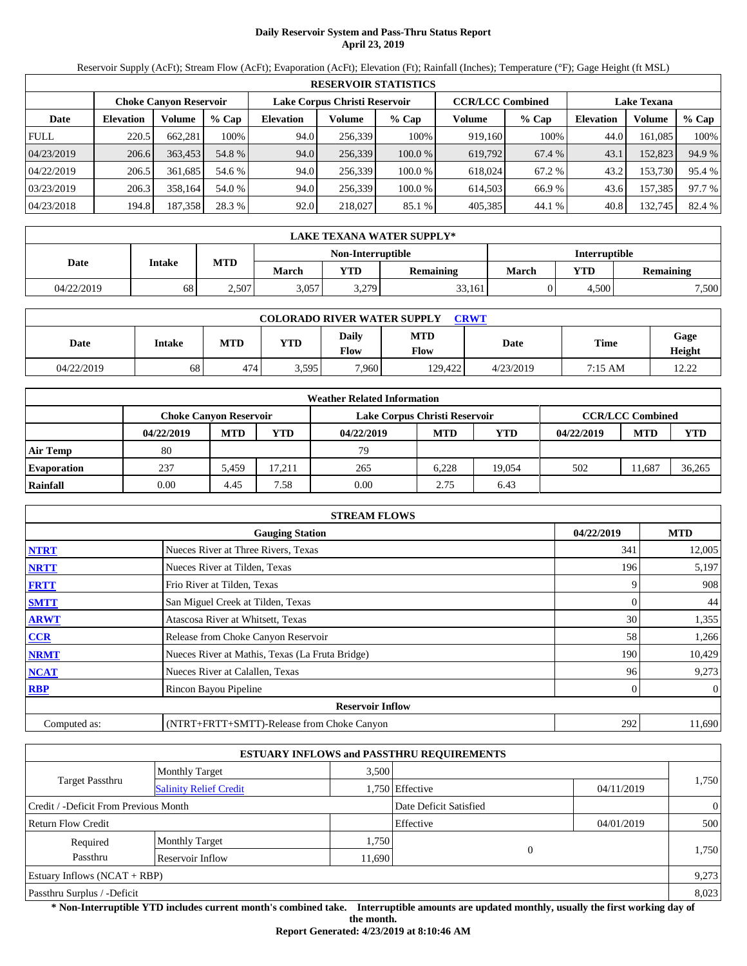# **Daily Reservoir System and Pass-Thru Status Report April 23, 2019**

Reservoir Supply (AcFt); Stream Flow (AcFt); Evaporation (AcFt); Elevation (Ft); Rainfall (Inches); Temperature (°F); Gage Height (ft MSL)

|             | <b>RESERVOIR STATISTICS</b> |                               |         |                               |         |         |                         |         |                    |         |        |  |  |
|-------------|-----------------------------|-------------------------------|---------|-------------------------------|---------|---------|-------------------------|---------|--------------------|---------|--------|--|--|
|             |                             | <b>Choke Canyon Reservoir</b> |         | Lake Corpus Christi Reservoir |         |         | <b>CCR/LCC Combined</b> |         | <b>Lake Texana</b> |         |        |  |  |
| Date        | <b>Elevation</b>            | Volume                        | $%$ Cap | <b>Elevation</b>              | Volume  | $%$ Cap | Volume                  | $%$ Cap | <b>Elevation</b>   | Volume  | % Cap  |  |  |
| <b>FULL</b> | 220.5                       | 662.281                       | 100%    | 94.0                          | 256,339 | 100%    | 919.160                 | 100%    | 44.0               | 161.085 | 100%   |  |  |
| 04/23/2019  | 206.6                       | 363,453                       | 54.8 %  | 94.0                          | 256,339 | 100.0%  | 619,792                 | 67.4 %  | 43.1               | 152,823 | 94.9 % |  |  |
| 04/22/2019  | 206.5                       | 361.685                       | 54.6 %  | 94.0                          | 256.339 | 100.0 % | 618.024                 | 67.2 %  | 43.2               | 153.730 | 95.4 % |  |  |
| 03/23/2019  | 206.3                       | 358.164                       | 54.0 %  | 94.0                          | 256,339 | 100.0 % | 614.503                 | 66.9 %  | 43.6               | 157,385 | 97.7 % |  |  |
| 04/23/2018  | 194.8                       | 187,358                       | 28.3 %  | 92.0                          | 218,027 | 85.1 %  | 405,385                 | 44.1 %  | 40.8               | 132,745 | 82.4 % |  |  |

|            | LAKE TEXANA WATER SUPPLY* |            |       |                   |                  |                      |            |           |  |  |  |
|------------|---------------------------|------------|-------|-------------------|------------------|----------------------|------------|-----------|--|--|--|
|            |                           |            |       | Non-Interruptible |                  | <b>Interruptible</b> |            |           |  |  |  |
| Date       | Intake                    | <b>MTD</b> | March | <b>YTD</b>        | <b>Remaining</b> | March                | <b>YTD</b> | Remaining |  |  |  |
| 04/22/2019 | 68                        | 2,507      | 3,057 | 3,279             | 33,161           |                      | 4.500      | 7,500     |  |  |  |

| <b>COLORADO RIVER WATER SUPPLY</b><br><b>CRWT</b> |        |            |            |               |                    |           |         |                 |  |  |  |
|---------------------------------------------------|--------|------------|------------|---------------|--------------------|-----------|---------|-----------------|--|--|--|
| Date                                              | Intake | <b>MTD</b> | <b>YTD</b> | Daily<br>Flow | <b>MTD</b><br>Flow | Date      | Time    | Gage<br>Height  |  |  |  |
| 04/22/2019                                        | 68     | 474        | 3,595      | 7,960         | 129.422            | 4/23/2019 | 7:15 AM | 1 າ າ າ<br>---- |  |  |  |

|                    |                               |            |       | <b>Weather Related Information</b> |            |            |            |                         |            |
|--------------------|-------------------------------|------------|-------|------------------------------------|------------|------------|------------|-------------------------|------------|
|                    | <b>Choke Canvon Reservoir</b> |            |       | Lake Corpus Christi Reservoir      |            |            |            | <b>CCR/LCC Combined</b> |            |
|                    | 04/22/2019                    | <b>MTD</b> | YTD   | 04/22/2019                         | <b>MTD</b> | <b>YTD</b> | 04/22/2019 | <b>MTD</b>              | <b>YTD</b> |
| <b>Air Temp</b>    | 80                            |            |       | 79                                 |            |            |            |                         |            |
| <b>Evaporation</b> | 237                           | 5.459      | 7.211 | 265                                | 6.228      | 19.054     | 502        | 11.687                  | 36,265     |
| Rainfall           | 0.00                          | 4.45       | 7.58  | 0.00                               | 2.75       | 6.43       |            |                         |            |

|              | <b>STREAM FLOWS</b>                             |            |              |
|--------------|-------------------------------------------------|------------|--------------|
|              | <b>Gauging Station</b>                          | 04/22/2019 | <b>MTD</b>   |
| <b>NTRT</b>  | Nueces River at Three Rivers, Texas             | 341        | 12,005       |
| <b>NRTT</b>  | Nueces River at Tilden, Texas                   | 196        | 5,197        |
| <b>FRTT</b>  | Frio River at Tilden, Texas                     |            | 908          |
| <b>SMTT</b>  | San Miguel Creek at Tilden, Texas               | 0          | 44           |
| <b>ARWT</b>  | Atascosa River at Whitsett, Texas               | 30         | 1,355        |
| <b>CCR</b>   | Release from Choke Canyon Reservoir             | 58         | 1,266        |
| <b>NRMT</b>  | Nueces River at Mathis, Texas (La Fruta Bridge) | 190        | 10,429       |
| <b>NCAT</b>  | Nueces River at Calallen, Texas                 | 96         | 9,273        |
| <b>RBP</b>   | Rincon Bayou Pipeline                           | 0          | $\mathbf{0}$ |
|              | <b>Reservoir Inflow</b>                         |            |              |
| Computed as: | (NTRT+FRTT+SMTT)-Release from Choke Canyon      | 292        | 11,690       |

|                                       |                               |        | <b>ESTUARY INFLOWS and PASSTHRU REQUIREMENTS</b> |            |                |
|---------------------------------------|-------------------------------|--------|--------------------------------------------------|------------|----------------|
|                                       | <b>Monthly Target</b>         | 3.500  |                                                  |            |                |
| Target Passthru                       | <b>Salinity Relief Credit</b> |        | 1,750 Effective                                  | 04/11/2019 | 1,750          |
| Credit / -Deficit From Previous Month |                               |        | Date Deficit Satisfied                           |            | $\overline{0}$ |
| <b>Return Flow Credit</b>             |                               |        | Effective                                        | 04/01/2019 | 500            |
| Required                              | <b>Monthly Target</b>         | 1,750  |                                                  |            |                |
| Passthru                              | Reservoir Inflow              | 11,690 | 0                                                |            | 1,750          |
| Estuary Inflows $(NCAT + RBP)$        |                               |        |                                                  |            | 9,273          |
| Passthru Surplus / -Deficit           |                               |        |                                                  |            | 8,023          |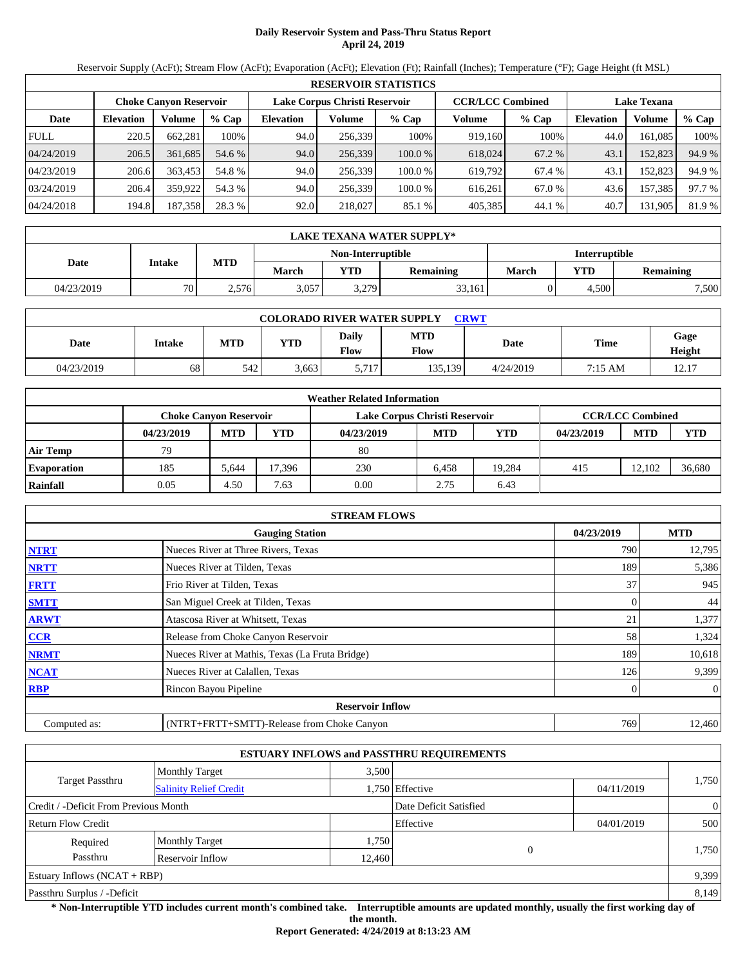# **Daily Reservoir System and Pass-Thru Status Report April 24, 2019**

Reservoir Supply (AcFt); Stream Flow (AcFt); Evaporation (AcFt); Elevation (Ft); Rainfall (Inches); Temperature (°F); Gage Height (ft MSL)

|             | <b>RESERVOIR STATISTICS</b> |                               |         |                  |                               |        |         |                         |                    |         |        |  |
|-------------|-----------------------------|-------------------------------|---------|------------------|-------------------------------|--------|---------|-------------------------|--------------------|---------|--------|--|
|             |                             | <b>Choke Canvon Reservoir</b> |         |                  | Lake Corpus Christi Reservoir |        |         | <b>CCR/LCC Combined</b> | <b>Lake Texana</b> |         |        |  |
| Date        | <b>Elevation</b>            | Volume                        | $%$ Cap | <b>Elevation</b> | Volume                        | % Cap  | Volume  | $%$ Cap                 | Elevation          | Volume  | % Cap  |  |
| <b>FULL</b> | 220.5                       | 662.281                       | 100%    | 94.0             | 256,339                       | 100%   | 919.160 | 100%                    | 44.0               | 161.085 | 100%   |  |
| 04/24/2019  | 206.5                       | 361,685                       | 54.6 %  | 94.0             | 256,339                       | 100.0% | 618,024 | 67.2 %                  | 43.1               | 152,823 | 94.9 % |  |
| 04/23/2019  | 206.6                       | 363,453                       | 54.8 %  | 94.0             | 256.339                       | 100.0% | 619.792 | 67.4 %                  | 43.1               | 152.823 | 94.9 % |  |
| 03/24/2019  | 206.4                       | 359.922                       | 54.3 %  | 94.0             | 256.339                       | 100.0% | 616.261 | 67.0 %                  | 43.6               | 157,385 | 97.7 % |  |
| 04/24/2018  | 194.8                       | 187,358                       | 28.3 %  | 92.0             | 218,027                       | 85.1 % | 405,385 | 44.1 %                  | 40.7               | 131,905 | 81.9 % |  |

|            | LAKE TEXANA WATER SUPPLY* |            |       |                   |                  |                      |            |           |  |  |
|------------|---------------------------|------------|-------|-------------------|------------------|----------------------|------------|-----------|--|--|
|            |                           |            |       | Non-Interruptible |                  | <b>Interruptible</b> |            |           |  |  |
| Date       | Intake                    | <b>MTD</b> | March | <b>YTD</b>        | <b>Remaining</b> | March                | <b>YTD</b> | Remaining |  |  |
| 04/23/2019 | 70                        | 2,576      | 3,057 | 3,279             | 33,161           |                      | 4.500      | 7,500     |  |  |

| <b>COLORADO RIVER WATER SUPPLY</b><br><b>CRWT</b> |        |            |            |               |                    |           |         |                |  |  |  |
|---------------------------------------------------|--------|------------|------------|---------------|--------------------|-----------|---------|----------------|--|--|--|
| Date                                              | Intake | <b>MTD</b> | <b>YTD</b> | Daily<br>Flow | <b>MTD</b><br>Flow | Date      | Time    | Gage<br>Height |  |  |  |
| 04/23/2019                                        | 68     | 542        | 3,663      | 5,717         | 135,139            | 4/24/2019 | 7:15 AM | 12.17          |  |  |  |

|                    |                               |            |        | <b>Weather Related Information</b> |            |            |            |                         |            |
|--------------------|-------------------------------|------------|--------|------------------------------------|------------|------------|------------|-------------------------|------------|
|                    | <b>Choke Canvon Reservoir</b> |            |        | Lake Corpus Christi Reservoir      |            |            |            | <b>CCR/LCC Combined</b> |            |
|                    | 04/23/2019                    | <b>MTD</b> | YTD    | 04/23/2019                         | <b>MTD</b> | <b>YTD</b> | 04/23/2019 | <b>MTD</b>              | <b>YTD</b> |
| <b>Air Temp</b>    | 79                            |            |        | 80                                 |            |            |            |                         |            |
| <b>Evaporation</b> | 185                           | 5.644      | 17.396 | 230                                | 6.458      | 19.284     | 415        | 12.102                  | 36.680     |
| Rainfall           | 0.05                          | 4.50       | 7.63   | 0.00                               | 2.75       | 6.43       |            |                         |            |

|              | <b>STREAM FLOWS</b>                             |            |                |
|--------------|-------------------------------------------------|------------|----------------|
|              | <b>Gauging Station</b>                          | 04/23/2019 | <b>MTD</b>     |
| <b>NTRT</b>  | Nueces River at Three Rivers, Texas             | 790        | 12,795         |
| <b>NRTT</b>  | Nueces River at Tilden, Texas                   | 189        | 5,386          |
| <b>FRTT</b>  | Frio River at Tilden, Texas                     | 37         | 945            |
| <b>SMTT</b>  | San Miguel Creek at Tilden, Texas               | $\Omega$   | 44             |
| <b>ARWT</b>  | Atascosa River at Whitsett, Texas               | 21         | 1,377          |
| <b>CCR</b>   | Release from Choke Canyon Reservoir             | 58         | 1,324          |
| <b>NRMT</b>  | Nueces River at Mathis, Texas (La Fruta Bridge) | 189        | 10,618         |
| <b>NCAT</b>  | Nueces River at Calallen, Texas                 | 126        | 9,399          |
| <b>RBP</b>   | Rincon Bayou Pipeline                           | 0          | $\overline{0}$ |
|              | <b>Reservoir Inflow</b>                         |            |                |
| Computed as: | (NTRT+FRTT+SMTT)-Release from Choke Canyon      | 769        | 12,460         |

|                                       |                               |        | <b>ESTUARY INFLOWS and PASSTHRU REQUIREMENTS</b> |            |                |
|---------------------------------------|-------------------------------|--------|--------------------------------------------------|------------|----------------|
|                                       | <b>Monthly Target</b>         | 3.500  |                                                  |            |                |
| Target Passthru                       | <b>Salinity Relief Credit</b> |        | 1,750 Effective                                  | 04/11/2019 | 1,750          |
| Credit / -Deficit From Previous Month |                               |        | Date Deficit Satisfied                           |            | $\overline{0}$ |
| <b>Return Flow Credit</b>             |                               |        | Effective                                        | 04/01/2019 | 500            |
| Required                              | <b>Monthly Target</b>         | 1,750  |                                                  |            |                |
| Passthru                              | Reservoir Inflow              | 12,460 | 0                                                |            | 1,750          |
| Estuary Inflows $(NCAT + RBP)$        |                               |        |                                                  |            | 9,399          |
| Passthru Surplus / -Deficit           |                               |        |                                                  |            | 8,149          |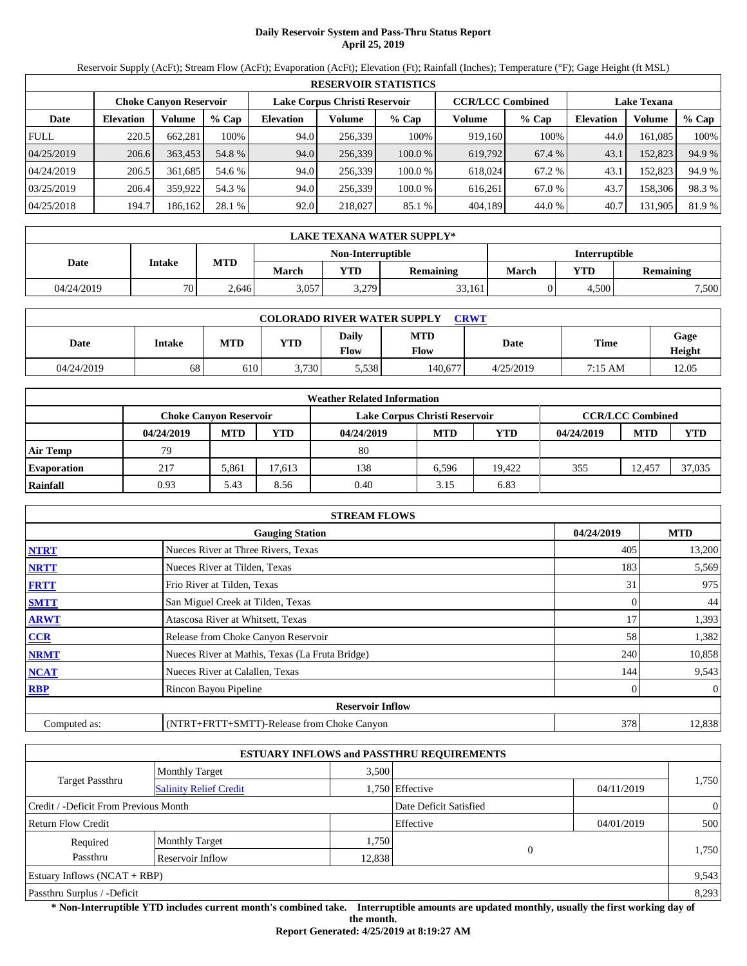## **Daily Reservoir System and Pass-Thru Status Report April 25, 2019**

Reservoir Supply (AcFt); Stream Flow (AcFt); Evaporation (AcFt); Elevation (Ft); Rainfall (Inches); Temperature (°F); Gage Height (ft MSL)

|             | <b>RESERVOIR STATISTICS</b> |                               |         |                               |         |         |                         |         |                    |         |        |  |  |
|-------------|-----------------------------|-------------------------------|---------|-------------------------------|---------|---------|-------------------------|---------|--------------------|---------|--------|--|--|
|             |                             | <b>Choke Canvon Reservoir</b> |         | Lake Corpus Christi Reservoir |         |         | <b>CCR/LCC Combined</b> |         | <b>Lake Texana</b> |         |        |  |  |
| Date        | <b>Elevation</b>            | <b>Volume</b>                 | $%$ Cap | <b>Elevation</b>              | Volume  | $%$ Cap | Volume                  | $%$ Cap | <b>Elevation</b>   | Volume  | % Cap  |  |  |
| <b>FULL</b> | 220.5                       | 662.281                       | 100%    | 94.0                          | 256,339 | 100%    | 919,160                 | 100%    | 44.0               | 161.085 | 100%   |  |  |
| 04/25/2019  | 206.6                       | 363,453                       | 54.8 %  | 94.0                          | 256,339 | 100.0%  | 619,792                 | 67.4 %  | 43.1               | 152,823 | 94.9 % |  |  |
| 04/24/2019  | 206.5                       | 361.685                       | 54.6 %  | 94.0                          | 256.339 | 100.0%  | 618,024                 | 67.2 %  | 43.1               | 152.823 | 94.9 % |  |  |
| 03/25/2019  | 206.4                       | 359.922                       | 54.3 %  | 94.0                          | 256.339 | 100.0%  | 616.261                 | 67.0 %  | 43.7               | 158,306 | 98.3%  |  |  |
| 04/25/2018  | 194.7                       | 186,162                       | 28.1 %  | 92.0                          | 218,027 | 85.1 %  | 404,189                 | 44.0 %  | 40.7               | 131,905 | 81.9 % |  |  |

|            | LAKE TEXANA WATER SUPPLY* |            |       |                          |                  |                      |            |                  |  |  |
|------------|---------------------------|------------|-------|--------------------------|------------------|----------------------|------------|------------------|--|--|
|            |                           |            |       | <b>Non-Interruptible</b> |                  | <b>Interruptible</b> |            |                  |  |  |
| Date       | Intake                    | <b>MTD</b> | March | <b>YTD</b>               | <b>Remaining</b> | March                | <b>YTD</b> | <b>Remaining</b> |  |  |
| 04/24/2019 | 70                        | 2.646      | 3,057 | 3,279                    | 33.161           |                      | 4.500      | 7,500            |  |  |

| <b>COLORADO RIVER WATER SUPPLY</b><br><b>CRWT</b> |        |            |            |               |                    |           |         |                |  |  |  |
|---------------------------------------------------|--------|------------|------------|---------------|--------------------|-----------|---------|----------------|--|--|--|
| Date                                              | Intake | <b>MTD</b> | <b>YTD</b> | Daily<br>Flow | <b>MTD</b><br>Flow | Date      | Time    | Gage<br>Height |  |  |  |
| 04/24/2019                                        | 68     | 610        | 3.730      | 5,538         | 140.677            | 4/25/2019 | 7:15 AM | 12.05          |  |  |  |

|                    |                               |            |       | <b>Weather Related Information</b> |            |            |            |                         |            |
|--------------------|-------------------------------|------------|-------|------------------------------------|------------|------------|------------|-------------------------|------------|
|                    | <b>Choke Canvon Reservoir</b> |            |       | Lake Corpus Christi Reservoir      |            |            |            | <b>CCR/LCC Combined</b> |            |
|                    | 04/24/2019                    | <b>MTD</b> | YTD   | 04/24/2019                         | <b>MTD</b> | <b>YTD</b> | 04/24/2019 | <b>MTD</b>              | <b>YTD</b> |
| <b>Air Temp</b>    | 79                            |            |       | 80                                 |            |            |            |                         |            |
| <b>Evaporation</b> | 217                           | 5.861      | 7.613 | 138                                | 6.596      | 19.422     | 355        | 12.457                  | 37,035     |
| Rainfall           | 0.93                          | 5.43       | 8.56  | 0.40                               | 3.15       | 6.83       |            |                         |            |

|              | <b>STREAM FLOWS</b>                             |            |                |
|--------------|-------------------------------------------------|------------|----------------|
|              | <b>Gauging Station</b>                          | 04/24/2019 | <b>MTD</b>     |
| <b>NTRT</b>  | Nueces River at Three Rivers, Texas             | 405        | 13,200         |
| <b>NRTT</b>  | Nueces River at Tilden, Texas                   | 183        | 5,569          |
| <b>FRTT</b>  | Frio River at Tilden, Texas                     | 31         | 975            |
| <b>SMTT</b>  | San Miguel Creek at Tilden, Texas               | 0          | 44             |
| <b>ARWT</b>  | Atascosa River at Whitsett, Texas               | 17         | 1,393          |
| <b>CCR</b>   | Release from Choke Canyon Reservoir             | 58         | 1,382          |
| <b>NRMT</b>  | Nueces River at Mathis, Texas (La Fruta Bridge) | 240        | 10,858         |
| <b>NCAT</b>  | Nueces River at Calallen, Texas                 | 144        | 9,543          |
| <b>RBP</b>   | Rincon Bayou Pipeline                           |            | $\overline{0}$ |
|              | <b>Reservoir Inflow</b>                         |            |                |
| Computed as: | (NTRT+FRTT+SMTT)-Release from Choke Canyon      | 378        | 12,838         |

|                                       |                               |        | <b>ESTUARY INFLOWS and PASSTHRU REQUIREMENTS</b> |            |                |
|---------------------------------------|-------------------------------|--------|--------------------------------------------------|------------|----------------|
|                                       | <b>Monthly Target</b>         | 3.500  |                                                  |            |                |
| Target Passthru                       | <b>Salinity Relief Credit</b> |        | 1,750 Effective                                  | 04/11/2019 | 1,750          |
| Credit / -Deficit From Previous Month |                               |        | Date Deficit Satisfied                           |            | $\overline{0}$ |
| <b>Return Flow Credit</b>             |                               |        | Effective                                        | 04/01/2019 | 500            |
| Required                              | <b>Monthly Target</b>         | 1,750  |                                                  |            |                |
| Passthru                              | Reservoir Inflow              | 12,838 | 0                                                |            | 1,750          |
| Estuary Inflows $(NCAT + RBP)$        |                               |        |                                                  |            | 9,543          |
| Passthru Surplus / -Deficit           |                               |        |                                                  |            | 8,293          |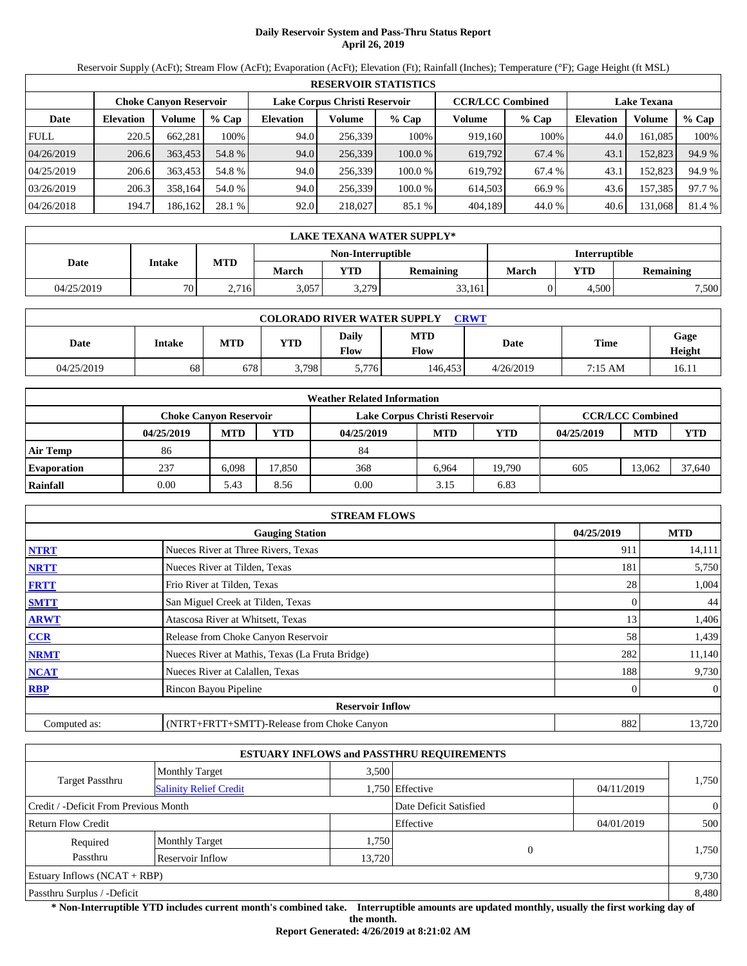# **Daily Reservoir System and Pass-Thru Status Report April 26, 2019**

Reservoir Supply (AcFt); Stream Flow (AcFt); Evaporation (AcFt); Elevation (Ft); Rainfall (Inches); Temperature (°F); Gage Height (ft MSL)

|             | <b>RESERVOIR STATISTICS</b> |                               |         |                               |         |        |                         |         |                    |         |        |  |  |
|-------------|-----------------------------|-------------------------------|---------|-------------------------------|---------|--------|-------------------------|---------|--------------------|---------|--------|--|--|
|             |                             | <b>Choke Canvon Reservoir</b> |         | Lake Corpus Christi Reservoir |         |        | <b>CCR/LCC Combined</b> |         | <b>Lake Texana</b> |         |        |  |  |
| Date        | <b>Elevation</b>            | Volume                        | $%$ Cap | <b>Elevation</b>              | Volume  | % Cap  | Volume                  | $%$ Cap | <b>Elevation</b>   | Volume  | % Cap  |  |  |
| <b>FULL</b> | 220.5                       | 662,281                       | 100%    | 94.0                          | 256.339 | 100%   | 919.160                 | 100%    | 44.0               | 161.085 | 100%   |  |  |
| 04/26/2019  | 206.6                       | 363,453                       | 54.8 %  | 94.0                          | 256,339 | 100.0% | 619,792                 | 67.4 %  | 43.1               | 152,823 | 94.9 % |  |  |
| 04/25/2019  | 206.6                       | 363,453                       | 54.8 %  | 94.0                          | 256.339 | 100.0% | 619.792                 | 67.4 %  | 43.1               | 152.823 | 94.9 % |  |  |
| 03/26/2019  | 206.3                       | 358.164                       | 54.0 %  | 94.0                          | 256.339 | 100.0% | 614.503                 | 66.9%   | 43.6               | 157,385 | 97.7 % |  |  |
| 04/26/2018  | 194.7                       | 186,162                       | 28.1 %  | 92.0                          | 218,027 | 85.1 % | 404,189                 | 44.0 %  | 40.6               | 131,068 | 81.4 % |  |  |

|            | LAKE TEXANA WATER SUPPLY* |                                           |       |            |                  |              |       |                  |  |  |
|------------|---------------------------|-------------------------------------------|-------|------------|------------------|--------------|-------|------------------|--|--|
|            |                           | Non-Interruptible<br><b>Interruptible</b> |       |            |                  |              |       |                  |  |  |
| Date       | Intake                    | <b>MTD</b>                                | March | <b>YTD</b> | <b>Remaining</b> | <b>March</b> | YTD   | <b>Remaining</b> |  |  |
| 04/25/2019 | 70                        | 2.716                                     | 3,057 | 3,279      | 33,161           |              | 4.500 | 7,500            |  |  |

| <b>COLORADO RIVER WATER SUPPLY</b><br><b>CRWT</b> |        |            |       |               |                    |           |         |                |  |  |  |
|---------------------------------------------------|--------|------------|-------|---------------|--------------------|-----------|---------|----------------|--|--|--|
| Date                                              | Intake | <b>MTD</b> | YTD   | Daily<br>Flow | <b>MTD</b><br>Flow | Date      | Time    | Gage<br>Height |  |  |  |
| 04/25/2019                                        | 68     | 678        | 3.798 | 5,776         | 146.453            | 4/26/2019 | 7:15 AM | 16.11          |  |  |  |

|                    |                               |            |        | <b>Weather Related Information</b> |            |            |            |                         |            |
|--------------------|-------------------------------|------------|--------|------------------------------------|------------|------------|------------|-------------------------|------------|
|                    | <b>Choke Canvon Reservoir</b> |            |        | Lake Corpus Christi Reservoir      |            |            |            | <b>CCR/LCC Combined</b> |            |
|                    | 04/25/2019                    | <b>MTD</b> | YTD    | 04/25/2019                         | <b>MTD</b> | <b>YTD</b> | 04/25/2019 | <b>MTD</b>              | <b>YTD</b> |
| <b>Air Temp</b>    | 86                            |            |        | 84                                 |            |            |            |                         |            |
| <b>Evaporation</b> | 237                           | 6.098      | 17.850 | 368                                | 6.964      | 19.790     | 605        | 13.062                  | 37,640     |
| Rainfall           | 0.00                          | 5.43       | 8.56   | 0.00                               | 3.15       | 6.83       |            |                         |            |

|              | <b>STREAM FLOWS</b>                             |            |              |
|--------------|-------------------------------------------------|------------|--------------|
|              | <b>Gauging Station</b>                          | 04/25/2019 | <b>MTD</b>   |
| <b>NTRT</b>  | Nueces River at Three Rivers, Texas             | 911        | 14,111       |
| <b>NRTT</b>  | Nueces River at Tilden, Texas                   | 181        | 5,750        |
| <b>FRTT</b>  | Frio River at Tilden, Texas                     | 28         | 1,004        |
| <b>SMTT</b>  | San Miguel Creek at Tilden, Texas               | 0          | 44           |
| <b>ARWT</b>  | Atascosa River at Whitsett, Texas               | 13         | 1,406        |
| CCR          | Release from Choke Canyon Reservoir             | 58         | 1,439        |
| <b>NRMT</b>  | Nueces River at Mathis, Texas (La Fruta Bridge) | 282        | 11,140       |
| <b>NCAT</b>  | Nueces River at Calallen, Texas                 | 188        | 9,730        |
| <b>RBP</b>   | Rincon Bayou Pipeline                           |            | $\mathbf{0}$ |
|              | <b>Reservoir Inflow</b>                         |            |              |
| Computed as: | (NTRT+FRTT+SMTT)-Release from Choke Canyon      | 882        | 13,720       |

|                                       |                               |        | <b>ESTUARY INFLOWS and PASSTHRU REQUIREMENTS</b> |            |                |
|---------------------------------------|-------------------------------|--------|--------------------------------------------------|------------|----------------|
|                                       | <b>Monthly Target</b>         | 3,500  |                                                  |            |                |
| Target Passthru                       | <b>Salinity Relief Credit</b> |        | 1,750 Effective                                  | 04/11/2019 | 1,750          |
| Credit / -Deficit From Previous Month |                               |        | Date Deficit Satisfied                           |            | $\overline{0}$ |
| <b>Return Flow Credit</b>             |                               |        | Effective                                        | 04/01/2019 | 500            |
| Required                              | <b>Monthly Target</b>         | 1,750  |                                                  |            |                |
| Passthru                              | Reservoir Inflow              | 13,720 | C                                                |            | 1,750          |
| Estuary Inflows $(NCAT + RBP)$        |                               |        |                                                  |            | 9,730          |
| Passthru Surplus / -Deficit           |                               |        |                                                  |            | 8,480          |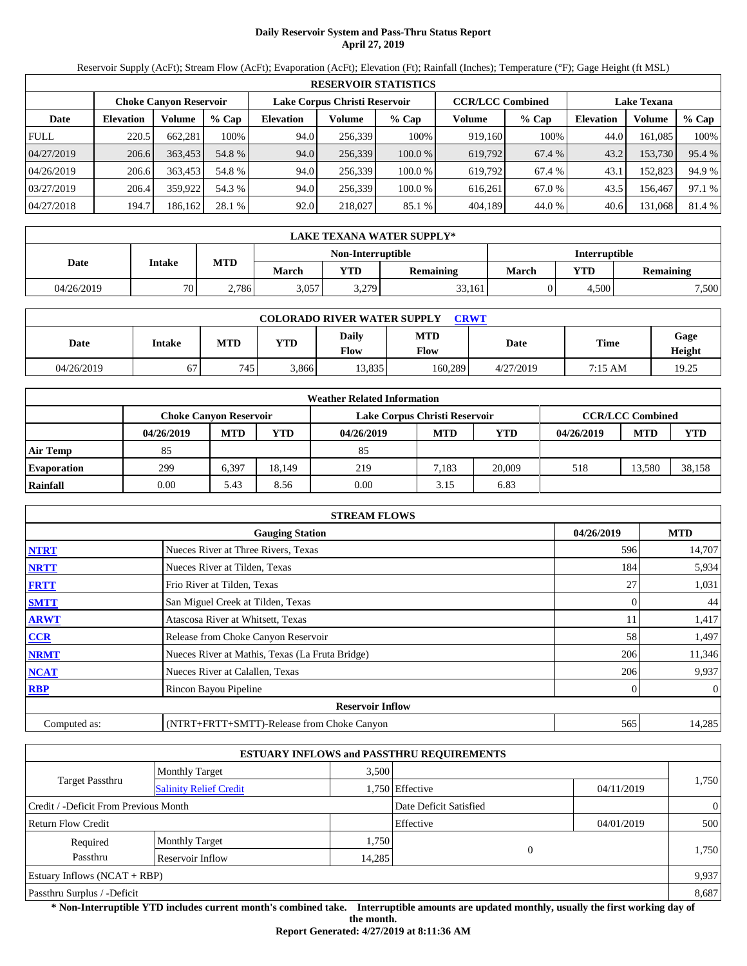# **Daily Reservoir System and Pass-Thru Status Report April 27, 2019**

Reservoir Supply (AcFt); Stream Flow (AcFt); Evaporation (AcFt); Elevation (Ft); Rainfall (Inches); Temperature (°F); Gage Height (ft MSL)

|             | <b>RESERVOIR STATISTICS</b> |                               |         |                               |         |         |                         |         |                    |         |        |  |  |
|-------------|-----------------------------|-------------------------------|---------|-------------------------------|---------|---------|-------------------------|---------|--------------------|---------|--------|--|--|
|             |                             | <b>Choke Canyon Reservoir</b> |         | Lake Corpus Christi Reservoir |         |         | <b>CCR/LCC Combined</b> |         | <b>Lake Texana</b> |         |        |  |  |
| Date        | <b>Elevation</b>            | Volume                        | $%$ Cap | <b>Elevation</b>              | Volume  | $%$ Cap | Volume                  | $%$ Cap | <b>Elevation</b>   | Volume  | % Cap  |  |  |
| <b>FULL</b> | 220.5                       | 662.281                       | 100%    | 94.0                          | 256.339 | 100%    | 919.160                 | 100%    | 44.0               | 161.085 | 100%   |  |  |
| 04/27/2019  | 206.6                       | 363.453                       | 54.8 %  | 94.0                          | 256,339 | 100.0%  | 619,792                 | 67.4 %  | 43.2               | 153,730 | 95.4 % |  |  |
| 04/26/2019  | 206.6                       | 363,453                       | 54.8 %  | 94.0                          | 256.339 | 100.0 % | 619.792                 | 67.4 %  | 43.1               | 152.823 | 94.9 % |  |  |
| 03/27/2019  | 206.4                       | 359,922                       | 54.3 %  | 94.0                          | 256.339 | 100.0 % | 616.261                 | 67.0 %  | 43.5               | 156.467 | 97.1 % |  |  |
| 04/27/2018  | 194.7                       | 186,162                       | 28.1 %  | 92.0                          | 218,027 | 85.1 %  | 404,189                 | 44.0 %  | 40.6               | 131,068 | 81.4 % |  |  |

|            | LAKE TEXANA WATER SUPPLY* |            |       |                   |                  |                      |            |           |  |  |
|------------|---------------------------|------------|-------|-------------------|------------------|----------------------|------------|-----------|--|--|
|            | Intake                    |            |       | Non-Interruptible |                  | <b>Interruptible</b> |            |           |  |  |
| Date       |                           | <b>MTD</b> | March | <b>YTD</b>        | <b>Remaining</b> | March                | <b>YTD</b> | Remaining |  |  |
| 04/26/2019 | 70                        | 2.786      | 3,057 | 3,279             | 33,161           |                      | 4.500      | 7,500     |  |  |

| <b>COLORADO RIVER WATER SUPPLY</b><br><b>CRWT</b> |        |            |            |               |                    |           |         |                |  |  |  |
|---------------------------------------------------|--------|------------|------------|---------------|--------------------|-----------|---------|----------------|--|--|--|
| Date                                              | Intake | <b>MTD</b> | <b>YTD</b> | Daily<br>Flow | <b>MTD</b><br>Flow | Date      | Time    | Gage<br>Height |  |  |  |
| 04/26/2019                                        | 67     | 745        | 3.866      | 13.835        | 160.289            | 4/27/2019 | 7:15 AM | 19.25          |  |  |  |

|                    | <b>Weather Related Information</b> |                                                                                           |        |            |            |            |            |            |            |  |  |  |
|--------------------|------------------------------------|-------------------------------------------------------------------------------------------|--------|------------|------------|------------|------------|------------|------------|--|--|--|
|                    |                                    | <b>CCR/LCC Combined</b><br>Lake Corpus Christi Reservoir<br><b>Choke Canvon Reservoir</b> |        |            |            |            |            |            |            |  |  |  |
|                    | 04/26/2019                         | <b>MTD</b>                                                                                | YTD    | 04/26/2019 | <b>MTD</b> | <b>YTD</b> | 04/26/2019 | <b>MTD</b> | <b>YTD</b> |  |  |  |
| <b>Air Temp</b>    | 85                                 |                                                                                           |        | 85         |            |            |            |            |            |  |  |  |
| <b>Evaporation</b> | 299                                | 6,397                                                                                     | 18.149 | 219        | 7.183      | 20,009     | 518        | 13,580     | 38,158     |  |  |  |
| Rainfall           | 0.00                               | 5.43                                                                                      | 8.56   | 0.00       | 3.15       | 6.83       |            |            |            |  |  |  |

|              | <b>STREAM FLOWS</b>                             |     |                |  |  |  |  |  |
|--------------|-------------------------------------------------|-----|----------------|--|--|--|--|--|
|              | <b>Gauging Station</b>                          |     |                |  |  |  |  |  |
| <b>NTRT</b>  | Nueces River at Three Rivers, Texas             | 596 | 14,707         |  |  |  |  |  |
| <b>NRTT</b>  | Nueces River at Tilden, Texas                   | 184 | 5,934          |  |  |  |  |  |
| <b>FRTT</b>  | Frio River at Tilden, Texas                     | 27  | 1,031          |  |  |  |  |  |
| <b>SMTT</b>  | San Miguel Creek at Tilden, Texas               | 0   | 44             |  |  |  |  |  |
| <b>ARWT</b>  | Atascosa River at Whitsett, Texas               | 11  | 1,417          |  |  |  |  |  |
| <b>CCR</b>   | Release from Choke Canyon Reservoir             | 58  | 1,497          |  |  |  |  |  |
| <b>NRMT</b>  | Nueces River at Mathis, Texas (La Fruta Bridge) | 206 | 11,346         |  |  |  |  |  |
| <b>NCAT</b>  | Nueces River at Calallen, Texas                 | 206 | 9,937          |  |  |  |  |  |
| <b>RBP</b>   | Rincon Bayou Pipeline                           |     | $\overline{0}$ |  |  |  |  |  |
|              | <b>Reservoir Inflow</b>                         |     |                |  |  |  |  |  |
| Computed as: | (NTRT+FRTT+SMTT)-Release from Choke Canyon      | 565 | 14,285         |  |  |  |  |  |

|                                       |                               |        | <b>ESTUARY INFLOWS and PASSTHRU REQUIREMENTS</b> |            |                |
|---------------------------------------|-------------------------------|--------|--------------------------------------------------|------------|----------------|
|                                       | <b>Monthly Target</b>         | 3.500  |                                                  |            |                |
| Target Passthru                       | <b>Salinity Relief Credit</b> |        | 1,750 Effective                                  | 04/11/2019 | 1,750          |
| Credit / -Deficit From Previous Month |                               |        | Date Deficit Satisfied                           |            | $\overline{0}$ |
| <b>Return Flow Credit</b>             |                               |        | Effective                                        | 04/01/2019 | 500            |
| Required                              | <b>Monthly Target</b>         | 1,750  |                                                  |            |                |
| Passthru                              | Reservoir Inflow              | 14,285 | 0                                                |            | 1,750          |
| Estuary Inflows $(NCAT + RBP)$        |                               |        |                                                  |            | 9,937          |
| Passthru Surplus / -Deficit           |                               |        |                                                  |            | 8,687          |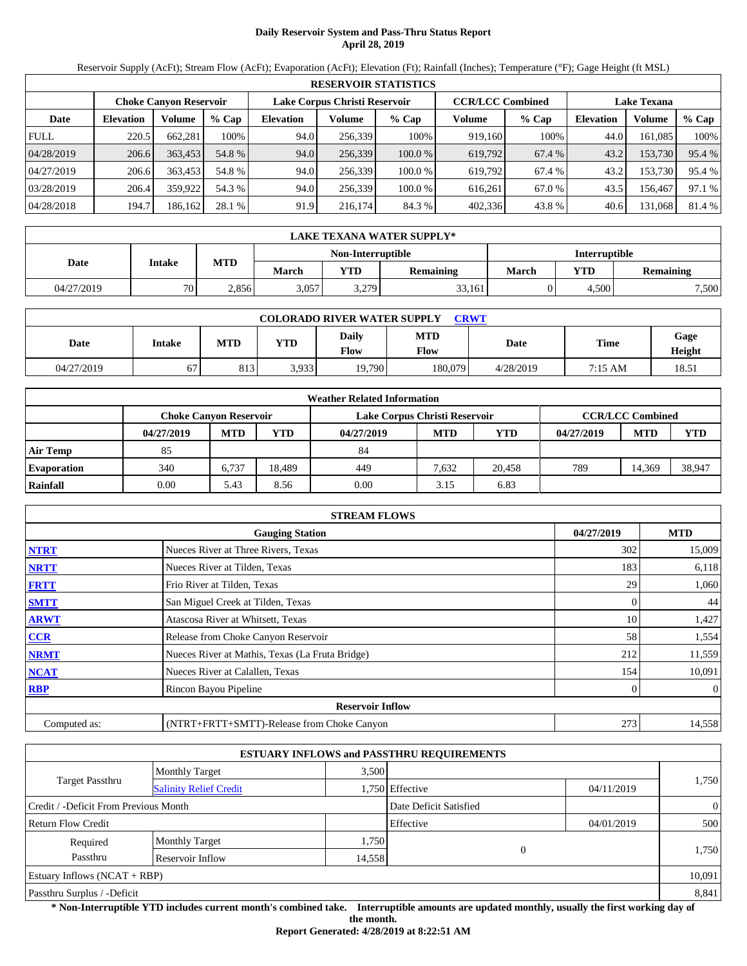## **Daily Reservoir System and Pass-Thru Status Report April 28, 2019**

Reservoir Supply (AcFt); Stream Flow (AcFt); Evaporation (AcFt); Elevation (Ft); Rainfall (Inches); Temperature (°F); Gage Height (ft MSL)

|             | <b>RESERVOIR STATISTICS</b> |                               |         |                               |         |         |                         |         |                    |         |        |  |  |
|-------------|-----------------------------|-------------------------------|---------|-------------------------------|---------|---------|-------------------------|---------|--------------------|---------|--------|--|--|
|             |                             | <b>Choke Canyon Reservoir</b> |         | Lake Corpus Christi Reservoir |         |         | <b>CCR/LCC Combined</b> |         | <b>Lake Texana</b> |         |        |  |  |
| Date        | <b>Elevation</b>            | Volume                        | $%$ Cap | <b>Elevation</b>              | Volume  | $%$ Cap | Volume                  | $%$ Cap | <b>Elevation</b>   | Volume  | % Cap  |  |  |
| <b>FULL</b> | 220.5                       | 662.281                       | 100%    | 94.0                          | 256,339 | 100%    | 919,160                 | 100%    | 44.0               | 161.085 | 100%   |  |  |
| 04/28/2019  | 206.6                       | 363,453                       | 54.8 %  | 94.0                          | 256,339 | 100.0%  | 619,792                 | 67.4 %  | 43.2               | 153,730 | 95.4 % |  |  |
| 04/27/2019  | 206.6                       | 363,453                       | 54.8 %  | 94.0                          | 256.339 | 100.0 % | 619.792                 | 67.4 %  | 43.2               | 153,730 | 95.4 % |  |  |
| 03/28/2019  | 206.4                       | 359,922                       | 54.3 %  | 94.0                          | 256.339 | 100.0 % | 616.261                 | 67.0 %  | 43.5               | 156.467 | 97.1 % |  |  |
| 04/28/2018  | 194.7                       | 186,162                       | 28.1 %  | 91.9                          | 216,174 | 84.3 %  | 402,336                 | 43.8%   | 40.6               | 131,068 | 81.4 % |  |  |

|            | LAKE TEXANA WATER SUPPLY* |            |       |                   |                  |                      |            |           |  |  |
|------------|---------------------------|------------|-------|-------------------|------------------|----------------------|------------|-----------|--|--|
|            | Intake                    |            |       | Non-Interruptible |                  | <b>Interruptible</b> |            |           |  |  |
| Date       |                           | <b>MTD</b> | March | <b>YTD</b>        | <b>Remaining</b> | March                | <b>YTD</b> | Remaining |  |  |
| 04/27/2019 | 70                        | 2,856      | 3,057 | 3,279             | 33,161           |                      | 4.500      | 7,500     |  |  |

| <b>COLORADO RIVER WATER SUPPLY</b><br><b>CRWT</b> |        |            |            |               |                    |           |         |                |  |  |
|---------------------------------------------------|--------|------------|------------|---------------|--------------------|-----------|---------|----------------|--|--|
| Date                                              | Intake | <b>MTD</b> | <b>YTD</b> | Daily<br>Flow | <b>MTD</b><br>Flow | Date      | Time    | Gage<br>Height |  |  |
| 04/27/2019                                        | 67     | 813        | 3.933      | 19.790        | 180,079            | 4/28/2019 | 7:15 AM | 18.51          |  |  |

|                    | <b>Weather Related Information</b> |            |        |            |                               |        |            |                         |            |  |  |  |
|--------------------|------------------------------------|------------|--------|------------|-------------------------------|--------|------------|-------------------------|------------|--|--|--|
|                    | <b>Choke Canvon Reservoir</b>      |            |        |            | Lake Corpus Christi Reservoir |        |            | <b>CCR/LCC Combined</b> |            |  |  |  |
|                    | 04/27/2019                         | <b>MTD</b> | YTD    | 04/27/2019 | <b>MTD</b>                    | YTD    | 04/27/2019 | <b>MTD</b>              | <b>YTD</b> |  |  |  |
| <b>Air Temp</b>    | 85                                 |            |        | 84         |                               |        |            |                         |            |  |  |  |
| <b>Evaporation</b> | 340                                | 6.737      | 18.489 | 449        | 7.632                         | 20.458 | 789        | 14.369                  | 38,947     |  |  |  |
| Rainfall           | 0.00                               | 5.43       | 8.56   | 0.00       | 3.15                          | 6.83   |            |                         |            |  |  |  |

|              | <b>STREAM FLOWS</b>                             |     |                |  |  |  |  |  |
|--------------|-------------------------------------------------|-----|----------------|--|--|--|--|--|
|              | <b>Gauging Station</b>                          |     |                |  |  |  |  |  |
| <b>NTRT</b>  | Nueces River at Three Rivers, Texas             | 302 | 15,009         |  |  |  |  |  |
| <b>NRTT</b>  | Nueces River at Tilden, Texas                   | 183 | 6,118          |  |  |  |  |  |
| <b>FRTT</b>  | Frio River at Tilden, Texas                     | 29  | 1,060          |  |  |  |  |  |
| <b>SMTT</b>  | San Miguel Creek at Tilden, Texas               | 0   | 44             |  |  |  |  |  |
| <b>ARWT</b>  | Atascosa River at Whitsett, Texas               | 10  | 1,427          |  |  |  |  |  |
| <b>CCR</b>   | Release from Choke Canyon Reservoir             | 58  | 1,554          |  |  |  |  |  |
| <b>NRMT</b>  | Nueces River at Mathis, Texas (La Fruta Bridge) | 212 | 11,559         |  |  |  |  |  |
| <b>NCAT</b>  | Nueces River at Calallen, Texas                 | 154 | 10,091         |  |  |  |  |  |
| <b>RBP</b>   | Rincon Bayou Pipeline                           |     | $\overline{0}$ |  |  |  |  |  |
|              | <b>Reservoir Inflow</b>                         |     |                |  |  |  |  |  |
| Computed as: | (NTRT+FRTT+SMTT)-Release from Choke Canyon      | 273 | 14,558         |  |  |  |  |  |

|                                       |                               |        | <b>ESTUARY INFLOWS and PASSTHRU REQUIREMENTS</b> |            |                |
|---------------------------------------|-------------------------------|--------|--------------------------------------------------|------------|----------------|
|                                       | <b>Monthly Target</b>         | 3,500  |                                                  |            |                |
| Target Passthru                       | <b>Salinity Relief Credit</b> |        | 1,750 Effective                                  | 04/11/2019 | 1,750          |
| Credit / -Deficit From Previous Month |                               |        | Date Deficit Satisfied                           |            | $\overline{0}$ |
| <b>Return Flow Credit</b>             |                               |        | Effective                                        | 04/01/2019 | 500            |
| Required                              | <b>Monthly Target</b>         | 1,750  |                                                  |            |                |
| Passthru                              | Reservoir Inflow              | 14,558 | $\Omega$                                         |            | 1,750          |
| Estuary Inflows $(NCAT + RBP)$        |                               |        |                                                  |            | 10,091         |
| Passthru Surplus / -Deficit           |                               |        |                                                  |            | 8,841          |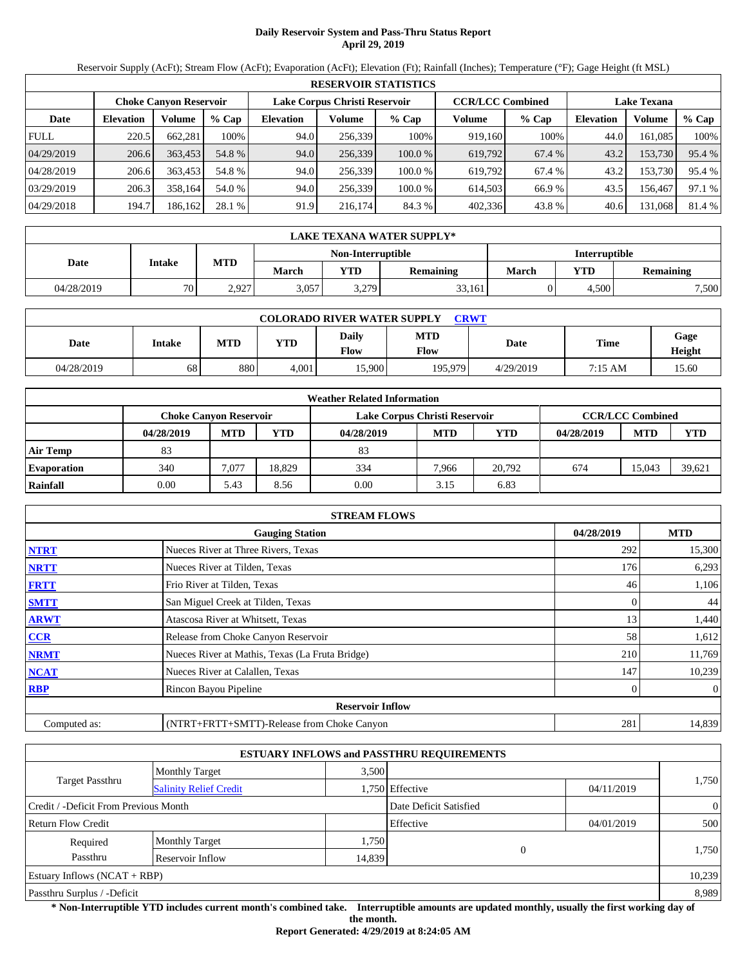## **Daily Reservoir System and Pass-Thru Status Report April 29, 2019**

Reservoir Supply (AcFt); Stream Flow (AcFt); Evaporation (AcFt); Elevation (Ft); Rainfall (Inches); Temperature (°F); Gage Height (ft MSL)

|             | <b>RESERVOIR STATISTICS</b> |                               |         |                               |         |         |                         |         |                    |         |        |  |  |
|-------------|-----------------------------|-------------------------------|---------|-------------------------------|---------|---------|-------------------------|---------|--------------------|---------|--------|--|--|
|             |                             | <b>Choke Canyon Reservoir</b> |         | Lake Corpus Christi Reservoir |         |         | <b>CCR/LCC Combined</b> |         | <b>Lake Texana</b> |         |        |  |  |
| Date        | <b>Elevation</b>            | Volume                        | $%$ Cap | <b>Elevation</b>              | Volume  | $%$ Cap | Volume                  | $%$ Cap | <b>Elevation</b>   | Volume  | % Cap  |  |  |
| <b>FULL</b> | 220.5                       | 662.281                       | 100%    | 94.0                          | 256,339 | 100%    | 919,160                 | 100%    | 44.0               | 161.085 | 100%   |  |  |
| 04/29/2019  | 206.6                       | 363,453                       | 54.8 %  | 94.0                          | 256,339 | 100.0%  | 619,792                 | 67.4 %  | 43.2               | 153,730 | 95.4 % |  |  |
| 04/28/2019  | 206.6                       | 363,453                       | 54.8 %  | 94.0                          | 256.339 | 100.0 % | 619.792                 | 67.4 %  | 43.2               | 153,730 | 95.4 % |  |  |
| 03/29/2019  | 206.3                       | 358.164                       | 54.0 %  | 94.0                          | 256.339 | 100.0 % | 614.503                 | 66.9 %  | 43.5               | 156.467 | 97.1 % |  |  |
| 04/29/2018  | 194.7                       | 186,162                       | 28.1 %  | 91.9                          | 216,174 | 84.3 %  | 402,336                 | 43.8%   | 40.6               | 131,068 | 81.4 % |  |  |

|            | LAKE TEXANA WATER SUPPLY* |            |       |                   |                  |                      |            |           |  |  |
|------------|---------------------------|------------|-------|-------------------|------------------|----------------------|------------|-----------|--|--|
|            | Intake                    |            |       | Non-Interruptible |                  | <b>Interruptible</b> |            |           |  |  |
| Date       |                           | <b>MTD</b> | March | <b>YTD</b>        | <b>Remaining</b> | March                | <b>YTD</b> | Remaining |  |  |
| 04/28/2019 | 70                        | 2.927      | 3,057 | 3,279             | 33,161           |                      | 4.500      | 7,500     |  |  |

| <b>COLORADO RIVER WATER SUPPLY</b><br><b>CRWT</b> |        |            |       |               |                    |           |         |                |  |  |  |
|---------------------------------------------------|--------|------------|-------|---------------|--------------------|-----------|---------|----------------|--|--|--|
| Date                                              | Intake | <b>MTD</b> | YTD   | Daily<br>Flow | <b>MTD</b><br>Flow | Date      | Time    | Gage<br>Height |  |  |  |
| 04/28/2019                                        | 68     | 880        | 4.001 | 15.900        | 195.979            | 4/29/2019 | 7:15 AM | 15.60          |  |  |  |

|                    |                               |            |        | <b>Weather Related Information</b> |            |            |            |                         |            |
|--------------------|-------------------------------|------------|--------|------------------------------------|------------|------------|------------|-------------------------|------------|
|                    | <b>Choke Canvon Reservoir</b> |            |        | Lake Corpus Christi Reservoir      |            |            |            | <b>CCR/LCC Combined</b> |            |
|                    | 04/28/2019                    | <b>MTD</b> | YTD    | 04/28/2019                         | <b>MTD</b> | <b>YTD</b> | 04/28/2019 | <b>MTD</b>              | <b>YTD</b> |
| <b>Air Temp</b>    | 83                            |            |        | 83                                 |            |            |            |                         |            |
| <b>Evaporation</b> | 340                           | 7.077      | 18.829 | 334                                | 7.966      | 20.792     | 674        | 15.043                  | 39.621     |
| Rainfall           | 0.00                          | 5.43       | 8.56   | 0.00                               | 3.15       | 6.83       |            |                         |            |

|              | <b>STREAM FLOWS</b>                             |            |                  |
|--------------|-------------------------------------------------|------------|------------------|
|              | <b>Gauging Station</b>                          | 04/28/2019 | <b>MTD</b>       |
| <b>NTRT</b>  | Nueces River at Three Rivers, Texas             | 292        | 15,300           |
| <b>NRTT</b>  | Nueces River at Tilden, Texas                   | 176        | 6,293            |
| <b>FRTT</b>  | Frio River at Tilden, Texas                     | 46         | 1,106            |
| <b>SMTT</b>  | San Miguel Creek at Tilden, Texas               |            | 44               |
| <b>ARWT</b>  | Atascosa River at Whitsett, Texas               | 13         | 1,440            |
| CCR          | Release from Choke Canyon Reservoir             | 58         | 1,612            |
| <b>NRMT</b>  | Nueces River at Mathis, Texas (La Fruta Bridge) | 210        | 11,769           |
| <b>NCAT</b>  | Nueces River at Calallen, Texas                 | 147        | 10,239           |
| <b>RBP</b>   | Rincon Bayou Pipeline                           |            | $\boldsymbol{0}$ |
|              | <b>Reservoir Inflow</b>                         |            |                  |
| Computed as: | (NTRT+FRTT+SMTT)-Release from Choke Canyon      | 281        | 14,839           |

|                                       |                               |        | <b>ESTUARY INFLOWS and PASSTHRU REQUIREMENTS</b> |            |                |  |
|---------------------------------------|-------------------------------|--------|--------------------------------------------------|------------|----------------|--|
|                                       | <b>Monthly Target</b>         | 3.500  |                                                  |            |                |  |
| Target Passthru                       | <b>Salinity Relief Credit</b> |        | 1,750 Effective                                  | 04/11/2019 | 1,750          |  |
| Credit / -Deficit From Previous Month |                               |        | Date Deficit Satisfied                           |            | $\overline{0}$ |  |
| <b>Return Flow Credit</b>             |                               |        | Effective                                        | 04/01/2019 | 500            |  |
| Required                              | <b>Monthly Target</b>         | 1,750  |                                                  |            |                |  |
| Passthru                              | Reservoir Inflow              | 14.839 |                                                  | $\Omega$   | 1,750          |  |
| Estuary Inflows $(NCAT + RBP)$        |                               |        |                                                  |            | 10,239         |  |
| Passthru Surplus / -Deficit           |                               |        |                                                  |            | 8,989          |  |